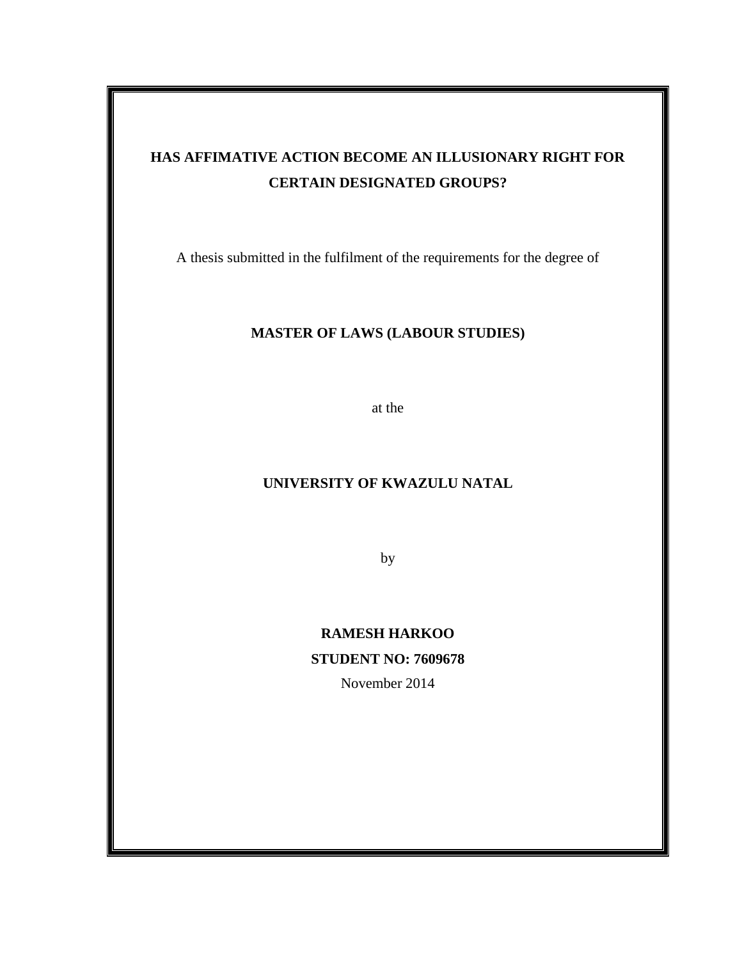# **HAS AFFIMATIVE ACTION BECOME AN ILLUSIONARY RIGHT FOR CERTAIN DESIGNATED GROUPS?**

A thesis submitted in the fulfilment of the requirements for the degree of

### **MASTER OF LAWS (LABOUR STUDIES)**

at the

### **UNIVERSITY OF KWAZULU NATAL**

by

# **RAMESH HARKOO STUDENT NO: 7609678**

November 2014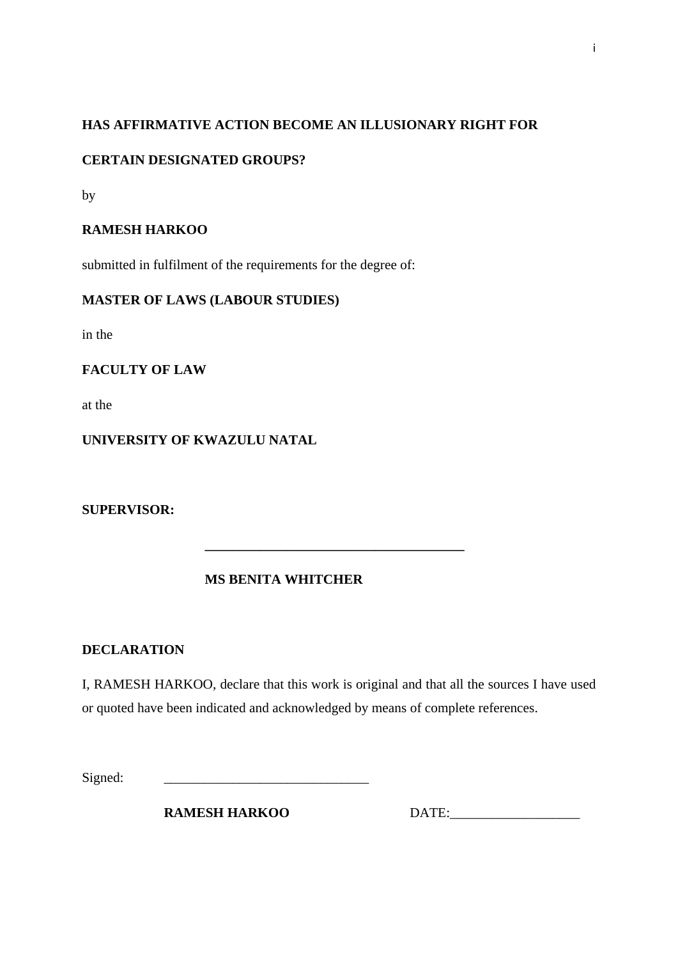# **HAS AFFIRMATIVE ACTION BECOME AN ILLUSIONARY RIGHT FOR**

# **CERTAIN DESIGNATED GROUPS?**

by

# **RAMESH HARKOO**

submitted in fulfilment of the requirements for the degree of:

### **MASTER OF LAWS (LABOUR STUDIES)**

in the

### **FACULTY OF LAW**

at the

# **UNIVERSITY OF KWAZULU NATAL**

**SUPERVISOR:**

# **MS BENITA WHITCHER**

 **\_\_\_\_\_\_\_\_\_\_\_\_\_\_\_\_\_\_\_\_\_\_\_\_\_\_\_\_\_\_\_\_\_\_\_\_\_\_** 

### **DECLARATION**

I, RAMESH HARKOO, declare that this work is original and that all the sources I have used or quoted have been indicated and acknowledged by means of complete references.

Signed:

**RAMESH HARKOO DATE:**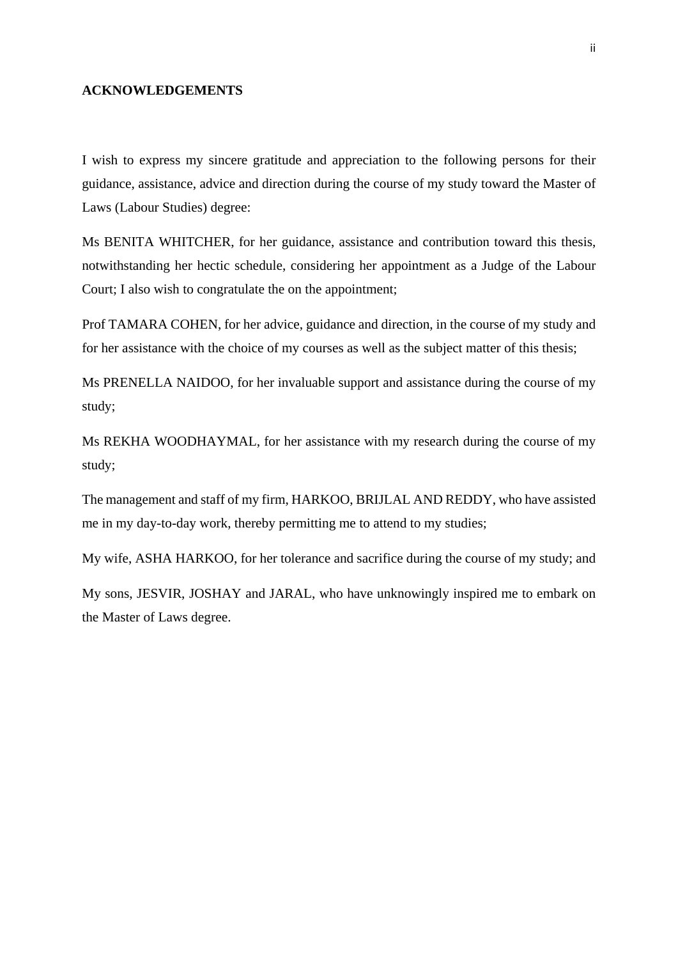#### **ACKNOWLEDGEMENTS**

I wish to express my sincere gratitude and appreciation to the following persons for their guidance, assistance, advice and direction during the course of my study toward the Master of Laws (Labour Studies) degree:

Ms BENITA WHITCHER, for her guidance, assistance and contribution toward this thesis, notwithstanding her hectic schedule, considering her appointment as a Judge of the Labour Court; I also wish to congratulate the on the appointment;

Prof TAMARA COHEN, for her advice, guidance and direction, in the course of my study and for her assistance with the choice of my courses as well as the subject matter of this thesis;

Ms PRENELLA NAIDOO, for her invaluable support and assistance during the course of my study;

Ms REKHA WOODHAYMAL, for her assistance with my research during the course of my study;

The management and staff of my firm, HARKOO, BRIJLAL AND REDDY, who have assisted me in my day-to-day work, thereby permitting me to attend to my studies;

My wife, ASHA HARKOO, for her tolerance and sacrifice during the course of my study; and

My sons, JESVIR, JOSHAY and JARAL, who have unknowingly inspired me to embark on the Master of Laws degree.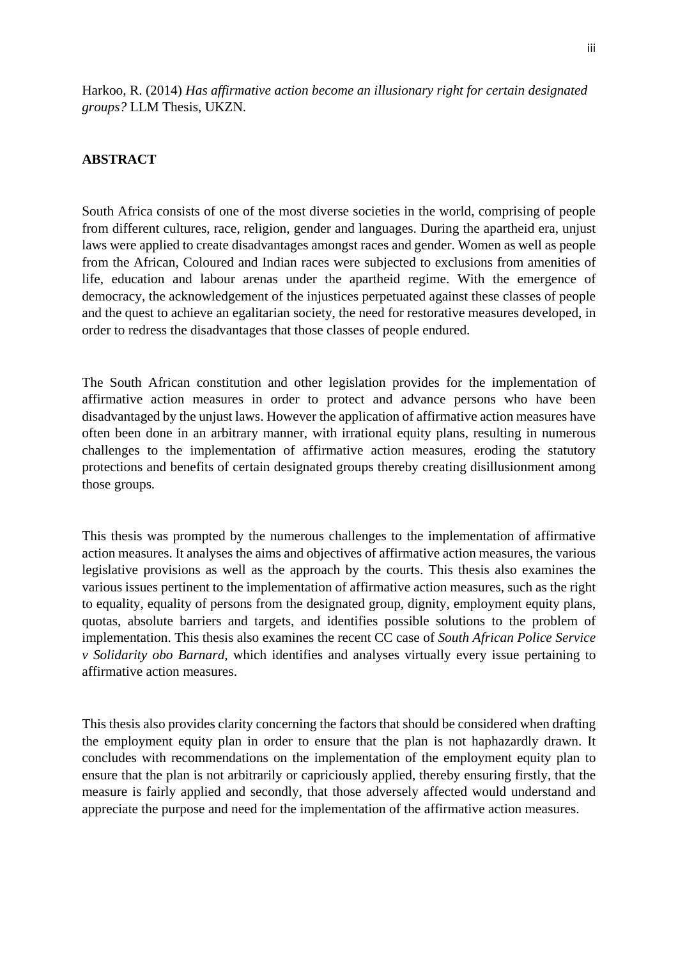Harkoo, R. (2014) *Has affirmative action become an illusionary right for certain designated groups?* LLM Thesis, UKZN.

### **ABSTRACT**

South Africa consists of one of the most diverse societies in the world, comprising of people from different cultures, race, religion, gender and languages. During the apartheid era, unjust laws were applied to create disadvantages amongst races and gender. Women as well as people from the African, Coloured and Indian races were subjected to exclusions from amenities of life, education and labour arenas under the apartheid regime. With the emergence of democracy, the acknowledgement of the injustices perpetuated against these classes of people and the quest to achieve an egalitarian society, the need for restorative measures developed, in order to redress the disadvantages that those classes of people endured.

The South African constitution and other legislation provides for the implementation of affirmative action measures in order to protect and advance persons who have been disadvantaged by the unjust laws. However the application of affirmative action measures have often been done in an arbitrary manner, with irrational equity plans, resulting in numerous challenges to the implementation of affirmative action measures, eroding the statutory protections and benefits of certain designated groups thereby creating disillusionment among those groups.

This thesis was prompted by the numerous challenges to the implementation of affirmative action measures. It analyses the aims and objectives of affirmative action measures, the various legislative provisions as well as the approach by the courts. This thesis also examines the various issues pertinent to the implementation of affirmative action measures, such as the right to equality, equality of persons from the designated group, dignity, employment equity plans, quotas, absolute barriers and targets, and identifies possible solutions to the problem of implementation. This thesis also examines the recent CC case of *South African Police Service v Solidarity obo Barnard,* which identifies and analyses virtually every issue pertaining to affirmative action measures.

This thesis also provides clarity concerning the factors that should be considered when drafting the employment equity plan in order to ensure that the plan is not haphazardly drawn. It concludes with recommendations on the implementation of the employment equity plan to ensure that the plan is not arbitrarily or capriciously applied, thereby ensuring firstly, that the measure is fairly applied and secondly, that those adversely affected would understand and appreciate the purpose and need for the implementation of the affirmative action measures.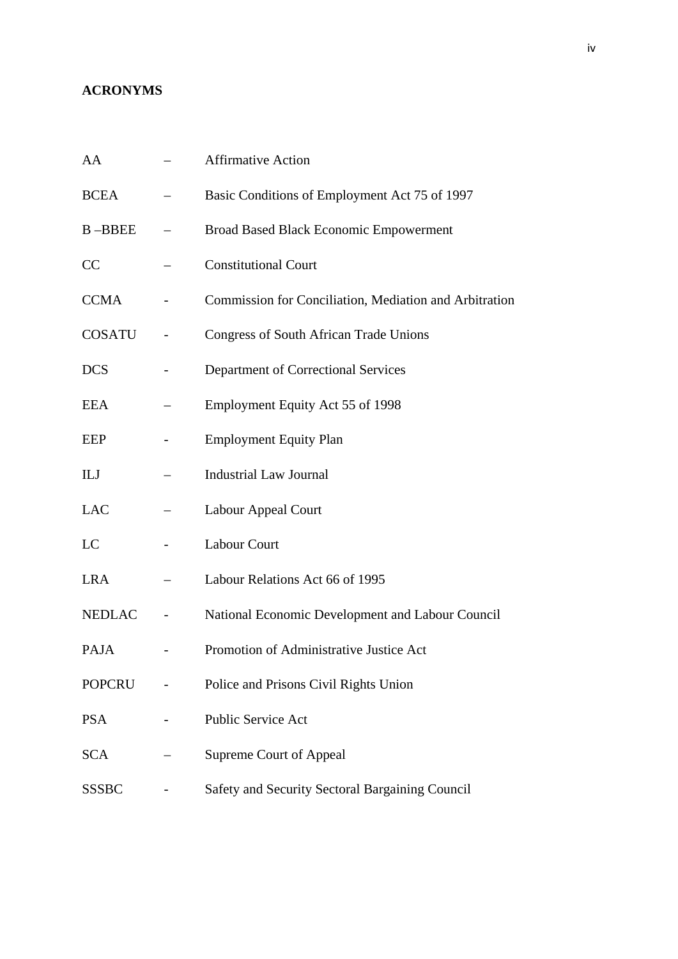# **ACRONYMS**

| AA            | <b>Affirmative Action</b>                              |
|---------------|--------------------------------------------------------|
| <b>BCEA</b>   | Basic Conditions of Employment Act 75 of 1997          |
| <b>B-BBEE</b> | <b>Broad Based Black Economic Empowerment</b>          |
| CC            | <b>Constitutional Court</b>                            |
| <b>CCMA</b>   | Commission for Conciliation, Mediation and Arbitration |
| <b>COSATU</b> | <b>Congress of South African Trade Unions</b>          |
| <b>DCS</b>    | Department of Correctional Services                    |
| <b>EEA</b>    | Employment Equity Act 55 of 1998                       |
| <b>EEP</b>    | <b>Employment Equity Plan</b>                          |
| ILJ           | <b>Industrial Law Journal</b>                          |
| <b>LAC</b>    | Labour Appeal Court                                    |
| LC            | Labour Court                                           |
| <b>LRA</b>    | Labour Relations Act 66 of 1995                        |
| <b>NEDLAC</b> | National Economic Development and Labour Council       |
| PAJA          | Promotion of Administrative Justice Act                |
| <b>POPCRU</b> | Police and Prisons Civil Rights Union                  |
| <b>PSA</b>    | Public Service Act                                     |
| <b>SCA</b>    | <b>Supreme Court of Appeal</b>                         |
| <b>SSSBC</b>  | Safety and Security Sectoral Bargaining Council        |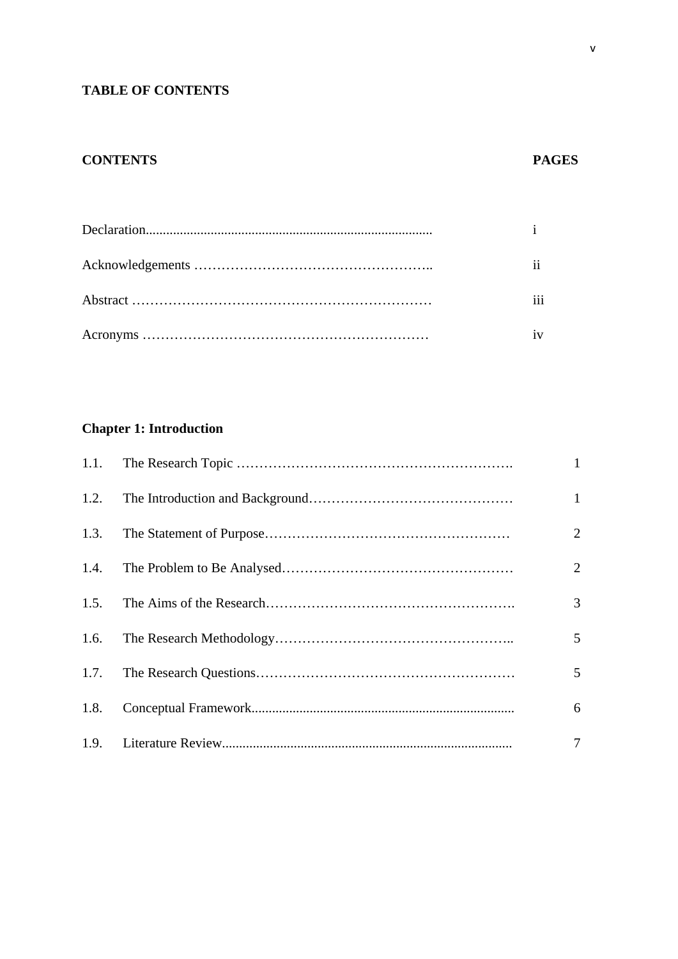# **TABLE OF CONTENTS**

# **CONTENTS PAGES**

# **Chapter 1: Introduction**

|      | $\mathbf{1}$    |
|------|-----------------|
|      | $\mathbf{1}$    |
| 1.3. | $\overline{2}$  |
| 1.4. | $\overline{2}$  |
| 1.5. | 3               |
| 1.6. | $5\overline{)}$ |
|      | $5\overline{)}$ |
| 1.8. | 6               |
|      | $\tau$          |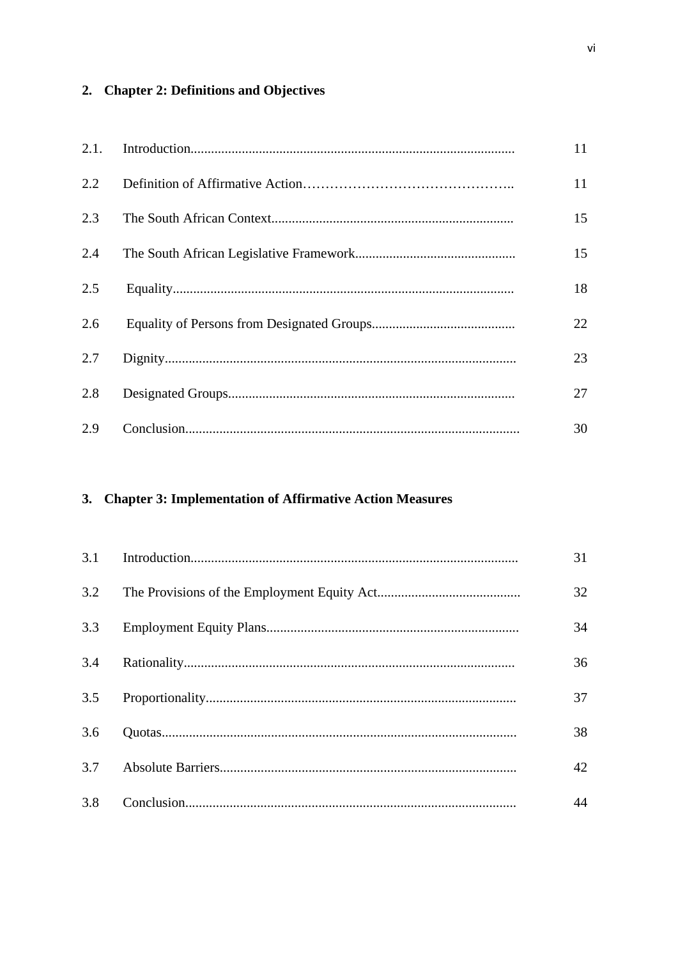# 2. Chapter 2: Definitions and Objectives

| 2.1. | 11 |
|------|----|
| 2.2  | 11 |
| 2.3  | 15 |
| 2.4  | 15 |
| 2.5  | 18 |
| 2.6  | 22 |
| 2.7  | 23 |
| 2.8  | 27 |
| 2.9  | 30 |

# 3. Chapter 3: Implementation of Affirmative Action Measures

| 3.1 | 31 |
|-----|----|
| 3.2 | 32 |
| 3.3 | 34 |
| 3.4 | 36 |
|     | 37 |
| 3.6 | 38 |
| 3.7 | 42 |
| 3.8 | 44 |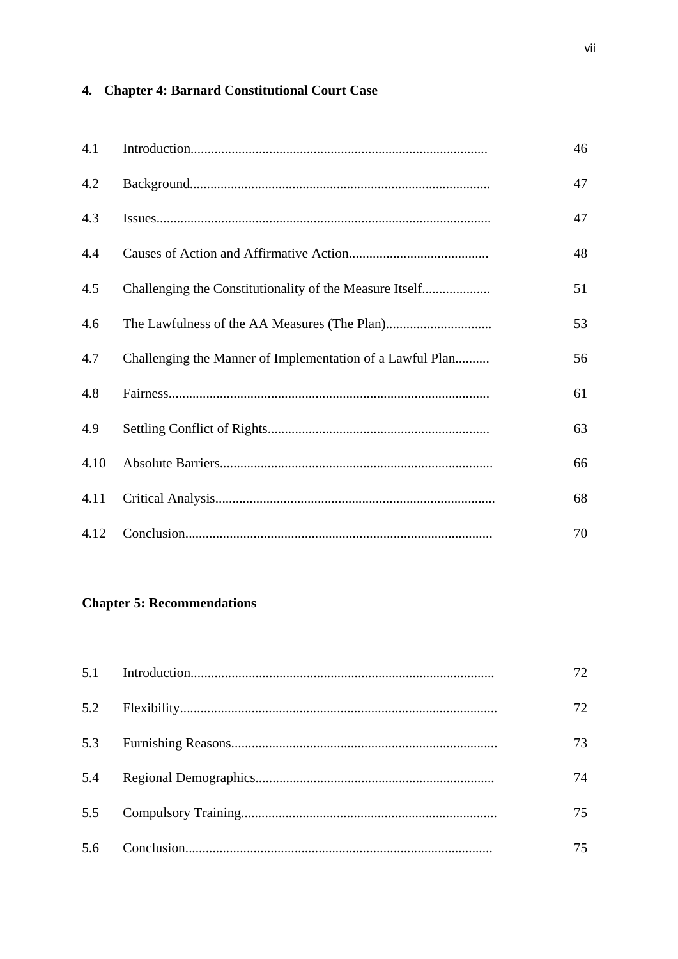# 4. Chapter 4: Barnard Constitutional Court Case

| 4.1  |                                                           | 46 |
|------|-----------------------------------------------------------|----|
| 4.2  |                                                           | 47 |
| 4.3  |                                                           | 47 |
| 4.4  |                                                           | 48 |
| 4.5  |                                                           | 51 |
| 4.6  |                                                           | 53 |
| 4.7  | Challenging the Manner of Implementation of a Lawful Plan | 56 |
| 4.8  |                                                           | 61 |
| 4.9  |                                                           | 63 |
| 4.10 |                                                           | 66 |
| 4.11 |                                                           | 68 |
| 4.12 |                                                           | 70 |

# **Chapter 5: Recommendations**

|  | 72. |
|--|-----|
|  | 72  |
|  | 73  |
|  | 74  |
|  | 75  |
|  | 75  |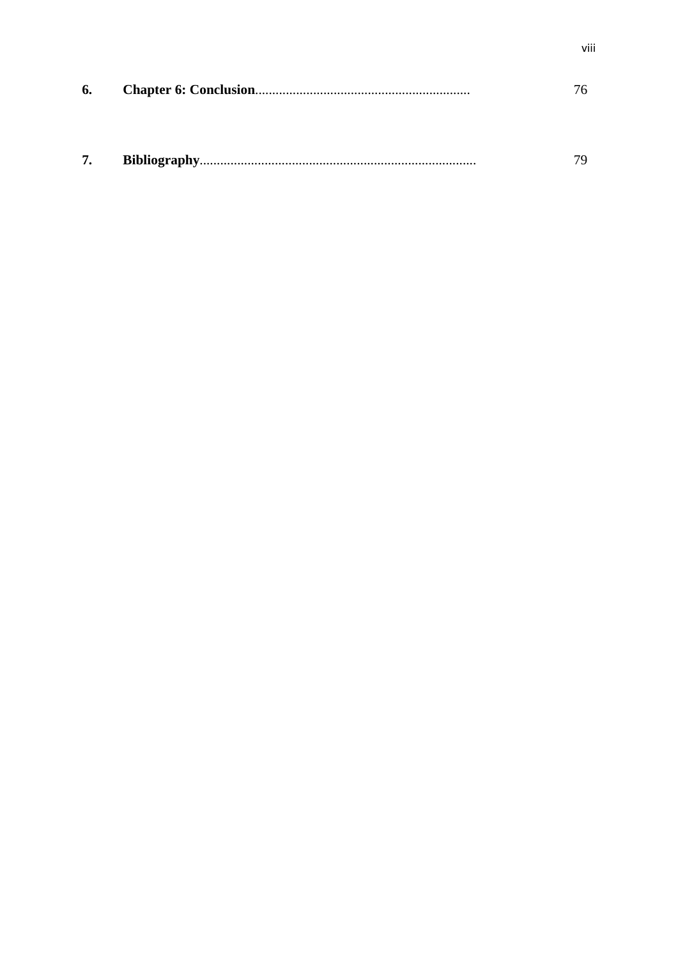| 6. |  |     |
|----|--|-----|
|    |  |     |
|    |  |     |
|    |  | 70. |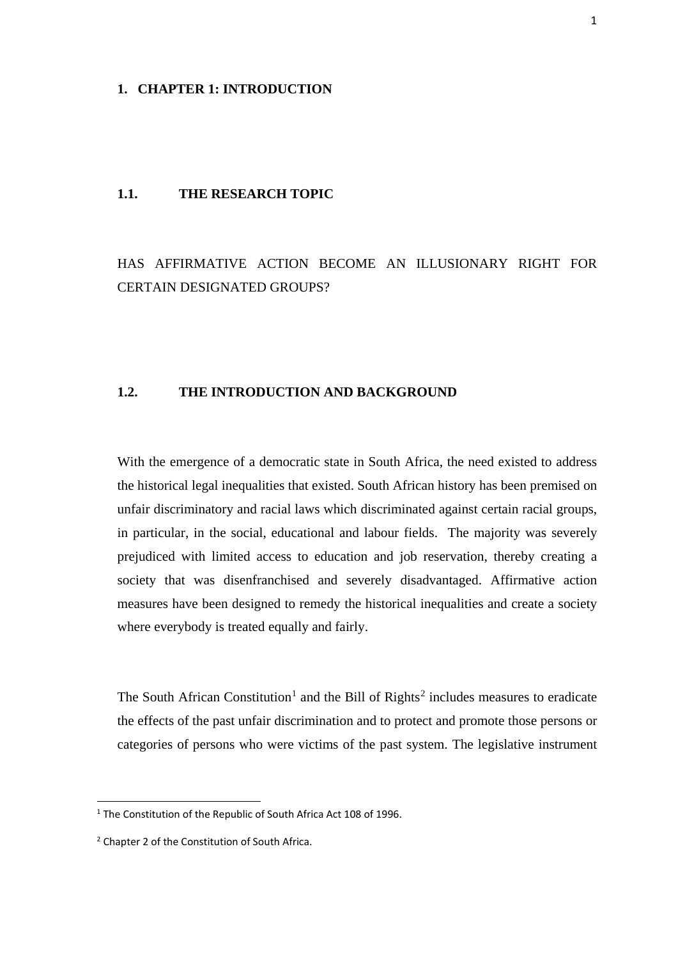### **1. CHAPTER 1: INTRODUCTION**

### **1.1. THE RESEARCH TOPIC**

# HAS AFFIRMATIVE ACTION BECOME AN ILLUSIONARY RIGHT FOR CERTAIN DESIGNATED GROUPS?

### **1.2. THE INTRODUCTION AND BACKGROUND**

With the emergence of a democratic state in South Africa, the need existed to address the historical legal inequalities that existed. South African history has been premised on unfair discriminatory and racial laws which discriminated against certain racial groups, in particular, in the social, educational and labour fields. The majority was severely prejudiced with limited access to education and job reservation, thereby creating a society that was disenfranchised and severely disadvantaged. Affirmative action measures have been designed to remedy the historical inequalities and create a society where everybody is treated equally and fairly.

The South African Constitution<sup>[1](#page-9-0)</sup> and the Bill of Rights<sup>[2](#page-9-1)</sup> includes measures to eradicate the effects of the past unfair discrimination and to protect and promote those persons or categories of persons who were victims of the past system. The legislative instrument

**.** 

<span id="page-9-0"></span><sup>&</sup>lt;sup>1</sup> The Constitution of the Republic of South Africa Act 108 of 1996.

<span id="page-9-1"></span><sup>&</sup>lt;sup>2</sup> Chapter 2 of the Constitution of South Africa.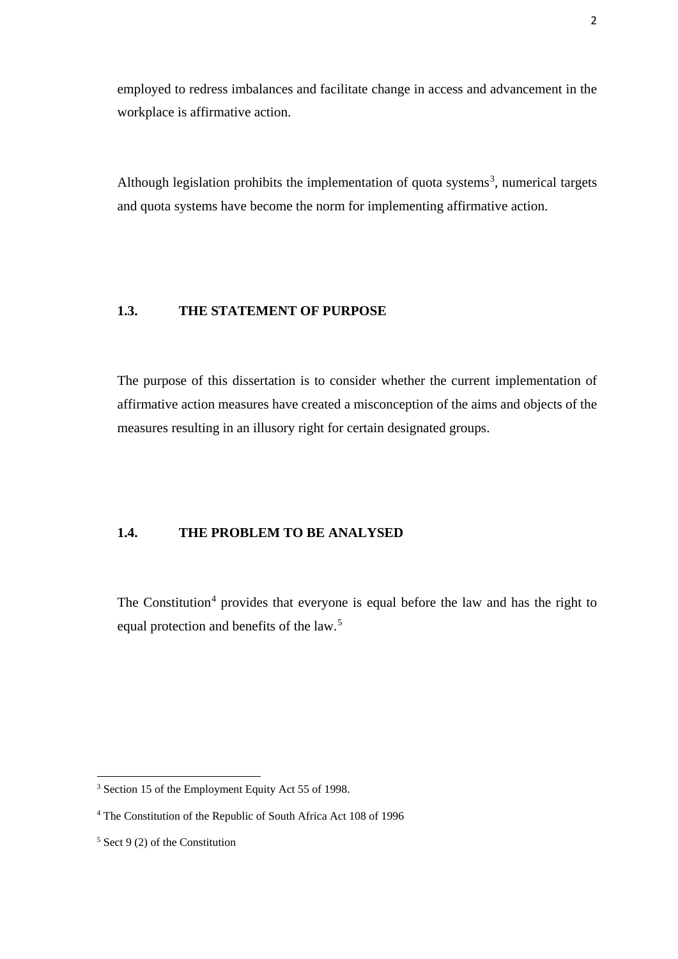employed to redress imbalances and facilitate change in access and advancement in the workplace is affirmative action.

Although legislation prohibits the implementation of quota systems<sup>[3](#page-10-0)</sup>, numerical targets and quota systems have become the norm for implementing affirmative action.

### **1.3. THE STATEMENT OF PURPOSE**

The purpose of this dissertation is to consider whether the current implementation of affirmative action measures have created a misconception of the aims and objects of the measures resulting in an illusory right for certain designated groups.

### **1.4. THE PROBLEM TO BE ANALYSED**

The Constitution<sup>[4](#page-10-1)</sup> provides that everyone is equal before the law and has the right to equal protection and benefits of the law.<sup>[5](#page-10-2)</sup>

<span id="page-10-0"></span><sup>3</sup> Section 15 of the Employment Equity Act 55 of 1998.

<span id="page-10-1"></span><sup>4</sup> The Constitution of the Republic of South Africa Act 108 of 1996

<span id="page-10-2"></span> $5$  Sect 9 (2) of the Constitution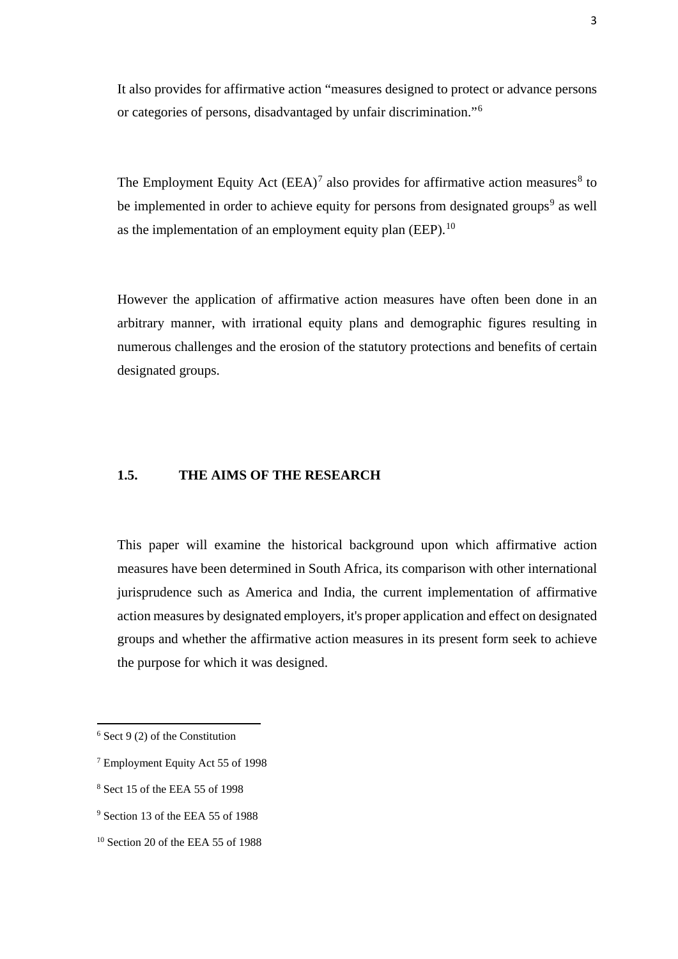It also provides for affirmative action "measures designed to protect or advance persons or categories of persons, disadvantaged by unfair discrimination."[6](#page-11-0)

The Employment Equity Act  $(EEA)^7$  $(EEA)^7$  also provides for affirmative action measures<sup>[8](#page-11-2)</sup> to be implemented in order to achieve equity for persons from designated groups<sup>[9](#page-11-3)</sup> as well as the implementation of an employment equity plan  $(EEP)$ .<sup>10</sup>

However the application of affirmative action measures have often been done in an arbitrary manner, with irrational equity plans and demographic figures resulting in numerous challenges and the erosion of the statutory protections and benefits of certain designated groups.

### **1.5. THE AIMS OF THE RESEARCH**

This paper will examine the historical background upon which affirmative action measures have been determined in South Africa, its comparison with other international jurisprudence such as America and India, the current implementation of affirmative action measures by designated employers, it's proper application and effect on designated groups and whether the affirmative action measures in its present form seek to achieve the purpose for which it was designed.

 $\overline{a}$ 

<span id="page-11-2"></span><sup>8</sup> Sect 15 of the EEA 55 of 1998

<span id="page-11-0"></span> $6$  Sect 9 (2) of the Constitution

<span id="page-11-1"></span><sup>7</sup> Employment Equity Act 55 of 1998

<span id="page-11-3"></span><sup>9</sup> Section 13 of the EEA 55 of 1988

<span id="page-11-4"></span> $10$  Section 20 of the EEA 55 of 1988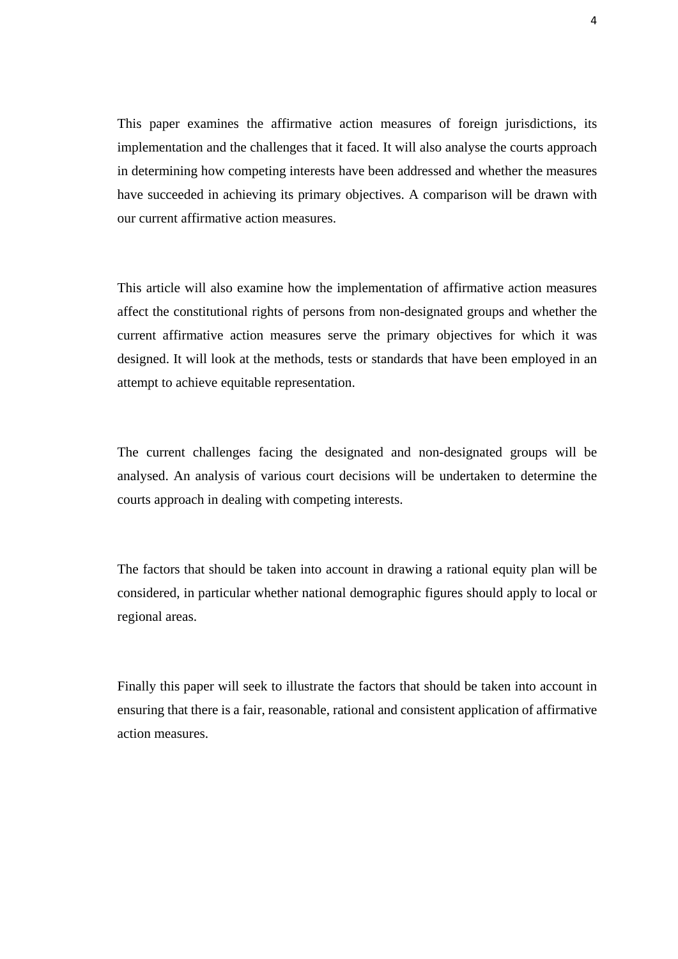This paper examines the affirmative action measures of foreign jurisdictions, its implementation and the challenges that it faced. It will also analyse the courts approach in determining how competing interests have been addressed and whether the measures have succeeded in achieving its primary objectives. A comparison will be drawn with our current affirmative action measures.

This article will also examine how the implementation of affirmative action measures affect the constitutional rights of persons from non-designated groups and whether the current affirmative action measures serve the primary objectives for which it was designed. It will look at the methods, tests or standards that have been employed in an attempt to achieve equitable representation.

The current challenges facing the designated and non-designated groups will be analysed. An analysis of various court decisions will be undertaken to determine the courts approach in dealing with competing interests.

The factors that should be taken into account in drawing a rational equity plan will be considered, in particular whether national demographic figures should apply to local or regional areas.

Finally this paper will seek to illustrate the factors that should be taken into account in ensuring that there is a fair, reasonable, rational and consistent application of affirmative action measures.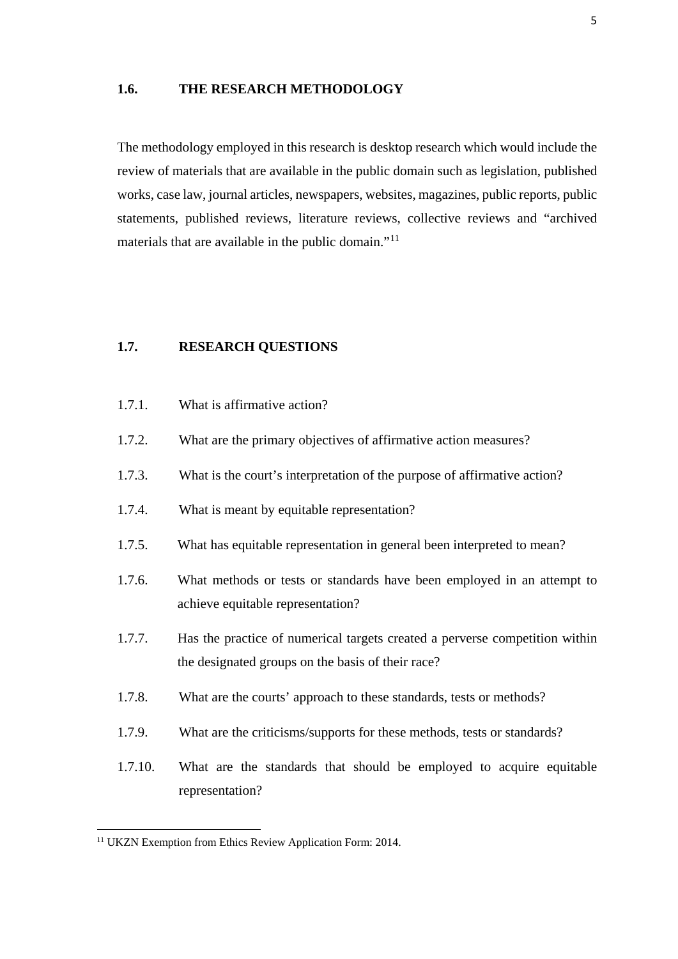### **1.6. THE RESEARCH METHODOLOGY**

The methodology employed in this research is desktop research which would include the review of materials that are available in the public domain such as legislation, published works, case law, journal articles, newspapers, websites, magazines, public reports, public statements, published reviews, literature reviews, collective reviews and "archived materials that are available in the public domain."<sup>[11](#page-13-0)</sup>

### **1.7. RESEARCH QUESTIONS**

- 1.7.1. What is affirmative action?
- 1.7.2. What are the primary objectives of affirmative action measures?
- 1.7.3. What is the court's interpretation of the purpose of affirmative action?
- 1.7.4. What is meant by equitable representation?
- 1.7.5. What has equitable representation in general been interpreted to mean?
- 1.7.6. What methods or tests or standards have been employed in an attempt to achieve equitable representation?
- 1.7.7. Has the practice of numerical targets created a perverse competition within the designated groups on the basis of their race?
- 1.7.8. What are the courts' approach to these standards, tests or methods?
- 1.7.9. What are the criticisms/supports for these methods, tests or standards?
- 1.7.10. What are the standards that should be employed to acquire equitable representation?

<span id="page-13-0"></span><sup>&</sup>lt;sup>11</sup> UKZN Exemption from Ethics Review Application Form: 2014.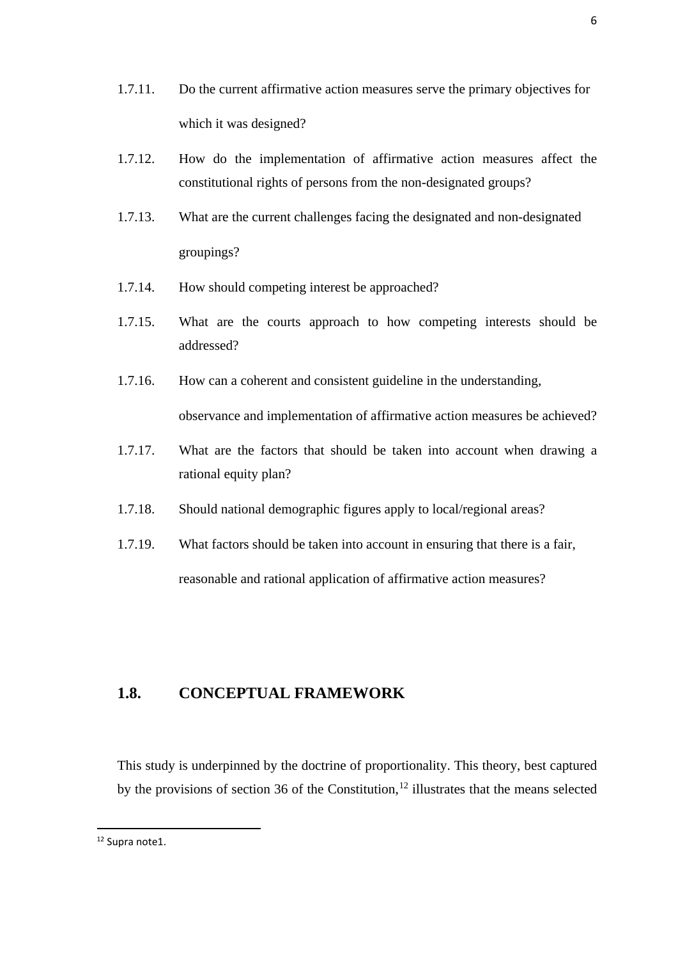- 1.7.11. Do the current affirmative action measures serve the primary objectives for which it was designed?
- 1.7.12. How do the implementation of affirmative action measures affect the constitutional rights of persons from the non-designated groups?
- 1.7.13. What are the current challenges facing the designated and non-designated groupings?
- 1.7.14. How should competing interest be approached?
- 1.7.15. What are the courts approach to how competing interests should be addressed?
- 1.7.16. How can a coherent and consistent guideline in the understanding, observance and implementation of affirmative action measures be achieved?
- 1.7.17. What are the factors that should be taken into account when drawing a rational equity plan?
- 1.7.18. Should national demographic figures apply to local/regional areas?
- 1.7.19. What factors should be taken into account in ensuring that there is a fair, reasonable and rational application of affirmative action measures?

# **1.8. CONCEPTUAL FRAMEWORK**

This study is underpinned by the doctrine of proportionality. This theory, best captured by the provisions of section 36 of the Constitution, [12](#page-14-0) illustrates that the means selected

<span id="page-14-0"></span><sup>&</sup>lt;sup>12</sup> Supra note1.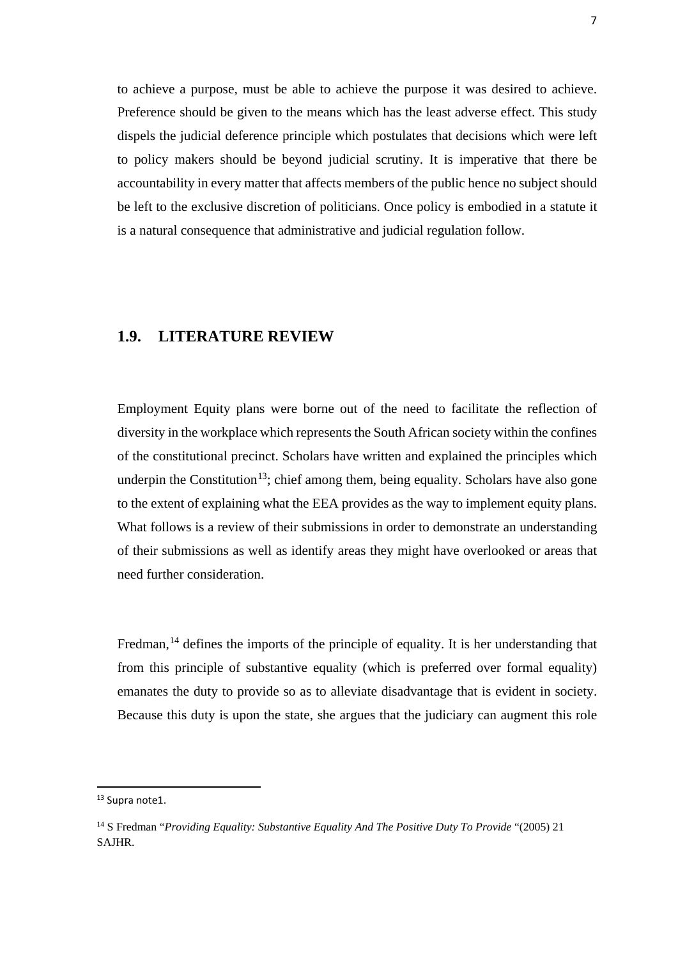to achieve a purpose, must be able to achieve the purpose it was desired to achieve. Preference should be given to the means which has the least adverse effect. This study dispels the judicial deference principle which postulates that decisions which were left to policy makers should be beyond judicial scrutiny. It is imperative that there be accountability in every matter that affects members of the public hence no subject should be left to the exclusive discretion of politicians. Once policy is embodied in a statute it is a natural consequence that administrative and judicial regulation follow.

# **1.9. LITERATURE REVIEW**

Employment Equity plans were borne out of the need to facilitate the reflection of diversity in the workplace which represents the South African society within the confines of the constitutional precinct. Scholars have written and explained the principles which underpin the Constitution<sup>13</sup>; chief among them, being equality. Scholars have also gone to the extent of explaining what the EEA provides as the way to implement equity plans. What follows is a review of their submissions in order to demonstrate an understanding of their submissions as well as identify areas they might have overlooked or areas that need further consideration.

Fredman,  $^{14}$  $^{14}$  $^{14}$  defines the imports of the principle of equality. It is her understanding that from this principle of substantive equality (which is preferred over formal equality) emanates the duty to provide so as to alleviate disadvantage that is evident in society. Because this duty is upon the state, she argues that the judiciary can augment this role

**.** 

<span id="page-15-0"></span><sup>&</sup>lt;sup>13</sup> Supra note1.

<span id="page-15-1"></span><sup>14</sup> S Fredman "*Providing Equality: Substantive Equality And The Positive Duty To Provide* "(2005) 21 SAJHR.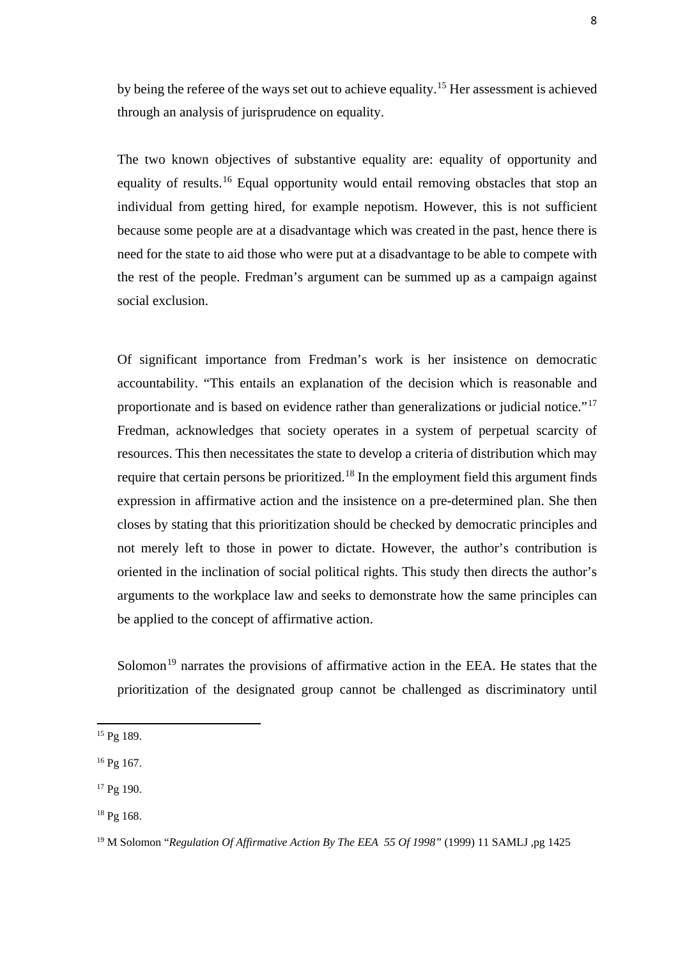by being the referee of the ways set out to achieve equality.[15](#page-16-0) Her assessment is achieved through an analysis of jurisprudence on equality.

The two known objectives of substantive equality are: equality of opportunity and equality of results.<sup>[16](#page-16-1)</sup> Equal opportunity would entail removing obstacles that stop an individual from getting hired, for example nepotism. However, this is not sufficient because some people are at a disadvantage which was created in the past, hence there is need for the state to aid those who were put at a disadvantage to be able to compete with the rest of the people. Fredman's argument can be summed up as a campaign against social exclusion.

Of significant importance from Fredman's work is her insistence on democratic accountability. "This entails an explanation of the decision which is reasonable and proportionate and is based on evidence rather than generalizations or judicial notice."[17](#page-16-2) Fredman, acknowledges that society operates in a system of perpetual scarcity of resources. This then necessitates the state to develop a criteria of distribution which may require that certain persons be prioritized.[18](#page-16-3) In the employment field this argument finds expression in affirmative action and the insistence on a pre-determined plan. She then closes by stating that this prioritization should be checked by democratic principles and not merely left to those in power to dictate. However, the author's contribution is oriented in the inclination of social political rights. This study then directs the author's arguments to the workplace law and seeks to demonstrate how the same principles can be applied to the concept of affirmative action.

Solomon<sup>[19](#page-16-4)</sup> narrates the provisions of affirmative action in the EEA. He states that the prioritization of the designated group cannot be challenged as discriminatory until

 $\overline{a}$ 

<span id="page-16-0"></span><sup>&</sup>lt;sup>15</sup> Pg 189.

<span id="page-16-1"></span> $16$  Pg 167.

<span id="page-16-2"></span> $17$  Pg 190.

<span id="page-16-3"></span><sup>18</sup> Pg 168.

<span id="page-16-4"></span><sup>19</sup> M Solomon "*Regulation Of Affirmative Action By The EEA 55 Of 1998"* (1999) 11 SAMLJ ,pg 1425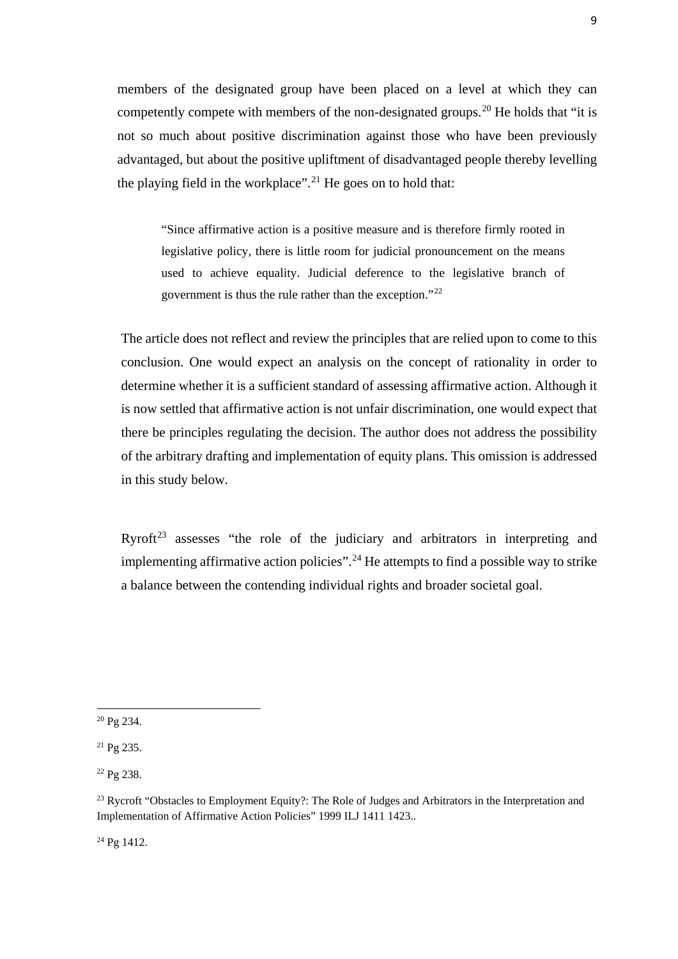members of the designated group have been placed on a level at which they can competently compete with members of the non-designated groups.<sup>[20](#page-17-0)</sup> He holds that "it is not so much about positive discrimination against those who have been previously advantaged, but about the positive upliftment of disadvantaged people thereby levelling the playing field in the workplace".<sup>21</sup> He goes on to hold that:

"Since affirmative action is a positive measure and is therefore firmly rooted in legislative policy, there is little room for judicial pronouncement on the means used to achieve equality. Judicial deference to the legislative branch of government is thus the rule rather than the exception."[22](#page-17-2)

The article does not reflect and review the principles that are relied upon to come to this conclusion. One would expect an analysis on the concept of rationality in order to determine whether it is a sufficient standard of assessing affirmative action. Although it is now settled that affirmative action is not unfair discrimination, one would expect that there be principles regulating the decision. The author does not address the possibility of the arbitrary drafting and implementation of equity plans. This omission is addressed in this study below.

Ryroft<sup>[23](#page-17-3)</sup> assesses "the role of the judiciary and arbitrators in interpreting and implementing affirmative action policies".[24](#page-17-4) He attempts to find a possible way to strike a balance between the contending individual rights and broader societal goal.

<u>.</u>

<span id="page-17-4"></span><sup>24</sup> Pg 1412.

<span id="page-17-0"></span><sup>20</sup> Pg 234.

<span id="page-17-1"></span><sup>21</sup> Pg 235.

<span id="page-17-2"></span><sup>22</sup> Pg 238.

<span id="page-17-3"></span><sup>&</sup>lt;sup>23</sup> Rycroft "Obstacles to Employment Equity?: The Role of Judges and Arbitrators in the Interpretation and Implementation of Affirmative Action Policies" 1999 ILJ 1411 1423..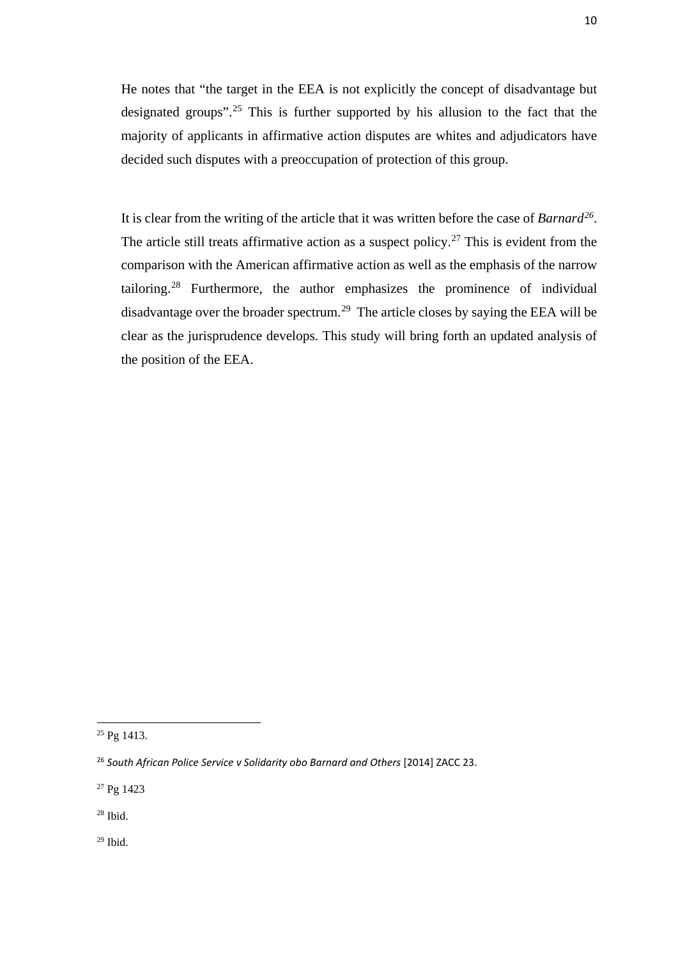He notes that "the target in the EEA is not explicitly the concept of disadvantage but designated groups".[25](#page-18-0) This is further supported by his allusion to the fact that the majority of applicants in affirmative action disputes are whites and adjudicators have decided such disputes with a preoccupation of protection of this group.

It is clear from the writing of the article that it was written before the case of *Barnard[26](#page-18-1)*. The article still treats affirmative action as a suspect policy.<sup>[27](#page-18-2)</sup> This is evident from the comparison with the American affirmative action as well as the emphasis of the narrow tailoring.[28](#page-18-3) Furthermore, the author emphasizes the prominence of individual disadvantage over the broader spectrum.[29](#page-18-4) The article closes by saying the EEA will be clear as the jurisprudence develops. This study will bring forth an updated analysis of the position of the EEA.

<u>.</u>

<span id="page-18-2"></span><sup>27</sup> Pg 1423

<span id="page-18-3"></span> $28$  Ibid.

<span id="page-18-4"></span> $29$  Ibid.

<span id="page-18-0"></span> $25$  Pg 1413.

<span id="page-18-1"></span><sup>26</sup> *South African Police Service v Solidarity obo Barnard and Others* [2014] ZACC 23.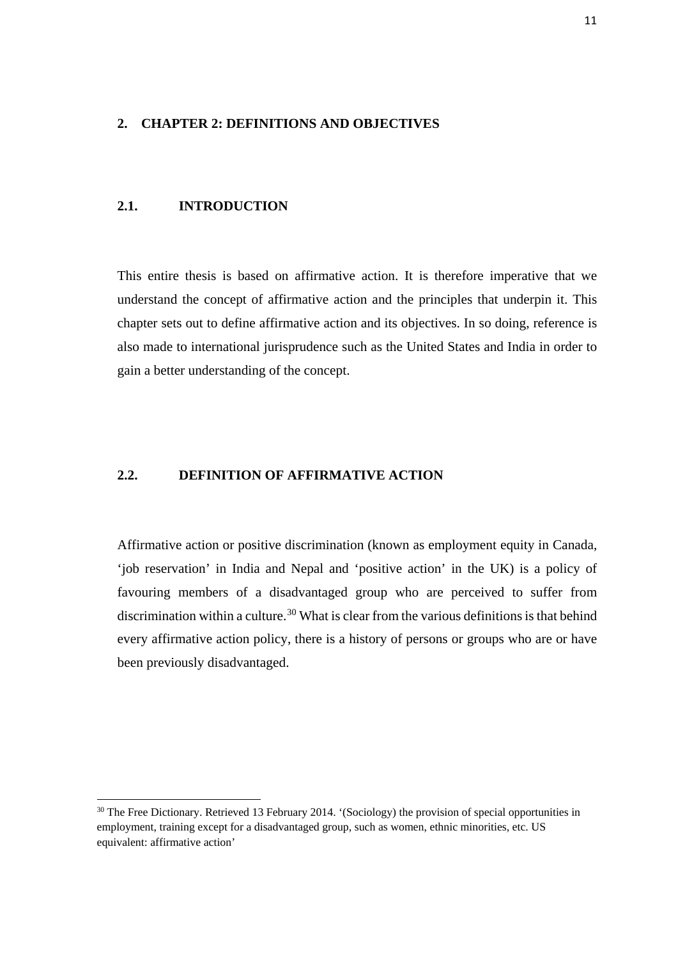#### **2. CHAPTER 2: DEFINITIONS AND OBJECTIVES**

### **2.1. INTRODUCTION**

**.** 

This entire thesis is based on affirmative action. It is therefore imperative that we understand the concept of affirmative action and the principles that underpin it. This chapter sets out to define affirmative action and its objectives. In so doing, reference is also made to international jurisprudence such as the United States and India in order to gain a better understanding of the concept.

### **2.2. DEFINITION OF AFFIRMATIVE ACTION**

Affirmative action or positive discrimination (known as employment equity in Canada, 'job reservation' in India and Nepal and 'positive action' in the UK) is a policy of favouring members of a disadvantaged group who are perceived to suffer from discrimination within a culture.<sup>[30](#page-19-0)</sup> What is clear from the various definitions is that behind every affirmative action policy, there is a history of persons or groups who are or have been previously disadvantaged.

<span id="page-19-0"></span><sup>&</sup>lt;sup>30</sup> The Free Dictionary. Retrieved 13 February 2014. '(Sociology) the provision of special opportunities in employment, training except for a disadvantaged group, such as women, ethnic minorities, etc. US equivalent: affirmative action'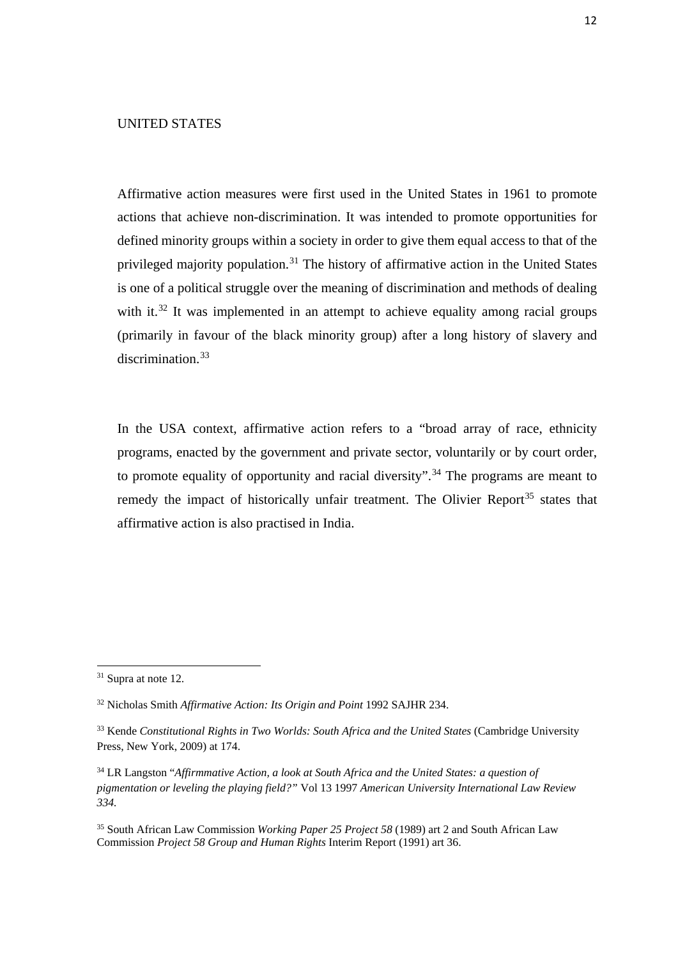### UNITED STATES

Affirmative action measures were first used in the United States in 1961 to promote actions that achieve non-discrimination. It was intended to promote opportunities for defined minority groups within a society in order to give them equal access to that of the privileged majority population.<sup>[31](#page-20-0)</sup> The history of affirmative action in the United States is one of a political struggle over the meaning of discrimination and methods of dealing with it.<sup>[32](#page-20-1)</sup> It was implemented in an attempt to achieve equality among racial groups (primarily in favour of the black minority group) after a long history of slavery and discrimination.[33](#page-20-2)

In the USA context, affirmative action refers to a "broad array of race, ethnicity programs, enacted by the government and private sector, voluntarily or by court order, to promote equality of opportunity and racial diversity".<sup>[34](#page-20-3)</sup> The programs are meant to remedy the impact of historically unfair treatment. The Olivier Report<sup>[35](#page-20-4)</sup> states that affirmative action is also practised in India.

 $\overline{a}$ 

<span id="page-20-0"></span><sup>&</sup>lt;sup>31</sup> Supra at note 12.

<span id="page-20-1"></span><sup>32</sup> Nicholas Smith *Affirmative Action: Its Origin and Point* 1992 SAJHR 234.

<span id="page-20-2"></span><sup>&</sup>lt;sup>33</sup> Kende *Constitutional Rights in Two Worlds: South Africa and the United States* (Cambridge University Press, New York, 2009) at 174.

<span id="page-20-3"></span><sup>34</sup> LR Langston "*Affirmmative Action, a look at South Africa and the United States: a question of pigmentation or leveling the playing field?"* Vol 13 1997 *American University International Law Review 334.*

<span id="page-20-4"></span><sup>35</sup> South African Law Commission *Working Paper 25 Project 58* (1989) art 2 and South African Law Commission *Project 58 Group and Human Rights* Interim Report (1991) art 36.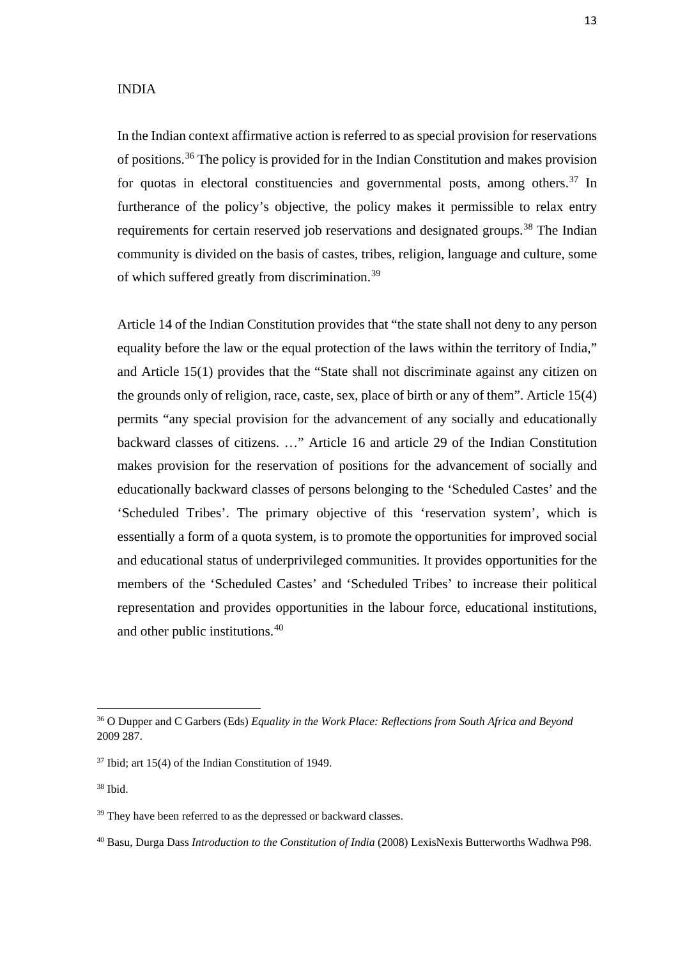#### INDIA

In the Indian context affirmative action is referred to as special provision for reservations of positions. [36](#page-21-0) The policy is provided for in the Indian Constitution and makes provision for quotas in electoral constituencies and governmental posts, among others.<sup>[37](#page-21-1)</sup> In furtherance of the policy's objective, the policy makes it permissible to relax entry requirements for certain reserved job reservations and designated groups.<sup>[38](#page-21-2)</sup> The Indian community is divided on the basis of castes, tribes, religion, language and culture, some of which suffered greatly from discrimination.[39](#page-21-3)

Article 14 of the Indian Constitution provides that "the state shall not deny to any person equality before the law or the equal protection of the laws within the territory of India," and Article 15(1) provides that the "State shall not discriminate against any citizen on the grounds only of religion, race, caste, sex, place of birth or any of them". Article 15(4) permits "any special provision for the advancement of any socially and educationally backward classes of citizens. …" Article 16 and article 29 of the Indian Constitution makes provision for the reservation of positions for the advancement of socially and educationally backward classes of persons belonging to the 'Scheduled Castes' and the 'Scheduled Tribes'. The primary objective of this 'reservation system', which is essentially a form of a quota system, is to promote the opportunities for improved social and educational status of underprivileged communities. It provides opportunities for the members of the 'Scheduled Castes' and 'Scheduled Tribes' to increase their political representation and provides opportunities in the labour force, educational institutions, and other public institutions.[40](#page-21-4)

<span id="page-21-0"></span><sup>36</sup> O Dupper and C Garbers (Eds) *Equality in the Work Place: Reflections from South Africa and Beyond*  2009 287.

<span id="page-21-1"></span> $37$  Ibid; art 15(4) of the Indian Constitution of 1949.

<span id="page-21-2"></span><sup>38</sup> Ibid.

<span id="page-21-3"></span> $39$  They have been referred to as the depressed or backward classes.

<span id="page-21-4"></span><sup>40</sup> Basu, Durga Dass *Introduction to the Constitution of India* (2008) LexisNexis Butterworths Wadhwa P98.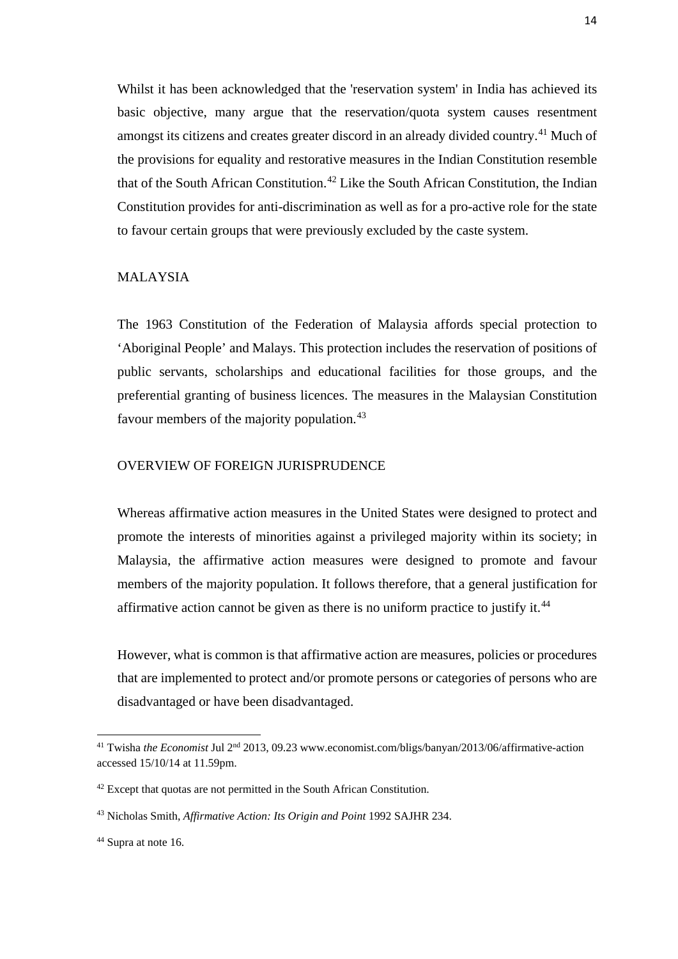Whilst it has been acknowledged that the 'reservation system' in India has achieved its basic objective, many argue that the reservation/quota system causes resentment amongst its citizens and creates greater discord in an already divided country.<sup>41</sup> Much of the provisions for equality and restorative measures in the Indian Constitution resemble that of the South African Constitution.<sup>[42](#page-22-1)</sup> Like the South African Constitution, the Indian Constitution provides for anti-discrimination as well as for a pro-active role for the state to favour certain groups that were previously excluded by the caste system.

### MALAYSIA

The 1963 Constitution of the Federation of Malaysia affords special protection to 'Aboriginal People' and Malays. This protection includes the reservation of positions of public servants, scholarships and educational facilities for those groups, and the preferential granting of business licences. The measures in the Malaysian Constitution favour members of the majority population.<sup>[43](#page-22-2)</sup>

#### OVERVIEW OF FOREIGN JURISPRUDENCE

Whereas affirmative action measures in the United States were designed to protect and promote the interests of minorities against a privileged majority within its society; in Malaysia, the affirmative action measures were designed to promote and favour members of the majority population. It follows therefore, that a general justification for affirmative action cannot be given as there is no uniform practice to justify it.<sup>[44](#page-22-3)</sup>

However, what is common is that affirmative action are measures, policies or procedures that are implemented to protect and/or promote persons or categories of persons who are disadvantaged or have been disadvantaged.

<span id="page-22-0"></span><sup>41</sup> Twisha *the Economist* Jul 2nd 2013, 09.23 www.economist.com/bligs/banyan/2013/06/affirmative-action accessed 15/10/14 at 11.59pm.

<span id="page-22-1"></span><sup>&</sup>lt;sup>42</sup> Except that quotas are not permitted in the South African Constitution.

<span id="page-22-2"></span><sup>43</sup> Nicholas Smith, *Affirmative Action: Its Origin and Point* 1992 SAJHR 234.

<span id="page-22-3"></span><sup>44</sup> Supra at note 16.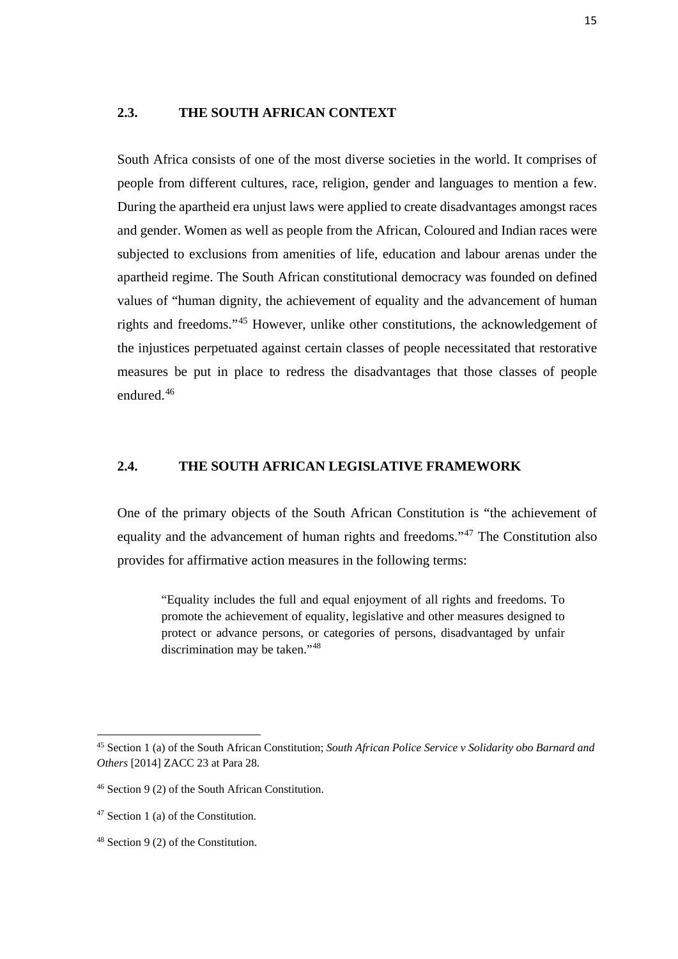#### **2.3. THE SOUTH AFRICAN CONTEXT**

South Africa consists of one of the most diverse societies in the world. It comprises of people from different cultures, race, religion, gender and languages to mention a few. During the apartheid era unjust laws were applied to create disadvantages amongst races and gender. Women as well as people from the African, Coloured and Indian races were subjected to exclusions from amenities of life, education and labour arenas under the apartheid regime. The South African constitutional democracy was founded on defined values of "human dignity, the achievement of equality and the advancement of human rights and freedoms."[45](#page-23-0) However, unlike other constitutions, the acknowledgement of the injustices perpetuated against certain classes of people necessitated that restorative measures be put in place to redress the disadvantages that those classes of people endured.[46](#page-23-1)

#### **2.4. THE SOUTH AFRICAN LEGISLATIVE FRAMEWORK**

One of the primary objects of the South African Constitution is "the achievement of equality and the advancement of human rights and freedoms."[47](#page-23-2) The Constitution also provides for affirmative action measures in the following terms:

"Equality includes the full and equal enjoyment of all rights and freedoms. To promote the achievement of equality, legislative and other measures designed to protect or advance persons, or categories of persons, disadvantaged by unfair discrimination may be taken."<sup>[48](#page-23-3)</sup>

<span id="page-23-0"></span><sup>45</sup> Section 1 (a) of the South African Constitution; *South African Police Service v Solidarity obo Barnard and Others* [2014] ZACC 23 at Para 28.

<span id="page-23-1"></span><sup>46</sup> Section 9 (2) of the South African Constitution.

<span id="page-23-2"></span><sup>47</sup> Section 1 (a) of the Constitution.

<span id="page-23-3"></span><sup>48</sup> Section 9 (2) of the Constitution.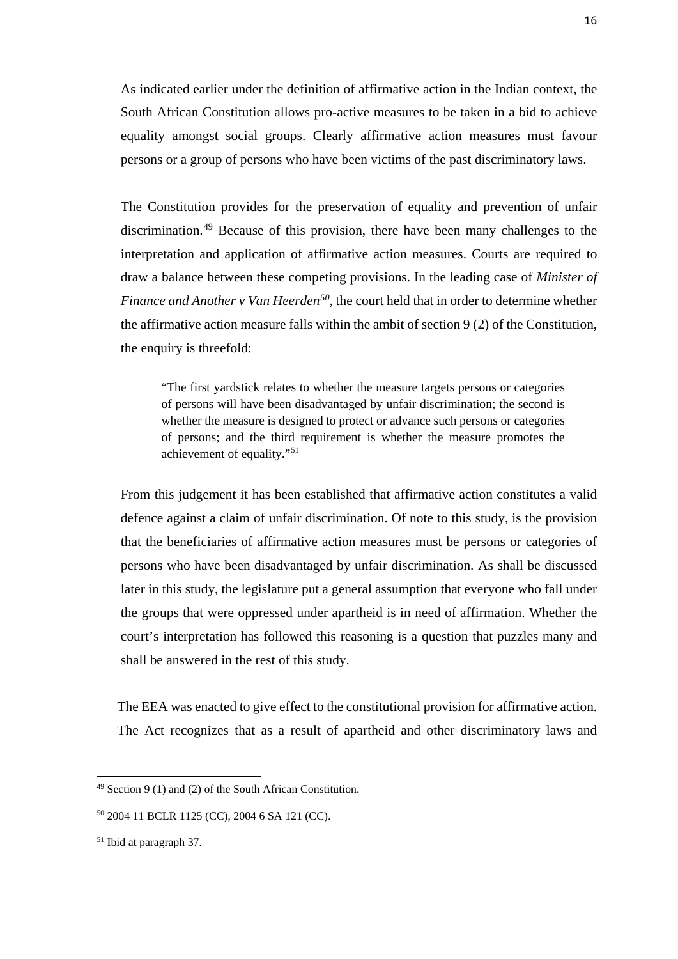As indicated earlier under the definition of affirmative action in the Indian context, the South African Constitution allows pro-active measures to be taken in a bid to achieve equality amongst social groups. Clearly affirmative action measures must favour persons or a group of persons who have been victims of the past discriminatory laws.

The Constitution provides for the preservation of equality and prevention of unfair discrimination.[49](#page-24-0) Because of this provision, there have been many challenges to the interpretation and application of affirmative action measures. Courts are required to draw a balance between these competing provisions. In the leading case of *Minister of Finance and Another v Van Heerden[50,](#page-24-1)* the court held that in order to determine whether the affirmative action measure falls within the ambit of section 9 (2) of the Constitution, the enquiry is threefold:

"The first yardstick relates to whether the measure targets persons or categories of persons will have been disadvantaged by unfair discrimination; the second is whether the measure is designed to protect or advance such persons or categories of persons; and the third requirement is whether the measure promotes the achievement of equality."[51](#page-24-2)

From this judgement it has been established that affirmative action constitutes a valid defence against a claim of unfair discrimination. Of note to this study, is the provision that the beneficiaries of affirmative action measures must be persons or categories of persons who have been disadvantaged by unfair discrimination. As shall be discussed later in this study, the legislature put a general assumption that everyone who fall under the groups that were oppressed under apartheid is in need of affirmation. Whether the court's interpretation has followed this reasoning is a question that puzzles many and shall be answered in the rest of this study.

The EEA was enacted to give effect to the constitutional provision for affirmative action. The Act recognizes that as a result of apartheid and other discriminatory laws and

<span id="page-24-0"></span><sup>49</sup> Section 9 (1) and (2) of the South African Constitution.

<span id="page-24-1"></span><sup>50</sup> 2004 11 BCLR 1125 (CC), 2004 6 SA 121 (CC).

<span id="page-24-2"></span><sup>51</sup> Ibid at paragraph 37.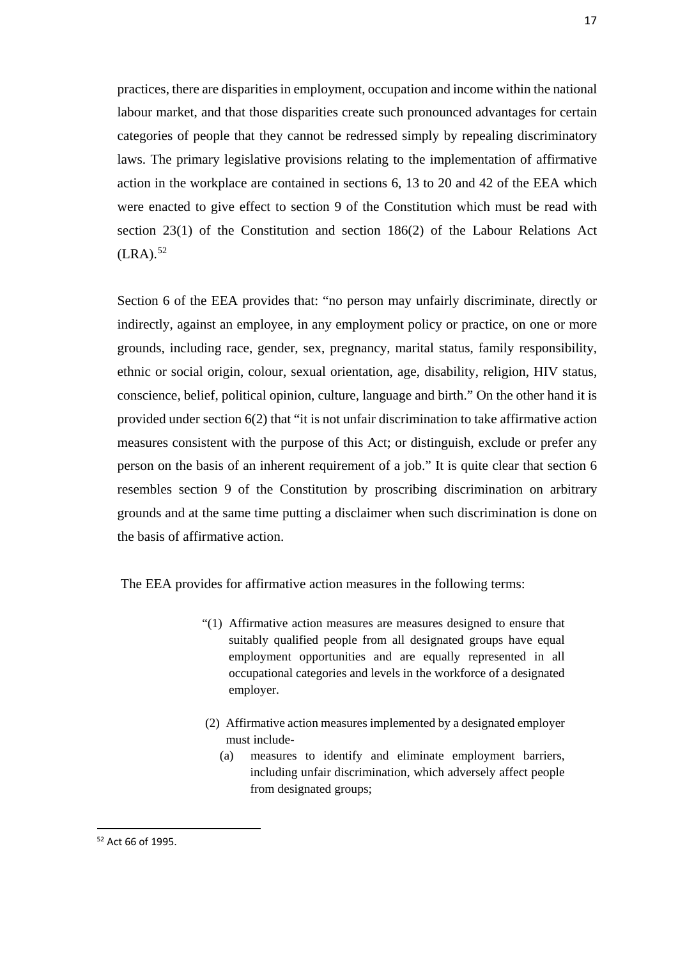practices, there are disparities in employment, occupation and income within the national labour market, and that those disparities create such pronounced advantages for certain categories of people that they cannot be redressed simply by repealing discriminatory laws. The primary legislative provisions relating to the implementation of affirmative action in the workplace are contained in sections 6, 13 to 20 and 42 of the EEA which were enacted to give effect to section 9 of the Constitution which must be read with section 23(1) of the Constitution and section 186(2) of the Labour Relations Act  $(LRA).$ <sup>52</sup>

Section 6 of the EEA provides that: "no person may unfairly discriminate, directly or indirectly, against an employee, in any employment policy or practice, on one or more grounds, including race, gender, sex, pregnancy, marital status, family responsibility, ethnic or social origin, colour, sexual orientation, age, disability, religion, HIV status, conscience, belief, political opinion, culture, language and birth." On the other hand it is provided under section 6(2) that "it is not unfair discrimination to take affirmative action measures consistent with the purpose of this Act; or distinguish, exclude or prefer any person on the basis of an inherent requirement of a job." It is quite clear that section 6 resembles section 9 of the Constitution by proscribing discrimination on arbitrary grounds and at the same time putting a disclaimer when such discrimination is done on the basis of affirmative action.

The EEA provides for affirmative action measures in the following terms:

- "(1) Affirmative action measures are measures designed to ensure that suitably qualified people from all designated groups have equal employment opportunities and are equally represented in all occupational categories and levels in the workforce of a designated employer.
- (2) Affirmative action measures implemented by a designated employer must include-
	- (a) measures to identify and eliminate employment barriers, including unfair discrimination, which adversely affect people from designated groups;

<sup>17</sup>

<span id="page-25-0"></span><sup>52</sup> Act 66 of 1995.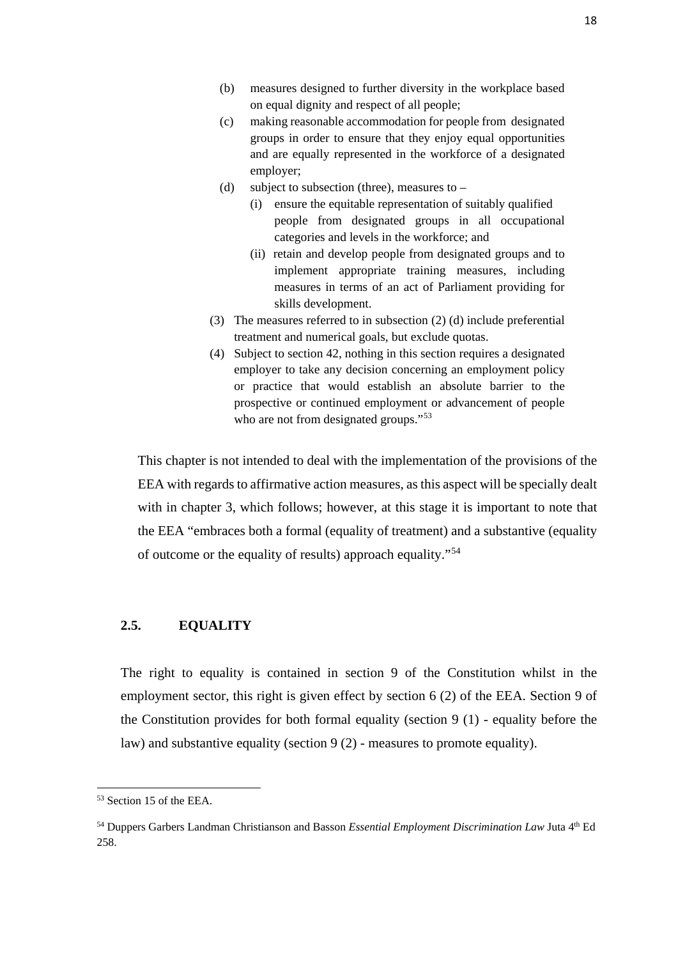- (b) measures designed to further diversity in the workplace based on equal dignity and respect of all people;
- (c) making reasonable accommodation for people from designated groups in order to ensure that they enjoy equal opportunities and are equally represented in the workforce of a designated employer;
- (d) subject to subsection (three), measures to
	- (i) ensure the equitable representation of suitably qualified people from designated groups in all occupational categories and levels in the workforce; and
	- (ii) retain and develop people from designated groups and to implement appropriate training measures, including measures in terms of an act of Parliament providing for skills development.
- (3) The measures referred to in subsection (2) (d) include preferential treatment and numerical goals, but exclude quotas.
- (4) Subject to section 42, nothing in this section requires a designated employer to take any decision concerning an employment policy or practice that would establish an absolute barrier to the prospective or continued employment or advancement of people who are not from designated groups."<sup>[53](#page-26-0)</sup>

This chapter is not intended to deal with the implementation of the provisions of the EEA with regards to affirmative action measures, as this aspect will be specially dealt with in chapter 3, which follows; however, at this stage it is important to note that the EEA "embraces both a formal (equality of treatment) and a substantive (equality of outcome or the equality of results) approach equality."[54](#page-26-1)

### **2.5. EQUALITY**

The right to equality is contained in section 9 of the Constitution whilst in the employment sector, this right is given effect by section 6 (2) of the EEA. Section 9 of the Constitution provides for both formal equality (section 9 (1) - equality before the law) and substantive equality (section 9 (2) - measures to promote equality).

<span id="page-26-0"></span><sup>53</sup> Section 15 of the EEA.

<span id="page-26-1"></span><sup>54</sup> Duppers Garbers Landman Christianson and Basson *Essential Employment Discrimination Law* Juta 4th Ed 258.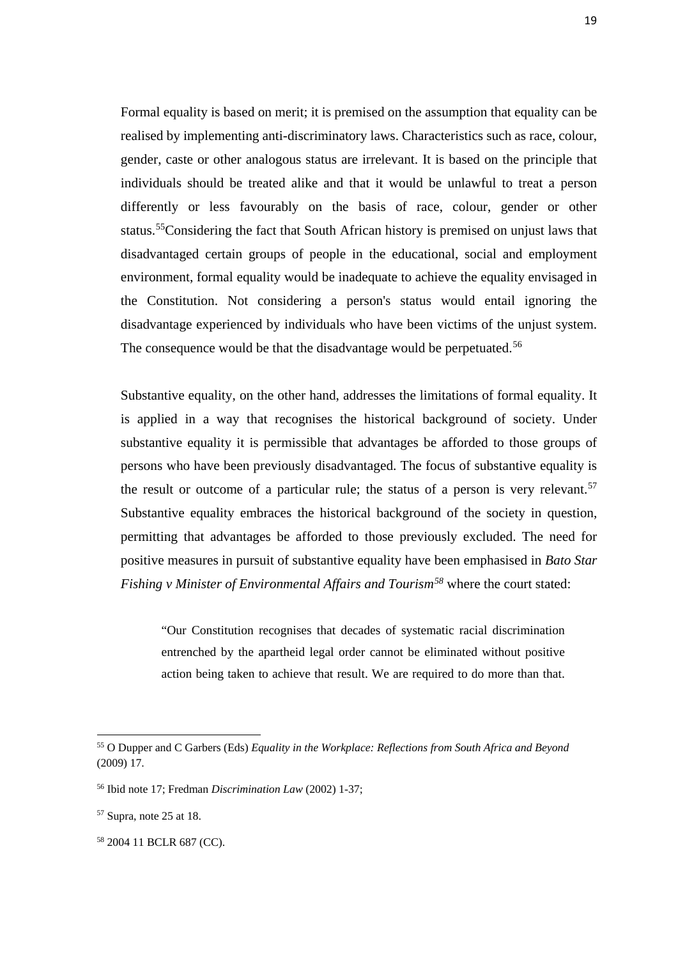Formal equality is based on merit; it is premised on the assumption that equality can be realised by implementing anti-discriminatory laws. Characteristics such as race, colour, gender, caste or other analogous status are irrelevant. It is based on the principle that individuals should be treated alike and that it would be unlawful to treat a person differently or less favourably on the basis of race, colour, gender or other status.[55C](#page-27-0)onsidering the fact that South African history is premised on unjust laws that disadvantaged certain groups of people in the educational, social and employment environment, formal equality would be inadequate to achieve the equality envisaged in the Constitution. Not considering a person's status would entail ignoring the disadvantage experienced by individuals who have been victims of the unjust system. The consequence would be that the disadvantage would be perpetuated.<sup>[56](#page-27-1)</sup>

Substantive equality, on the other hand, addresses the limitations of formal equality. It is applied in a way that recognises the historical background of society. Under substantive equality it is permissible that advantages be afforded to those groups of persons who have been previously disadvantaged. The focus of substantive equality is the result or outcome of a particular rule; the status of a person is very relevant.<sup>[57](#page-27-2)</sup> Substantive equality embraces the historical background of the society in question, permitting that advantages be afforded to those previously excluded. The need for positive measures in pursuit of substantive equality have been emphasised in *Bato Star Fishing v Minister of Environmental Affairs and Tourism[58](#page-27-3)* where the court stated:

"Our Constitution recognises that decades of systematic racial discrimination entrenched by the apartheid legal order cannot be eliminated without positive action being taken to achieve that result. We are required to do more than that.

<span id="page-27-0"></span><sup>55</sup> O Dupper and C Garbers (Eds) *Equality in the Workplace: Reflections from South Africa and Beyond*  (2009) 17.

<span id="page-27-1"></span><sup>56</sup> Ibid note 17; Fredman *Discrimination Law* (2002) 1-37;

<span id="page-27-2"></span><sup>57</sup> Supra, note 25 at 18.

<span id="page-27-3"></span><sup>58</sup> 2004 11 BCLR 687 (CC).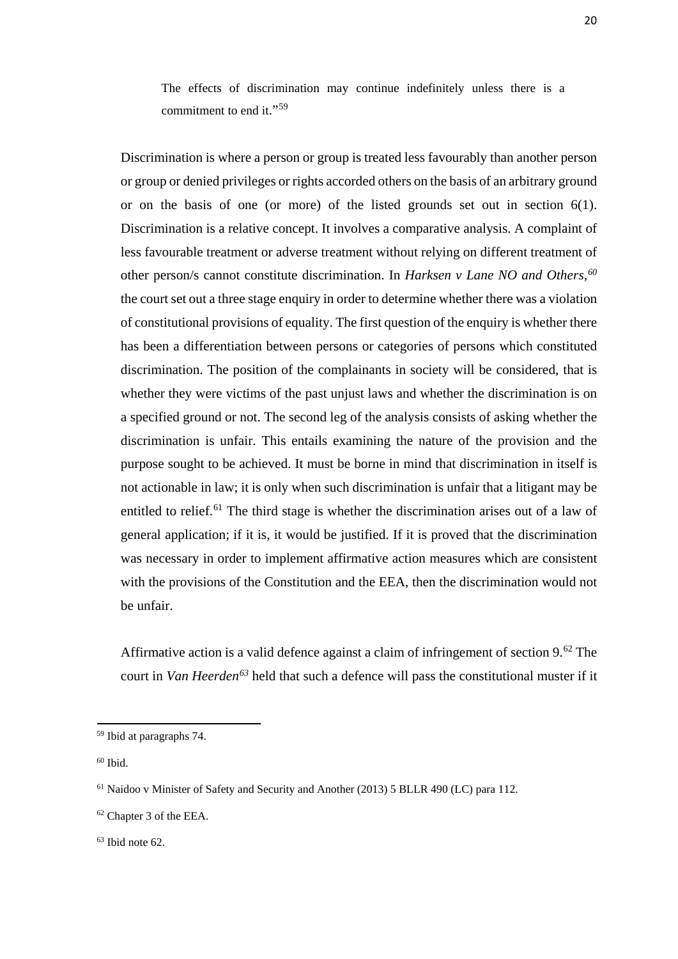The effects of discrimination may continue indefinitely unless there is a commitment to end it."<sup>[59](#page-28-0)</sup>

Discrimination is where a person or group is treated less favourably than another person or group or denied privileges or rights accorded others on the basis of an arbitrary ground or on the basis of one (or more) of the listed grounds set out in section 6(1). Discrimination is a relative concept. It involves a comparative analysis. A complaint of less favourable treatment or adverse treatment without relying on different treatment of other person/s cannot constitute discrimination. In *Harksen v Lane NO and Others,[60](#page-28-1)* the court set out a three stage enquiry in order to determine whether there was a violation of constitutional provisions of equality. The first question of the enquiry is whether there has been a differentiation between persons or categories of persons which constituted discrimination. The position of the complainants in society will be considered, that is whether they were victims of the past unjust laws and whether the discrimination is on a specified ground or not. The second leg of the analysis consists of asking whether the discrimination is unfair. This entails examining the nature of the provision and the purpose sought to be achieved. It must be borne in mind that discrimination in itself is not actionable in law; it is only when such discrimination is unfair that a litigant may be entitled to relief.<sup>[61](#page-28-2)</sup> The third stage is whether the discrimination arises out of a law of general application; if it is, it would be justified. If it is proved that the discrimination was necessary in order to implement affirmative action measures which are consistent with the provisions of the Constitution and the EEA, then the discrimination would not be unfair.

Affirmative action is a valid defence against a claim of infringement of section 9.<sup>[62](#page-28-3)</sup> The court in *Van Heerden[63](#page-28-4)* held that such a defence will pass the constitutional muster if it

 $\overline{\phantom{a}}$ 

<span id="page-28-0"></span><sup>59</sup> Ibid at paragraphs 74.

<span id="page-28-1"></span> $60$  Ibid.

<span id="page-28-2"></span><sup>61</sup> Naidoo v Minister of Safety and Security and Another (2013) 5 BLLR 490 (LC) para 112.

<span id="page-28-3"></span><sup>62</sup> Chapter 3 of the EEA.

<span id="page-28-4"></span> $63$  Ibid note  $62$ .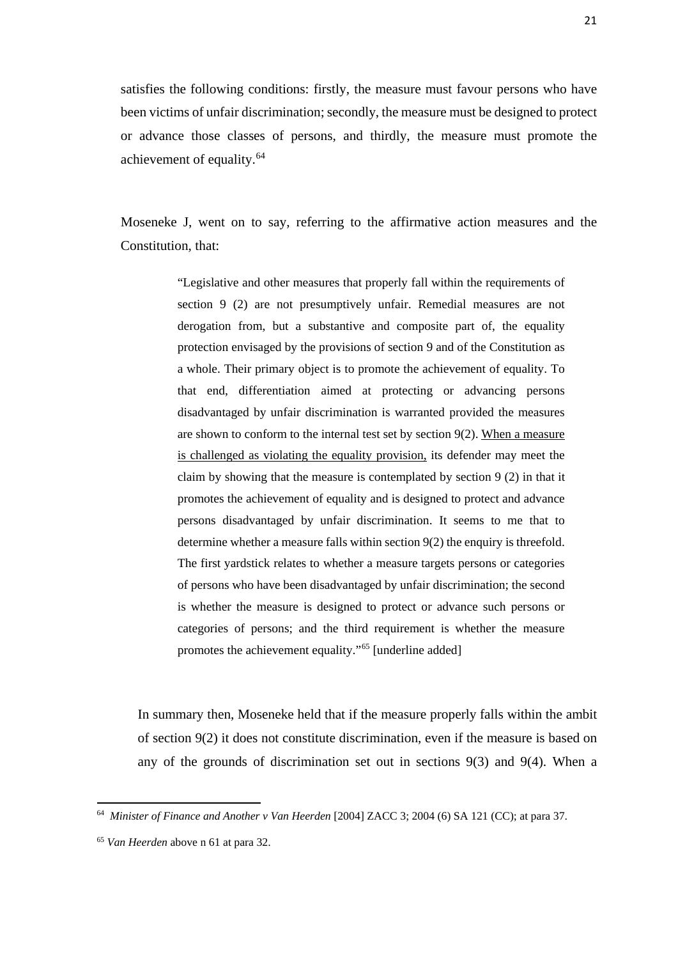satisfies the following conditions: firstly, the measure must favour persons who have been victims of unfair discrimination; secondly, the measure must be designed to protect or advance those classes of persons, and thirdly, the measure must promote the achievement of equality.<sup>64</sup>

Moseneke J, went on to say, referring to the affirmative action measures and the Constitution, that:

> "Legislative and other measures that properly fall within the requirements of section 9 (2) are not presumptively unfair. Remedial measures are not derogation from, but a substantive and composite part of, the equality protection envisaged by the provisions of section 9 and of the Constitution as a whole. Their primary object is to promote the achievement of equality. To that end, differentiation aimed at protecting or advancing persons disadvantaged by unfair discrimination is warranted provided the measures are shown to conform to the internal test set by section 9(2). When a measure is challenged as violating the equality provision, its defender may meet the claim by showing that the measure is contemplated by section 9 (2) in that it promotes the achievement of equality and is designed to protect and advance persons disadvantaged by unfair discrimination. It seems to me that to determine whether a measure falls within section 9(2) the enquiry is threefold. The first yardstick relates to whether a measure targets persons or categories of persons who have been disadvantaged by unfair discrimination; the second is whether the measure is designed to protect or advance such persons or categories of persons; and the third requirement is whether the measure promotes the achievement equality."[65](#page-29-1) [underline added]

In summary then, Moseneke held that if the measure properly falls within the ambit of section 9(2) it does not constitute discrimination, even if the measure is based on any of the grounds of discrimination set out in sections 9(3) and 9(4). When a

<span id="page-29-0"></span><sup>&</sup>lt;sup>64</sup> Minister of Finance and Another v Van Heerden [2004] ZACC 3; 2004 (6) SA 121 (CC); at para 37.

<span id="page-29-1"></span><sup>65</sup> *Van Heerden* above n 61 at para 32.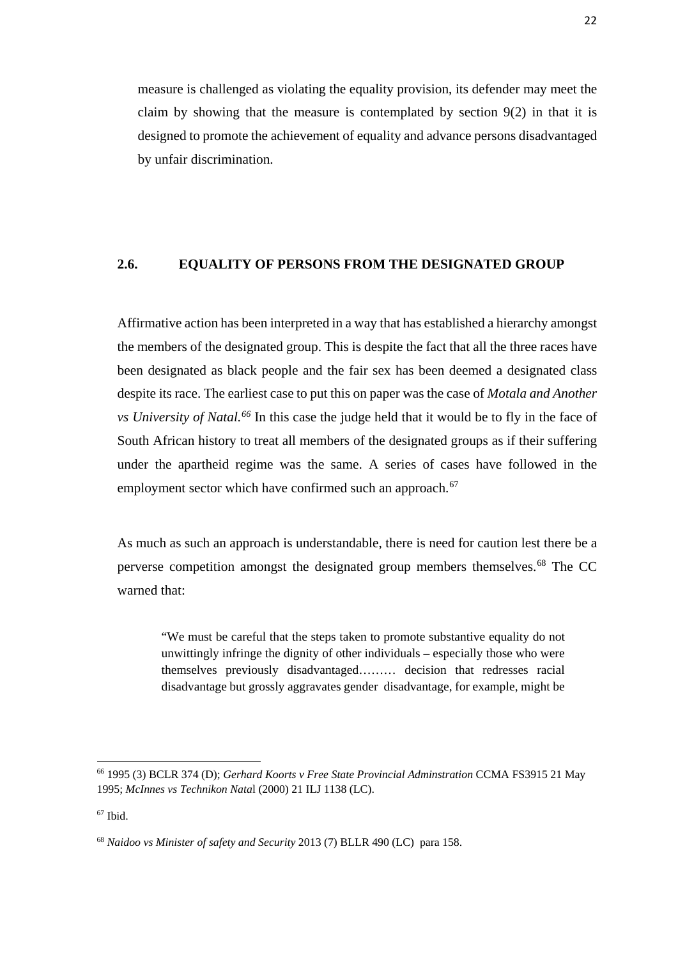measure is challenged as violating the equality provision, its defender may meet the claim by showing that the measure is contemplated by section 9(2) in that it is designed to promote the achievement of equality and advance persons disadvantaged by unfair discrimination.

### **2.6. EQUALITY OF PERSONS FROM THE DESIGNATED GROUP**

Affirmative action has been interpreted in a way that has established a hierarchy amongst the members of the designated group. This is despite the fact that all the three races have been designated as black people and the fair sex has been deemed a designated class despite its race. The earliest case to put this on paper was the case of *Motala and Another vs University of Natal.[66](#page-30-0)* In this case the judge held that it would be to fly in the face of South African history to treat all members of the designated groups as if their suffering under the apartheid regime was the same. A series of cases have followed in the employment sector which have confirmed such an approach.<sup>[67](#page-30-1)</sup>

As much as such an approach is understandable, there is need for caution lest there be a perverse competition amongst the designated group members themselves.[68](#page-30-2) The CC warned that:

"We must be careful that the steps taken to promote substantive equality do not unwittingly infringe the dignity of other individuals – especially those who were themselves previously disadvantaged……… decision that redresses racial disadvantage but grossly aggravates gender disadvantage, for example, might be

<span id="page-30-0"></span><sup>66</sup> 1995 (3) BCLR 374 (D); *Gerhard Koorts v Free State Provincial Adminstration* CCMA FS3915 21 May 1995; *McInnes vs Technikon Nata*l (2000) 21 ILJ 1138 (LC).

<span id="page-30-1"></span> $67$  Ibid.

<span id="page-30-2"></span><sup>68</sup> *Naidoo vs Minister of safety and Security* 2013 (7) BLLR 490 (LC) para 158.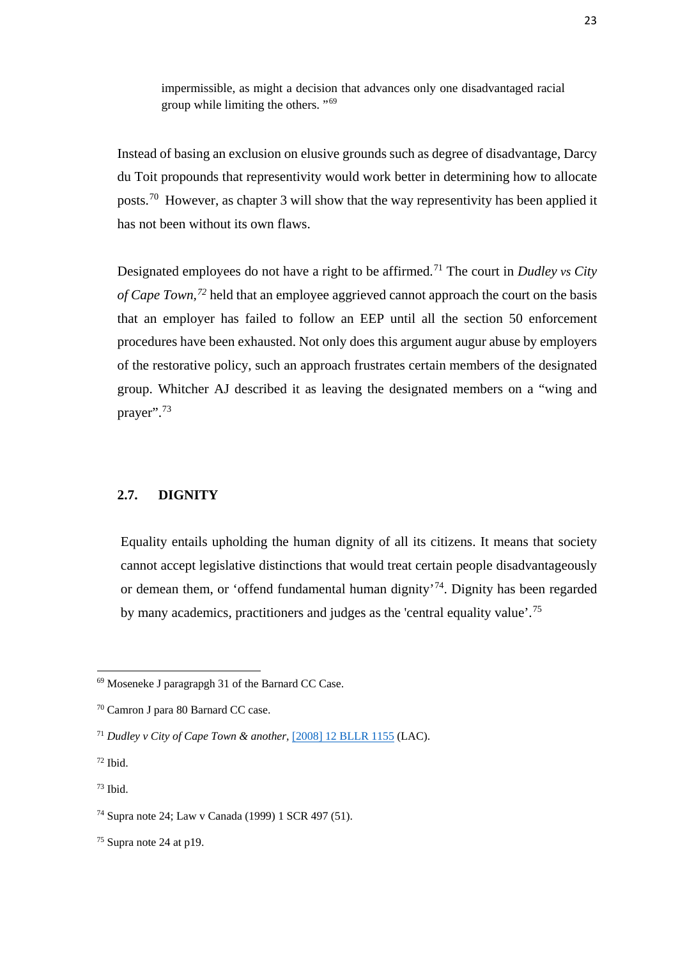impermissible, as might a decision that advances only one disadvantaged racial group while limiting the others. "[69](#page-31-0)

Instead of basing an exclusion on elusive grounds such as degree of disadvantage, Darcy du Toit propounds that representivity would work better in determining how to allocate posts.[70](#page-31-1) However, as chapter 3 will show that the way representivity has been applied it has not been without its own flaws.

Designated employees do not have a right to be affirmed.[71](#page-31-2) The court in *Dudley vs City of Cape Town,[72](#page-31-3)* held that an employee aggrieved cannot approach the court on the basis that an employer has failed to follow an EEP until all the section 50 enforcement procedures have been exhausted. Not only does this argument augur abuse by employers of the restorative policy, such an approach frustrates certain members of the designated group. Whitcher AJ described it as leaving the designated members on a "wing and prayer".[73](#page-31-4)

### **2.7. DIGNITY**

Equality entails upholding the human dignity of all its citizens. It means that society cannot accept legislative distinctions that would treat certain people disadvantageously or demean them, or 'offend fundamental human dignity'[74.](#page-31-5) Dignity has been regarded by many academics, practitioners and judges as the 'central equality value'.[75](#page-31-6)

 $\overline{\phantom{a}}$ 

<span id="page-31-4"></span> $73$  Ibid.

<span id="page-31-0"></span><sup>69</sup> Moseneke J paragrapgh 31 of the Barnard CC Case.

<span id="page-31-1"></span><sup>70</sup> Camron J para 80 Barnard CC case.

<span id="page-31-2"></span><sup>71</sup> *Dudley v City of Cape Town & another,* [\[2008\] 12 BLLR 1155](http://butterworths.ukzn.ac.za/nxt/gateway.dll/cc/c4ic/f4ic/lp16a/hbxfb/jbxfb#g0) (LAC).

<span id="page-31-3"></span> $72$  Ibid.

<span id="page-31-5"></span><sup>74</sup> Supra note 24; Law v Canada (1999) 1 SCR 497 (51).

<span id="page-31-6"></span> $75$  Supra note 24 at p19.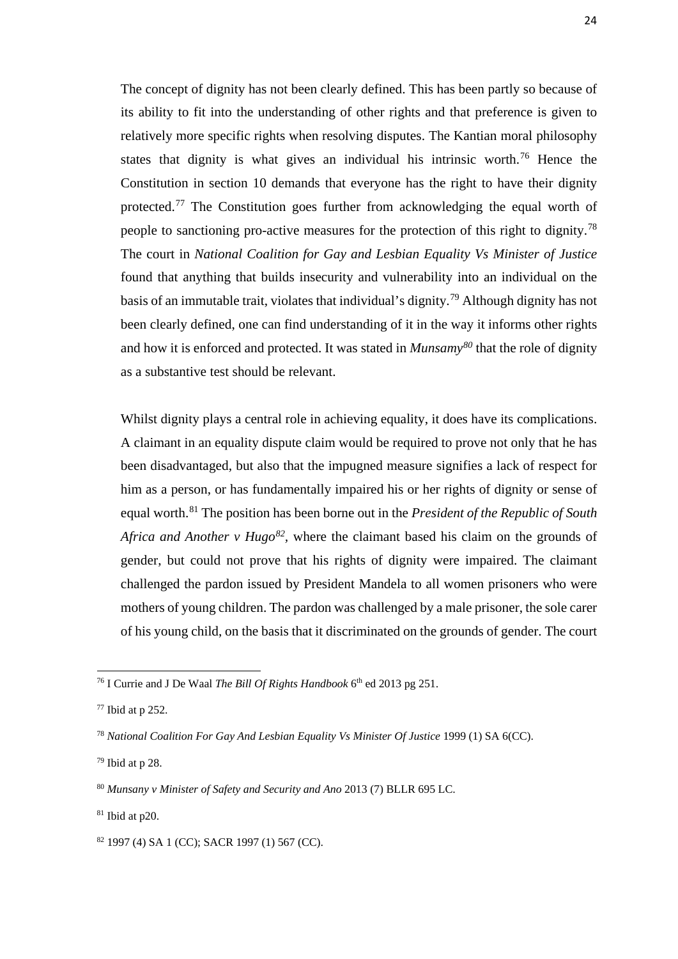The concept of dignity has not been clearly defined. This has been partly so because of its ability to fit into the understanding of other rights and that preference is given to relatively more specific rights when resolving disputes. The Kantian moral philosophy states that dignity is what gives an individual his intrinsic worth.<sup>[76](#page-32-0)</sup> Hence the Constitution in section 10 demands that everyone has the right to have their dignity protected.<sup>[77](#page-32-1)</sup> The Constitution goes further from acknowledging the equal worth of people to sanctioning pro-active measures for the protection of this right to dignity.<sup>[78](#page-32-2)</sup> The court in *National Coalition for Gay and Lesbian Equality Vs Minister of Justice*  found that anything that builds insecurity and vulnerability into an individual on the basis of an immutable trait, violates that individual's dignity.[79](#page-32-3) Although dignity has not been clearly defined, one can find understanding of it in the way it informs other rights and how it is enforced and protected. It was stated in *Munsamy[80](#page-32-4)* that the role of dignity as a substantive test should be relevant.

Whilst dignity plays a central role in achieving equality, it does have its complications. A claimant in an equality dispute claim would be required to prove not only that he has been disadvantaged, but also that the impugned measure signifies a lack of respect for him as a person, or has fundamentally impaired his or her rights of dignity or sense of equal worth. [81](#page-32-5) The position has been borne out in the *President of the Republic of South Africa and Another v Hugo*<sup>[82](#page-32-6)</sup>, where the claimant based his claim on the grounds of gender, but could not prove that his rights of dignity were impaired. The claimant challenged the pardon issued by President Mandela to all women prisoners who were mothers of young children. The pardon was challenged by a male prisoner, the sole carer of his young child, on the basis that it discriminated on the grounds of gender. The court

 $\overline{\phantom{a}}$ 

<span id="page-32-0"></span><sup>&</sup>lt;sup>76</sup> I Currie and J De Waal *The Bill Of Rights Handbook* 6<sup>th</sup> ed 2013 pg 251.

<span id="page-32-1"></span><sup>77</sup> Ibid at p 252.

<span id="page-32-2"></span><sup>78</sup> *National Coalition For Gay And Lesbian Equality Vs Minister Of Justice* 1999 (1) SA 6(CC).

<span id="page-32-3"></span><sup>79</sup> Ibid at p 28.

<span id="page-32-4"></span><sup>80</sup> *Munsany v Minister of Safety and Security and Ano* 2013 (7) BLLR 695 LC.

<span id="page-32-5"></span> $81$  Ibid at p20.

<span id="page-32-6"></span><sup>82</sup> 1997 (4) SA 1 (CC); SACR 1997 (1) 567 (CC).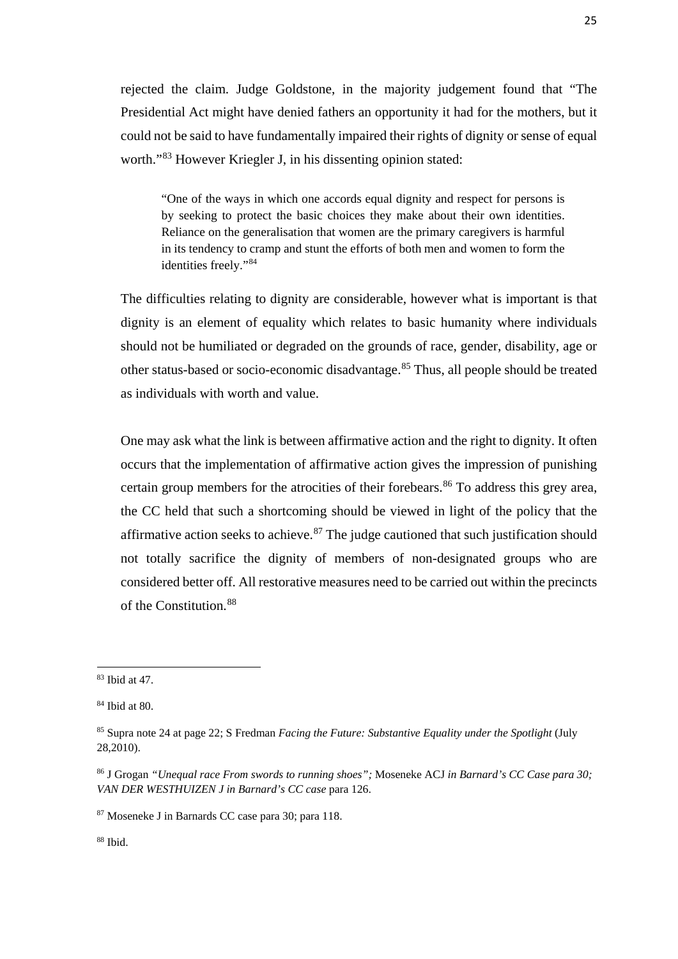rejected the claim. Judge Goldstone, in the majority judgement found that "The Presidential Act might have denied fathers an opportunity it had for the mothers, but it could not be said to have fundamentally impaired their rights of dignity or sense of equal worth."[83](#page-33-0) However Kriegler J, in his dissenting opinion stated:

"One of the ways in which one accords equal dignity and respect for persons is by seeking to protect the basic choices they make about their own identities. Reliance on the generalisation that women are the primary caregivers is harmful in its tendency to cramp and stunt the efforts of both men and women to form the identities freely."[84](#page-33-1)

The difficulties relating to dignity are considerable, however what is important is that dignity is an element of equality which relates to basic humanity where individuals should not be humiliated or degraded on the grounds of race, gender, disability, age or other status-based or socio-economic disadvantage.[85](#page-33-2) Thus, all people should be treated as individuals with worth and value.

One may ask what the link is between affirmative action and the right to dignity. It often occurs that the implementation of affirmative action gives the impression of punishing certain group members for the atrocities of their forebears.<sup>[86](#page-33-3)</sup> To address this grey area, the CC held that such a shortcoming should be viewed in light of the policy that the affirmative action seeks to achieve. $87$  The judge cautioned that such justification should not totally sacrifice the dignity of members of non-designated groups who are considered better off. All restorative measures need to be carried out within the precincts of the Constitution.[88](#page-33-5)

**.** 

<span id="page-33-5"></span> $88$  Ibid.

<span id="page-33-0"></span><sup>83</sup> Ibid at 47.

<span id="page-33-1"></span><sup>84</sup> Ibid at 80.

<span id="page-33-2"></span><sup>85</sup> Supra note 24 at page 22; S Fredman *Facing the Future: Substantive Equality under the Spotlight* (July 28,2010).

<span id="page-33-3"></span><sup>86</sup> J Grogan *"Unequal race From swords to running shoes";* Moseneke ACJ *in Barnard's CC Case para 30; VAN DER WESTHUIZEN J in Barnard's CC case* para 126.

<span id="page-33-4"></span><sup>87</sup> Moseneke J in Barnards CC case para 30; para 118.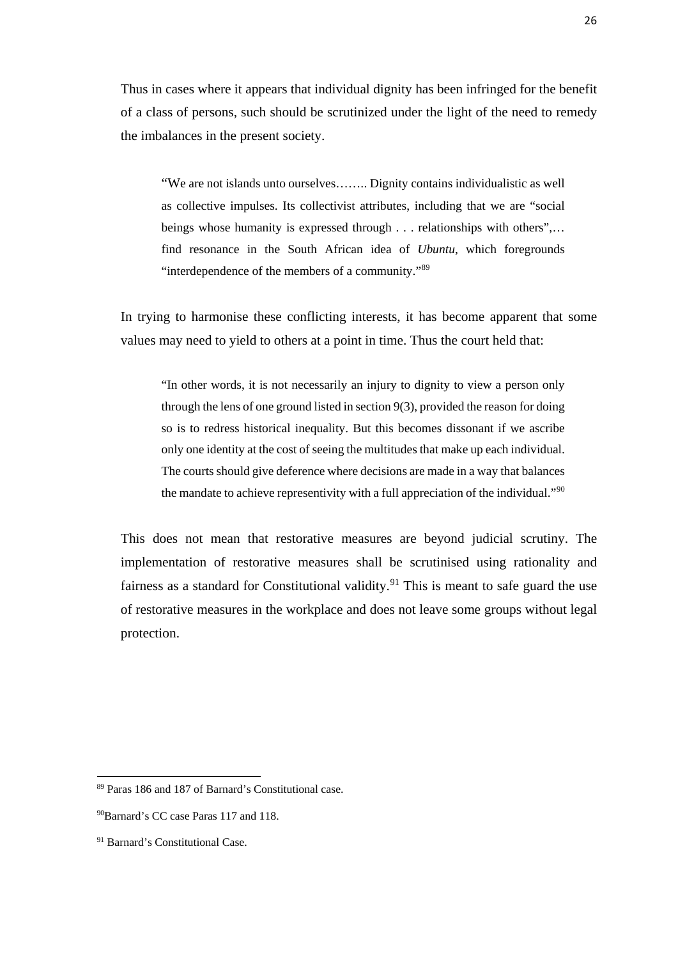Thus in cases where it appears that individual dignity has been infringed for the benefit of a class of persons, such should be scrutinized under the light of the need to remedy the imbalances in the present society.

"We are not islands unto ourselves…….. Dignity contains individualistic as well as collective impulses. Its collectivist attributes, including that we are "social beings whose humanity is expressed through . . . relationships with others",… find resonance in the South African idea of *Ubuntu*, which foregrounds "interdependence of the members of a community."[89](#page-34-0)

In trying to harmonise these conflicting interests, it has become apparent that some values may need to yield to others at a point in time. Thus the court held that:

"In other words, it is not necessarily an injury to dignity to view a person only through the lens of one ground listed in section 9(3), provided the reason for doing so is to redress historical inequality. But this becomes dissonant if we ascribe only one identity at the cost of seeing the multitudes that make up each individual. The courts should give deference where decisions are made in a way that balances the mandate to achieve representivity with a full appreciation of the individual."[90](#page-34-1)

This does not mean that restorative measures are beyond judicial scrutiny. The implementation of restorative measures shall be scrutinised using rationality and fairness as a standard for Constitutional validity.<sup>[91](#page-34-2)</sup> This is meant to safe guard the use of restorative measures in the workplace and does not leave some groups without legal protection.

<span id="page-34-0"></span><sup>89</sup> Paras 186 and 187 of Barnard's Constitutional case.

<span id="page-34-1"></span><sup>&</sup>lt;sup>90</sup>Barnard's CC case Paras 117 and 118.

<span id="page-34-2"></span><sup>91</sup> Barnard's Constitutional Case.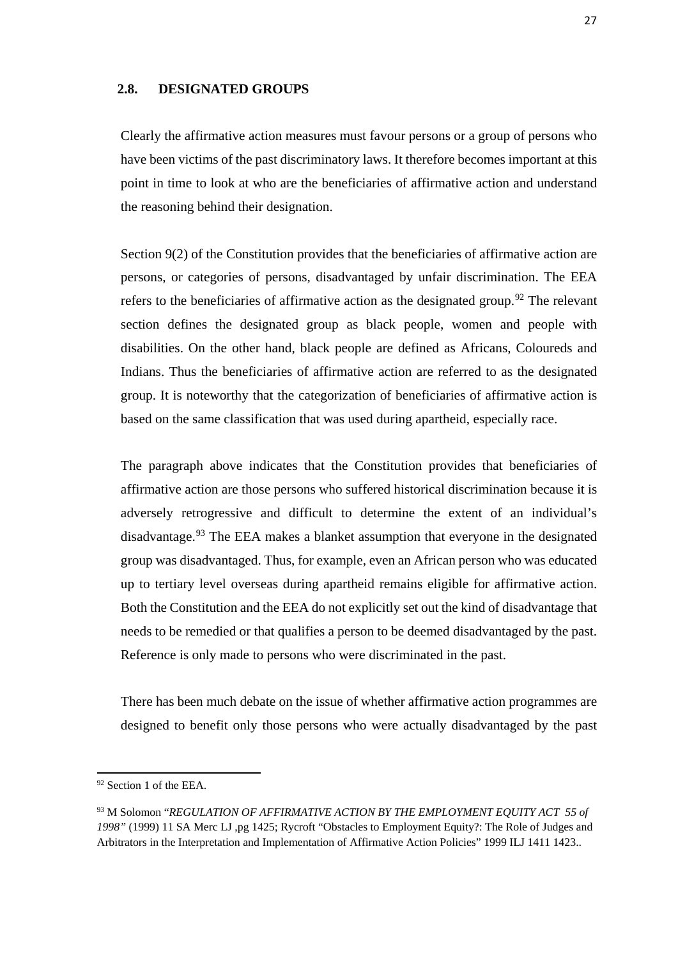### **2.8. DESIGNATED GROUPS**

Clearly the affirmative action measures must favour persons or a group of persons who have been victims of the past discriminatory laws. It therefore becomes important at this point in time to look at who are the beneficiaries of affirmative action and understand the reasoning behind their designation.

Section 9(2) of the Constitution provides that the beneficiaries of affirmative action are persons, or categories of persons, disadvantaged by unfair discrimination. The EEA refers to the beneficiaries of affirmative action as the designated group.<sup>[92](#page-35-0)</sup> The relevant section defines the designated group as black people, women and people with disabilities. On the other hand, black people are defined as Africans, Coloureds and Indians. Thus the beneficiaries of affirmative action are referred to as the designated group. It is noteworthy that the categorization of beneficiaries of affirmative action is based on the same classification that was used during apartheid, especially race.

The paragraph above indicates that the Constitution provides that beneficiaries of affirmative action are those persons who suffered historical discrimination because it is adversely retrogressive and difficult to determine the extent of an individual's disadvantage.<sup>[93](#page-35-1)</sup> The EEA makes a blanket assumption that everyone in the designated group was disadvantaged. Thus, for example, even an African person who was educated up to tertiary level overseas during apartheid remains eligible for affirmative action. Both the Constitution and the EEA do not explicitly set out the kind of disadvantage that needs to be remedied or that qualifies a person to be deemed disadvantaged by the past. Reference is only made to persons who were discriminated in the past.

There has been much debate on the issue of whether affirmative action programmes are designed to benefit only those persons who were actually disadvantaged by the past

**.** 

<span id="page-35-0"></span><sup>&</sup>lt;sup>92</sup> Section 1 of the EEA.

<span id="page-35-1"></span><sup>93</sup> M Solomon "*REGULATION OF AFFIRMATIVE ACTION BY THE EMPLOYMENT EQUITY ACT 55 of 1998"* (1999) 11 SA Merc LJ ,pg 1425; Rycroft "Obstacles to Employment Equity?: The Role of Judges and Arbitrators in the Interpretation and Implementation of Affirmative Action Policies" 1999 ILJ 1411 1423..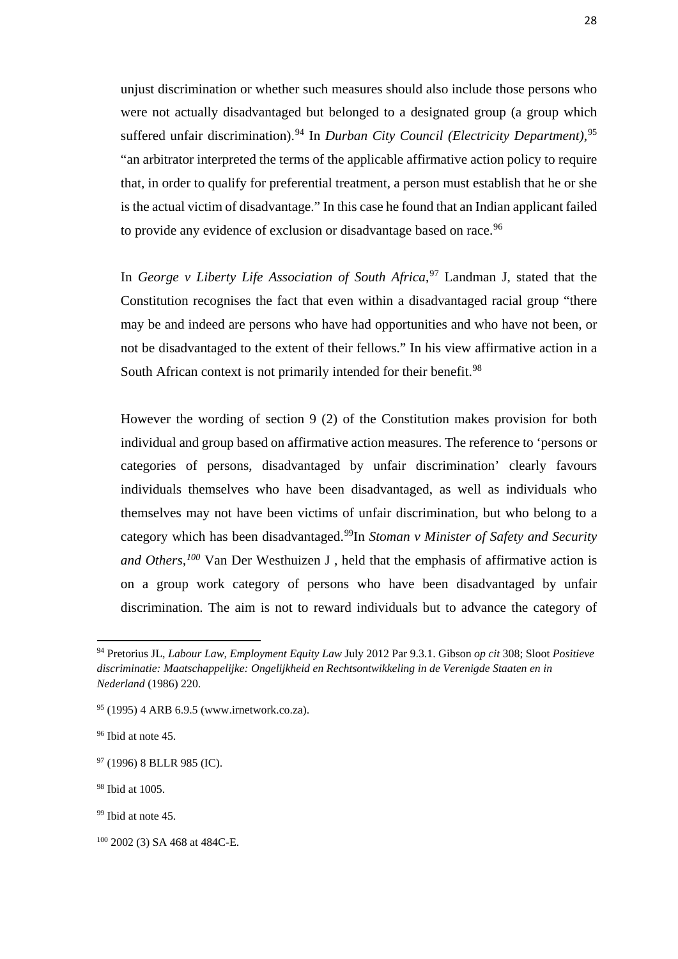unjust discrimination or whether such measures should also include those persons who were not actually disadvantaged but belonged to a designated group (a group which suffered unfair discrimination).<sup>[94](#page-36-0)</sup> In *Durban City Council (Electricity Department)*,<sup>[95](#page-36-1)</sup> "an arbitrator interpreted the terms of the applicable affirmative action policy to require that, in order to qualify for preferential treatment, a person must establish that he or she is the actual victim of disadvantage." In this case he found that an Indian applicant failed to provide any evidence of exclusion or disadvantage based on race.<sup>[96](#page-36-2)</sup>

In *George v Liberty Life Association of South Africa*, [97](#page-36-3) Landman J, stated that the Constitution recognises the fact that even within a disadvantaged racial group "there may be and indeed are persons who have had opportunities and who have not been, or not be disadvantaged to the extent of their fellows." In his view affirmative action in a South African context is not primarily intended for their benefit.<sup>[98](#page-36-4)</sup>

However the wording of section 9 (2) of the Constitution makes provision for both individual and group based on affirmative action measures. The reference to 'persons or categories of persons, disadvantaged by unfair discrimination' clearly favours individuals themselves who have been disadvantaged, as well as individuals who themselves may not have been victims of unfair discrimination, but who belong to a category which has been disadvantaged.[99](#page-36-5)In *Stoman v Minister of Safety and Security and Others,[100](#page-36-6)* Van Der Westhuizen J , held that the emphasis of affirmative action is on a group work category of persons who have been disadvantaged by unfair discrimination. The aim is not to reward individuals but to advance the category of

<span id="page-36-0"></span><sup>94</sup> Pretorius JL, *Labour Law, Employment Equity Law* July 2012 Par 9.3.1. Gibson *op cit* 308; Sloot *Positieve discriminatie: Maatschappelijke: Ongelijkheid en Rechtsontwikkeling in de Verenigde Staaten en in Nederland* (1986) 220.

<span id="page-36-1"></span><sup>95</sup> (1995) 4 ARB 6.9.5 (www.irnetwork.co.za).

<span id="page-36-2"></span><sup>96</sup> Ibid at note 45.

<span id="page-36-3"></span><sup>97</sup> (1996) 8 BLLR 985 (IC).

<span id="page-36-4"></span><sup>98</sup> Ibid at 1005.

<span id="page-36-5"></span><sup>&</sup>lt;sup>99</sup> Ibid at note 45.

<span id="page-36-6"></span><sup>100</sup> 2002 (3) SA 468 at 484C-E.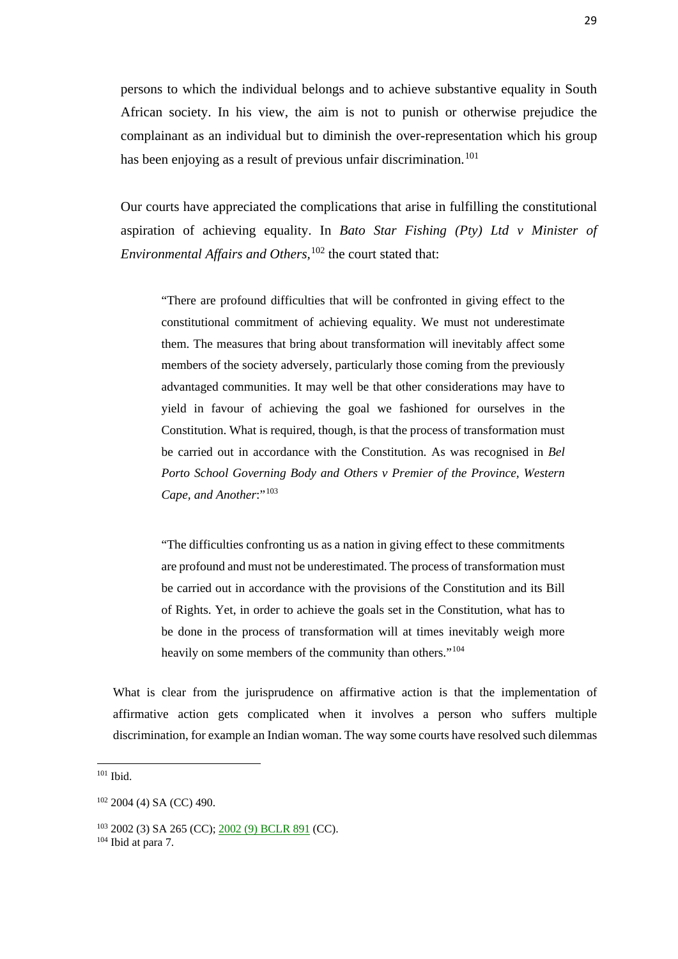persons to which the individual belongs and to achieve substantive equality in South African society. In his view, the aim is not to punish or otherwise prejudice the complainant as an individual but to diminish the over-representation which his group has been enjoying as a result of previous unfair discrimination.<sup>[101](#page-37-0)</sup>

Our courts have appreciated the complications that arise in fulfilling the constitutional aspiration of achieving equality. In *Bato Star Fishing (Pty) Ltd v Minister of Environmental Affairs and Others,*[102](#page-37-1) the court stated that:

"There are profound difficulties that will be confronted in giving effect to the constitutional commitment of achieving equality. We must not underestimate them. The measures that bring about transformation will inevitably affect some members of the society adversely, particularly those coming from the previously advantaged communities. It may well be that other considerations may have to yield in favour of achieving the goal we fashioned for ourselves in the Constitution. What is required, though, is that the process of transformation must be carried out in accordance with the Constitution. As was recognised in *Bel Porto School Governing Body and Others v Premier of the Province, Western*  Cape, and Another:"<sup>[103](#page-37-2)</sup>

"The difficulties confronting us as a nation in giving effect to these commitments are profound and must not be underestimated. The process of transformation must be carried out in accordance with the provisions of the Constitution and its Bill of Rights. Yet, in order to achieve the goals set in the Constitution, what has to be done in the process of transformation will at times inevitably weigh more heavily on some members of the community than others."<sup>[104](#page-37-3)</sup>

What is clear from the jurisprudence on affirmative action is that the implementation of affirmative action gets complicated when it involves a person who suffers multiple discrimination, for example an Indian woman. The way some courts have resolved such dilemmas

<span id="page-37-0"></span><sup>101</sup> Ibid.

<span id="page-37-1"></span><sup>102</sup> 2004 (4) SA (CC) 490.

<span id="page-37-2"></span><sup>103</sup> 2002 (3) SA 265 (CC); [2002 \(9\) BCLR 891](http://www.mylexisnexis.co.za/nxt/gateway.dll/cc/s1ic/u1ic/31ic/cfj/3zj#g0) (CC).

<span id="page-37-3"></span> $104$  Ibid at para 7.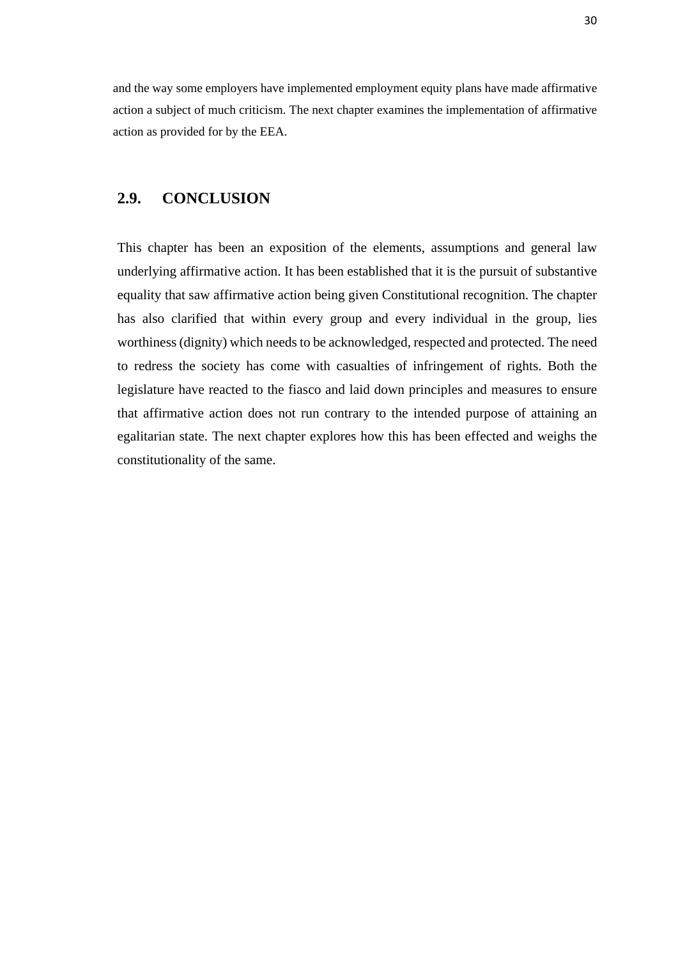and the way some employers have implemented employment equity plans have made affirmative action a subject of much criticism. The next chapter examines the implementation of affirmative action as provided for by the EEA.

### **2.9. CONCLUSION**

This chapter has been an exposition of the elements, assumptions and general law underlying affirmative action. It has been established that it is the pursuit of substantive equality that saw affirmative action being given Constitutional recognition. The chapter has also clarified that within every group and every individual in the group, lies worthiness (dignity) which needs to be acknowledged, respected and protected. The need to redress the society has come with casualties of infringement of rights. Both the legislature have reacted to the fiasco and laid down principles and measures to ensure that affirmative action does not run contrary to the intended purpose of attaining an egalitarian state. The next chapter explores how this has been effected and weighs the constitutionality of the same.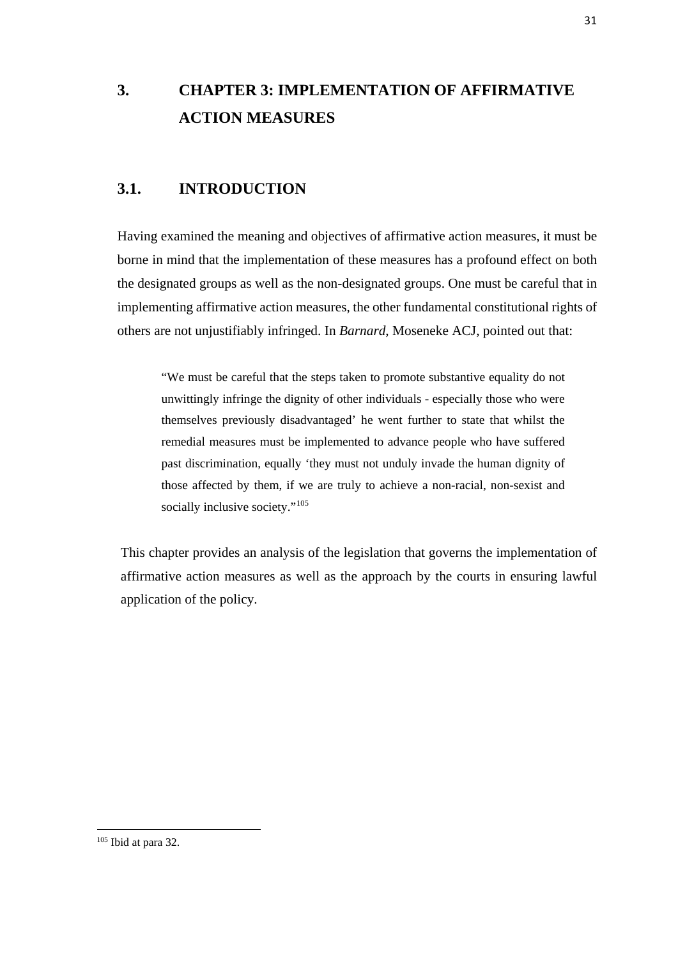# **3. CHAPTER 3: IMPLEMENTATION OF AFFIRMATIVE ACTION MEASURES**

## **3.1. INTRODUCTION**

Having examined the meaning and objectives of affirmative action measures, it must be borne in mind that the implementation of these measures has a profound effect on both the designated groups as well as the non-designated groups. One must be careful that in implementing affirmative action measures, the other fundamental constitutional rights of others are not unjustifiably infringed. In *Barnard*, Moseneke ACJ, pointed out that:

"We must be careful that the steps taken to promote substantive equality do not unwittingly infringe the dignity of other individuals - especially those who were themselves previously disadvantaged' he went further to state that whilst the remedial measures must be implemented to advance people who have suffered past discrimination, equally 'they must not unduly invade the human dignity of those affected by them, if we are truly to achieve a non-racial, non-sexist and socially inclusive society."<sup>[105](#page-39-0)</sup>

This chapter provides an analysis of the legislation that governs the implementation of affirmative action measures as well as the approach by the courts in ensuring lawful application of the policy.

<span id="page-39-0"></span> $105$  Ibid at para 32.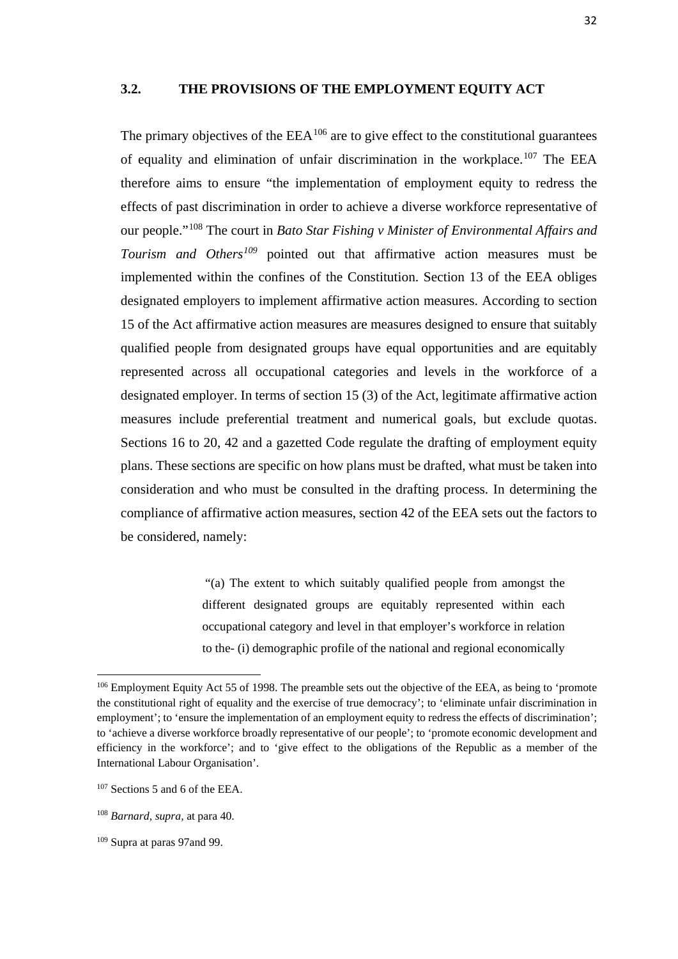The primary objectives of the  $EEA<sup>106</sup>$  $EEA<sup>106</sup>$  $EEA<sup>106</sup>$  are to give effect to the constitutional guarantees of equality and elimination of unfair discrimination in the workplace.<sup>[107](#page-40-1)</sup> The EEA therefore aims to ensure "the implementation of employment equity to redress the effects of past discrimination in order to achieve a diverse workforce representative of our people."[108](#page-40-2) The court in *Bato Star Fishing v Minister of Environmental Affairs and Tourism and Others[109](#page-40-3)* pointed out that affirmative action measures must be implemented within the confines of the Constitution. Section 13 of the EEA obliges designated employers to implement affirmative action measures. According to section 15 of the Act affirmative action measures are measures designed to ensure that suitably qualified people from designated groups have equal opportunities and are equitably represented across all occupational categories and levels in the workforce of a designated employer. In terms of section 15 (3) of the Act, legitimate affirmative action measures include preferential treatment and numerical goals, but exclude quotas. Sections 16 to 20, 42 and a gazetted Code regulate the drafting of employment equity plans. These sections are specific on how plans must be drafted, what must be taken into consideration and who must be consulted in the drafting process. In determining the compliance of affirmative action measures, section 42 of the EEA sets out the factors to be considered, namely:

> "(a) The extent to which suitably qualified people from amongst the different designated groups are equitably represented within each occupational category and level in that employer's workforce in relation to the- (i) demographic profile of the national and regional economically

<span id="page-40-0"></span><sup>&</sup>lt;sup>106</sup> Employment Equity Act 55 of 1998. The preamble sets out the objective of the EEA, as being to 'promote the constitutional right of equality and the exercise of true democracy'; to 'eliminate unfair discrimination in employment'; to 'ensure the implementation of an employment equity to redress the effects of discrimination'; to 'achieve a diverse workforce broadly representative of our people'; to 'promote economic development and efficiency in the workforce'; and to 'give effect to the obligations of the Republic as a member of the International Labour Organisation'.

<span id="page-40-1"></span><sup>107</sup> Sections 5 and 6 of the EEA.

<span id="page-40-2"></span><sup>108</sup> *Barnard, supra,* at para 40.

<span id="page-40-3"></span><sup>109</sup> Supra at paras 97and 99.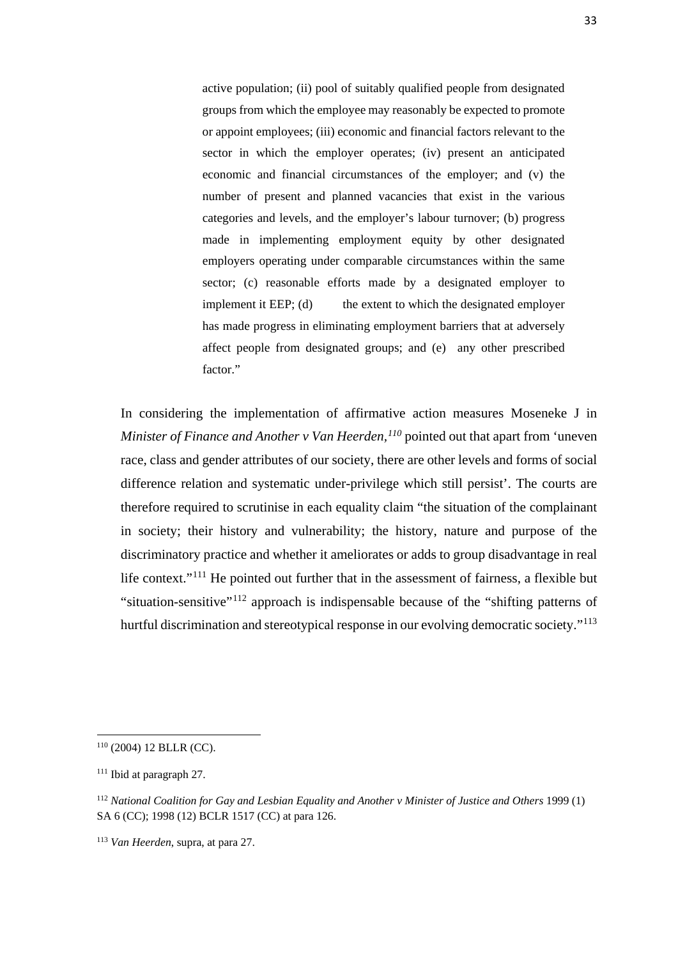active population; (ii) pool of suitably qualified people from designated groups from which the employee may reasonably be expected to promote or appoint employees; (iii) economic and financial factors relevant to the sector in which the employer operates; (iv) present an anticipated economic and financial circumstances of the employer; and (v) the number of present and planned vacancies that exist in the various categories and levels, and the employer's labour turnover; (b) progress made in implementing employment equity by other designated employers operating under comparable circumstances within the same sector; (c) reasonable efforts made by a designated employer to implement it EEP;  $(d)$  the extent to which the designated employer has made progress in eliminating employment barriers that at adversely affect people from designated groups; and (e) any other prescribed factor."

In considering the implementation of affirmative action measures Moseneke J in *Minister of Finance and Another v Van Heerden, [110](#page-41-0)* pointed out that apart from 'uneven race, class and gender attributes of our society, there are other levels and forms of social difference relation and systematic under-privilege which still persist'. The courts are therefore required to scrutinise in each equality claim "the situation of the complainant in society; their history and vulnerability; the history, nature and purpose of the discriminatory practice and whether it ameliorates or adds to group disadvantage in real life context."<sup>111</sup> He pointed out further that in the assessment of fairness, a flexible but "situation-sensitive"[112](#page-41-2) approach is indispensable because of the "shifting patterns of hurtful discrimination and stereotypical response in our evolving democratic society."<sup>[113](#page-41-3)</sup>

<span id="page-41-0"></span> $110$  (2004) 12 BLLR (CC).

<span id="page-41-1"></span><sup>111</sup> Ibid at paragraph 27.

<span id="page-41-2"></span><sup>112</sup> *National Coalition for Gay and Lesbian Equality and Another v Minister of Justice and Others* 1999 (1) SA 6 (CC); 1998 (12) BCLR 1517 (CC) at para 126.

<span id="page-41-3"></span><sup>113</sup> *Van Heerden*, supra, at para 27.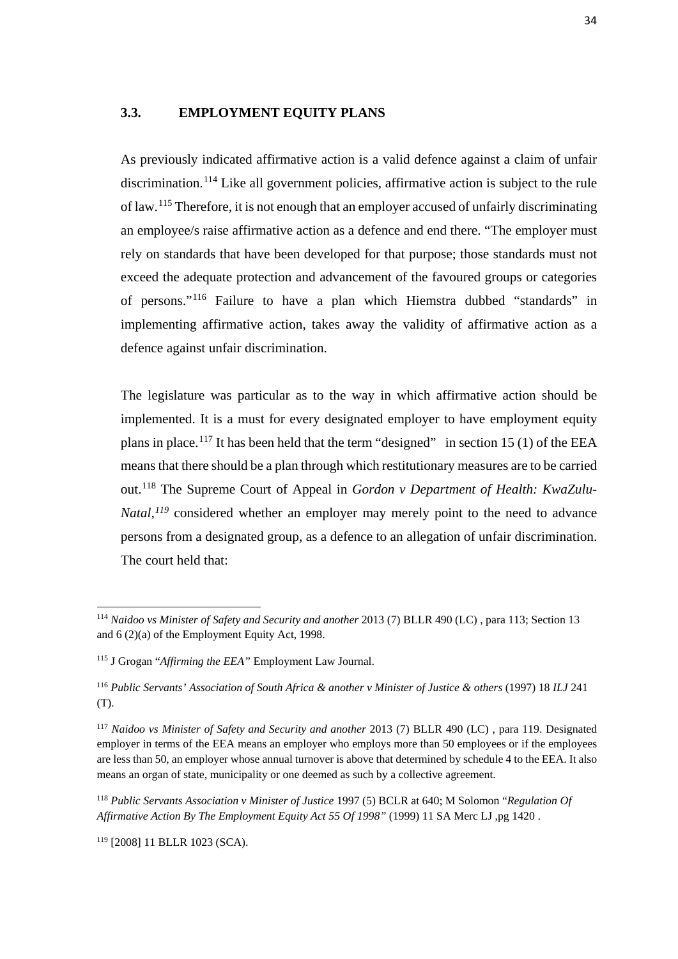#### **3.3. EMPLOYMENT EQUITY PLANS**

As previously indicated affirmative action is a valid defence against a claim of unfair discrimination.[114](#page-42-0) Like all government policies, affirmative action is subject to the rule of law.[115](#page-42-1) Therefore, it is not enough that an employer accused of unfairly discriminating an employee/s raise affirmative action as a defence and end there. "The employer must rely on standards that have been developed for that purpose; those standards must not exceed the adequate protection and advancement of the favoured groups or categories of persons."[116](#page-42-2) Failure to have a plan which Hiemstra dubbed "standards" in implementing affirmative action, takes away the validity of affirmative action as a defence against unfair discrimination.

The legislature was particular as to the way in which affirmative action should be implemented. It is a must for every designated employer to have employment equity plans in place.<sup>[117](#page-42-3)</sup> It has been held that the term "designed" in section 15 (1) of the EEA means that there should be a plan through which restitutionary measures are to be carried out.[118](#page-42-4) The Supreme Court of Appeal in *Gordon v Department of Health: KwaZulu-Natal*,<sup>*[119](#page-42-5)*</sup> considered whether an employer may merely point to the need to advance persons from a designated group, as a defence to an allegation of unfair discrimination. The court held that:

<span id="page-42-0"></span><sup>114</sup> *Naidoo vs Minister of Safety and Security and another* 2013 (7) BLLR 490 (LC) , para 113; Section 13 and 6 (2)(a) of the Employment Equity Act, 1998.

<span id="page-42-1"></span><sup>115</sup> J Grogan "*Affirming the EEA"* Employment Law Journal.

<span id="page-42-2"></span><sup>116</sup> *Public Servants' Association of South Africa & another v Minister of Justice & others* (1997) 18 *ILJ* 241 (T).

<span id="page-42-3"></span><sup>117</sup> *Naidoo vs Minister of Safety and Security and another* 2013 (7) BLLR 490 (LC) , para 119. Designated employer in terms of the EEA means an employer who employs more than 50 employees or if the employees are less than 50, an employer whose annual turnover is above that determined by schedule 4 to the EEA. It also means an organ of state, municipality or one deemed as such by a collective agreement.

<span id="page-42-4"></span><sup>118</sup> *Public Servants Association v Minister of Justice* 1997 (5) BCLR at 640; M Solomon "*Regulation Of Affirmative Action By The Employment Equity Act 55 Of 1998"* (1999) 11 SA Merc LJ ,pg 1420 .

<span id="page-42-5"></span><sup>119</sup> [2008] 11 BLLR 1023 (SCA).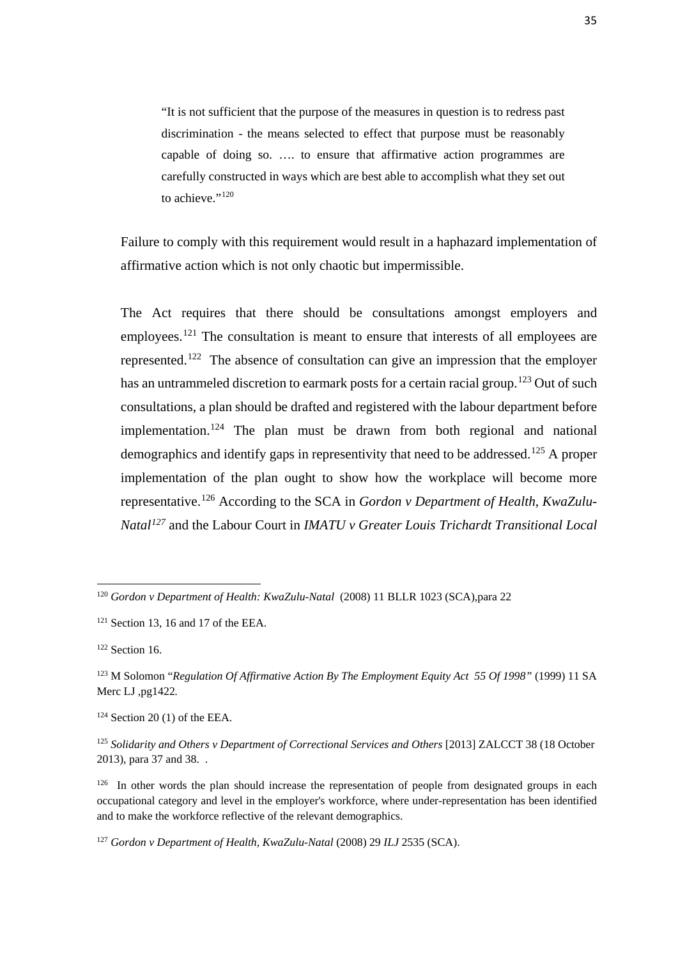"It is not sufficient that the purpose of the measures in question is to redress past discrimination - the means selected to effect that purpose must be reasonably capable of doing so. …. to ensure that affirmative action programmes are carefully constructed in ways which are best able to accomplish what they set out to achieve."<sup>[120](#page-43-0)</sup>

Failure to comply with this requirement would result in a haphazard implementation of affirmative action which is not only chaotic but impermissible.

The Act requires that there should be consultations amongst employers and employees.<sup>[121](#page-43-1)</sup> The consultation is meant to ensure that interests of all employees are represented.[122](#page-43-2) The absence of consultation can give an impression that the employer has an untrammeled discretion to earmark posts for a certain racial group.<sup>[123](#page-43-3)</sup> Out of such consultations, a plan should be drafted and registered with the labour department before implementation.<sup>[124](#page-43-4)</sup> The plan must be drawn from both regional and national demographics and identify gaps in representivity that need to be addressed.<sup>[125](#page-43-5)</sup> A proper implementation of the plan ought to show how the workplace will become more representative.[126](#page-43-6) According to the SCA in *Gordon v Department of Health, KwaZulu-Natal[127](#page-43-7)* and the Labour Court in *IMATU v Greater Louis Trichardt Transitional Local* 

 $\overline{a}$ 

<span id="page-43-0"></span><sup>120</sup> *Gordon v Department of Health: KwaZulu-Natal* (2008) 11 BLLR 1023 (SCA),para 22

<span id="page-43-1"></span> $121$  Section 13, 16 and 17 of the EEA.

<span id="page-43-2"></span><sup>122</sup> Section 16.

<span id="page-43-3"></span><sup>123</sup> M Solomon "*Regulation Of Affirmative Action By The Employment Equity Act 55 Of 1998"* (1999) 11 SA Merc LJ ,pg1422*.*

<span id="page-43-4"></span> $124$  Section 20 (1) of the EEA.

<span id="page-43-5"></span><sup>&</sup>lt;sup>125</sup> Solidarity and Others v Department of Correctional Services and Others [2013] ZALCCT 38 (18 October 2013), para 37 and 38. .

<span id="page-43-6"></span><sup>&</sup>lt;sup>126</sup> In other words the plan should increase the representation of people from designated groups in each occupational category and level in the employer's workforce, where under-representation has been identified and to make the workforce reflective of the relevant demographics.

<span id="page-43-7"></span><sup>127</sup> *Gordon v Department of Health, KwaZulu-Natal* (2008) 29 *ILJ* 2535 (SCA).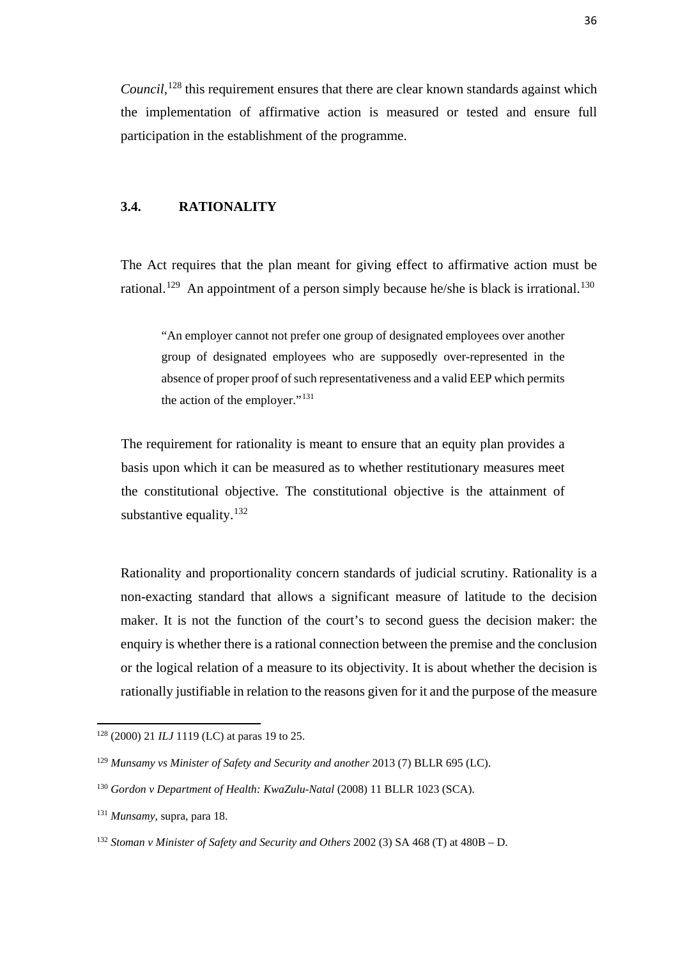*Council*,<sup>[128](#page-44-0)</sup> this requirement ensures that there are clear known standards against which the implementation of affirmative action is measured or tested and ensure full participation in the establishment of the programme.

#### **3.4. RATIONALITY**

The Act requires that the plan meant for giving effect to affirmative action must be rational.<sup>[129](#page-44-1)</sup> An appointment of a person simply because he/she is black is irrational.<sup>[130](#page-44-2)</sup>

"An employer cannot not prefer one group of designated employees over another group of designated employees who are supposedly over-represented in the absence of proper proof of such representativeness and a valid EEP which permits the action of the employer."[131](#page-44-3)

The requirement for rationality is meant to ensure that an equity plan provides a basis upon which it can be measured as to whether restitutionary measures meet the constitutional objective. The constitutional objective is the attainment of substantive equality. $132$ 

Rationality and proportionality concern standards of judicial scrutiny. Rationality is a non-exacting standard that allows a significant measure of latitude to the decision maker. It is not the function of the court's to second guess the decision maker: the enquiry is whether there is a rational connection between the premise and the conclusion or the logical relation of a measure to its objectivity. It is about whether the decision is rationally justifiable in relation to the reasons given for it and the purpose of the measure

 $\overline{a}$ 

<span id="page-44-0"></span><sup>128</sup> (2000) 21 *ILJ* 1119 (LC) at paras 19 to 25.

<span id="page-44-1"></span><sup>129</sup> *Munsamy vs Minister of Safety and Security and another* 2013 (7) BLLR 695 (LC).

<span id="page-44-2"></span><sup>&</sup>lt;sup>130</sup> Gordon v Department of Health: KwaZulu-Natal (2008) 11 BLLR 1023 (SCA).

<span id="page-44-3"></span><sup>131</sup> *Munsamy,* supra*,* para 18.

<span id="page-44-4"></span><sup>132</sup> *Stoman v Minister of Safety and Security and Others* 2002 (3) SA 468 (T) at 480B – D.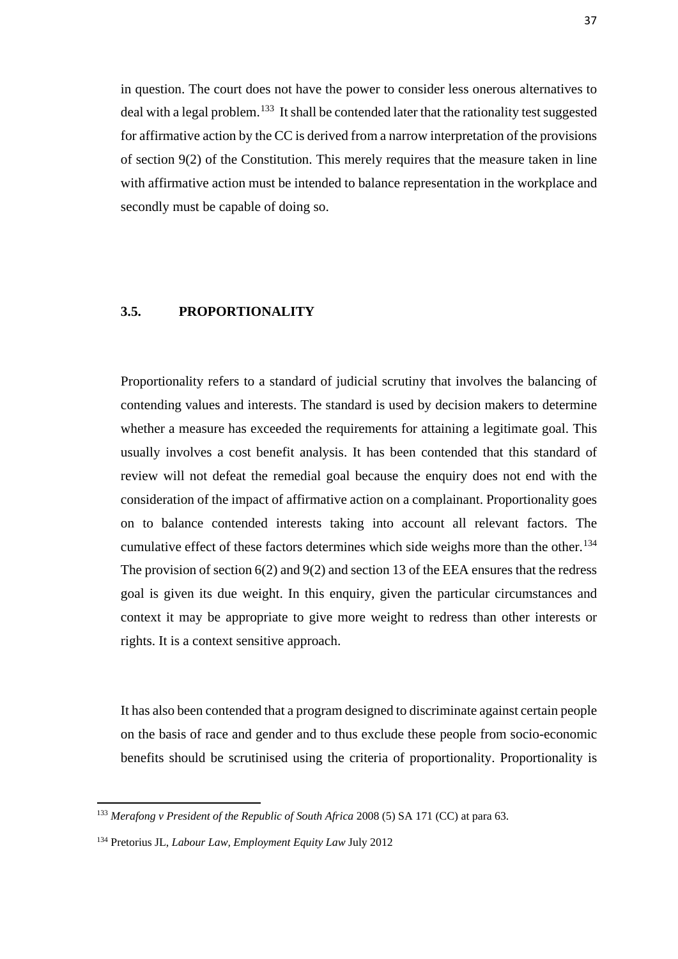in question. The court does not have the power to consider less onerous alternatives to deal with a legal problem.<sup>133</sup> It shall be contended later that the rationality test suggested for affirmative action by the CC is derived from a narrow interpretation of the provisions of section 9(2) of the Constitution. This merely requires that the measure taken in line with affirmative action must be intended to balance representation in the workplace and secondly must be capable of doing so.

### **3.5. PROPORTIONALITY**

Proportionality refers to a standard of judicial scrutiny that involves the balancing of contending values and interests. The standard is used by decision makers to determine whether a measure has exceeded the requirements for attaining a legitimate goal. This usually involves a cost benefit analysis. It has been contended that this standard of review will not defeat the remedial goal because the enquiry does not end with the consideration of the impact of affirmative action on a complainant. Proportionality goes on to balance contended interests taking into account all relevant factors. The cumulative effect of these factors determines which side weighs more than the other.<sup>[134](#page-45-1)</sup> The provision of section  $6(2)$  and  $9(2)$  and section 13 of the EEA ensures that the redress goal is given its due weight. In this enquiry, given the particular circumstances and context it may be appropriate to give more weight to redress than other interests or rights. It is a context sensitive approach.

It has also been contended that a program designed to discriminate against certain people on the basis of race and gender and to thus exclude these people from socio-economic benefits should be scrutinised using the criteria of proportionality. Proportionality is

<span id="page-45-0"></span><sup>133</sup> *Merafong v President of the Republic of South Africa* 2008 (5) SA 171 (CC) at para 63.

<span id="page-45-1"></span><sup>134</sup> Pretorius JL, *Labour Law, Employment Equity Law* July 2012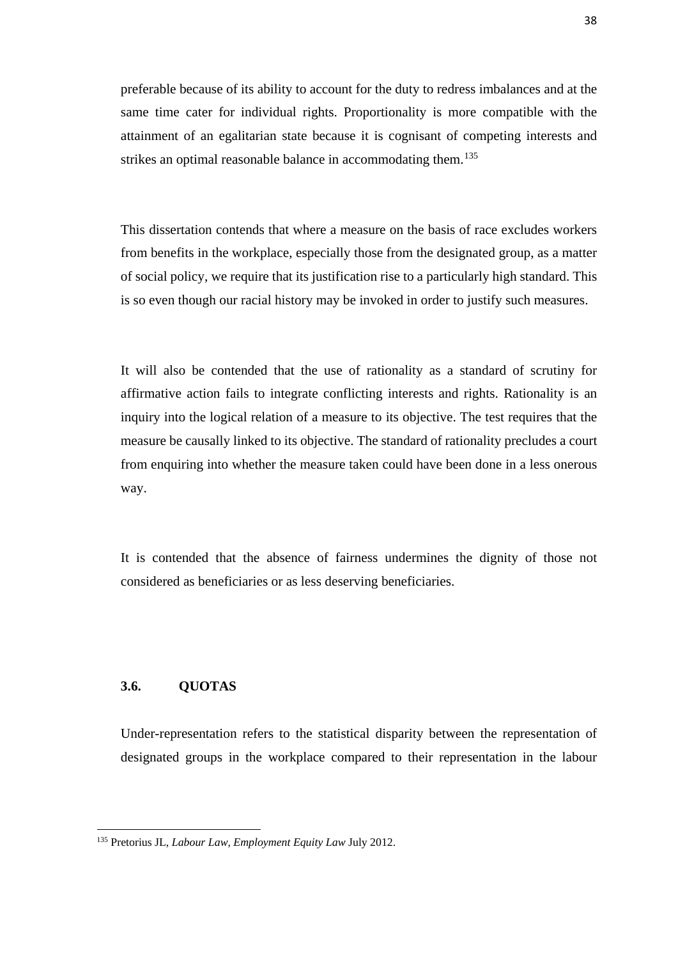preferable because of its ability to account for the duty to redress imbalances and at the same time cater for individual rights. Proportionality is more compatible with the attainment of an egalitarian state because it is cognisant of competing interests and strikes an optimal reasonable balance in accommodating them.<sup>135</sup>

This dissertation contends that where a measure on the basis of race excludes workers from benefits in the workplace, especially those from the designated group, as a matter of social policy, we require that its justification rise to a particularly high standard. This is so even though our racial history may be invoked in order to justify such measures.

It will also be contended that the use of rationality as a standard of scrutiny for affirmative action fails to integrate conflicting interests and rights. Rationality is an inquiry into the logical relation of a measure to its objective. The test requires that the measure be causally linked to its objective. The standard of rationality precludes a court from enquiring into whether the measure taken could have been done in a less onerous way.

It is contended that the absence of fairness undermines the dignity of those not considered as beneficiaries or as less deserving beneficiaries.

#### **3.6. QUOTAS**

<u>.</u>

Under-representation refers to the statistical disparity between the representation of designated groups in the workplace compared to their representation in the labour

<span id="page-46-0"></span><sup>135</sup> Pretorius JL, *Labour Law, Employment Equity Law* July 2012.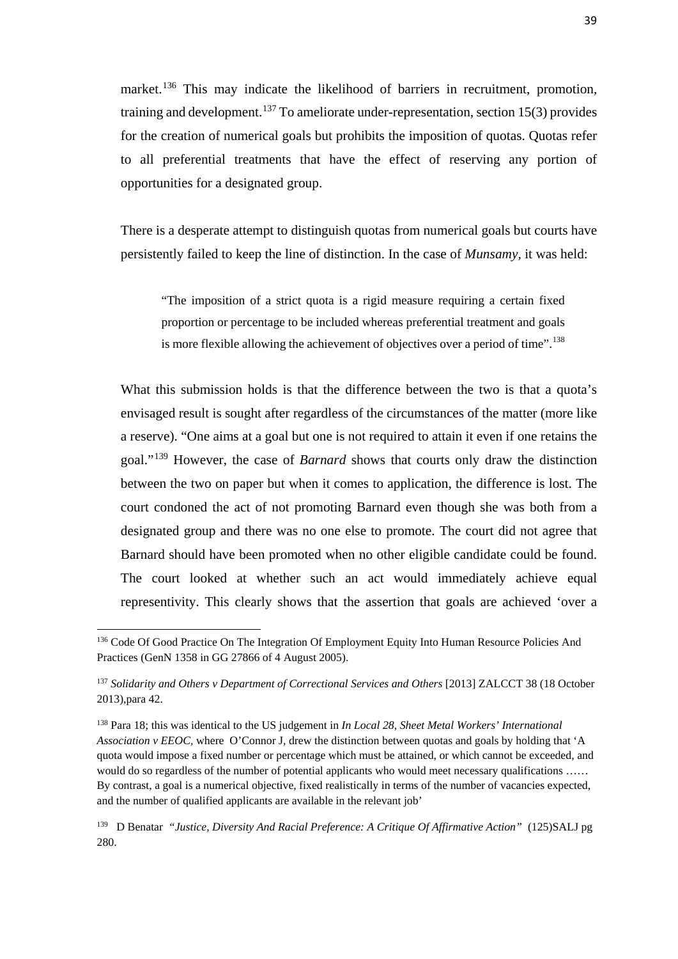market.<sup>[136](#page-47-0)</sup> This may indicate the likelihood of barriers in recruitment, promotion, training and development.<sup>[137](#page-47-1)</sup> To ameliorate under-representation, section 15(3) provides for the creation of numerical goals but prohibits the imposition of quotas. Quotas refer to all preferential treatments that have the effect of reserving any portion of opportunities for a designated group.

There is a desperate attempt to distinguish quotas from numerical goals but courts have persistently failed to keep the line of distinction. In the case of *Munsamy,* it was held:

"The imposition of a strict quota is a rigid measure requiring a certain fixed proportion or percentage to be included whereas preferential treatment and goals is more flexible allowing the achievement of objectives over a period of time".<sup>[138](#page-47-2)</sup>

What this submission holds is that the difference between the two is that a quota's envisaged result is sought after regardless of the circumstances of the matter (more like a reserve). "One aims at a goal but one is not required to attain it even if one retains the goal."[139](#page-47-3) However, the case of *Barnard* shows that courts only draw the distinction between the two on paper but when it comes to application, the difference is lost. The court condoned the act of not promoting Barnard even though she was both from a designated group and there was no one else to promote. The court did not agree that Barnard should have been promoted when no other eligible candidate could be found. The court looked at whether such an act would immediately achieve equal representivity. This clearly shows that the assertion that goals are achieved 'over a

<span id="page-47-0"></span><sup>&</sup>lt;sup>136</sup> Code Of Good Practice On The Integration Of Employment Equity Into Human Resource Policies And Practices (GenN 1358 in GG 27866 of 4 August 2005).

<span id="page-47-1"></span><sup>&</sup>lt;sup>137</sup> Solidarity and Others v Department of Correctional Services and Others [2013] ZALCCT 38 (18 October 2013),para 42.

<span id="page-47-2"></span><sup>138</sup> Para 18; this was identical to the US judgement in *In Local 28, Sheet Metal Workers' International Association v EEOC,* where O'Connor J, drew the distinction between quotas and goals by holding that 'A quota would impose a fixed number or percentage which must be attained, or which cannot be exceeded, and would do so regardless of the number of potential applicants who would meet necessary qualifications ...... By contrast, a goal is a numerical objective, fixed realistically in terms of the number of vacancies expected, and the number of qualified applicants are available in the relevant job'

<span id="page-47-3"></span><sup>139</sup> D Benatar *"Justice, Diversity And Racial Preference: A Critique Of Affirmative Action"* (125)SALJ pg 280.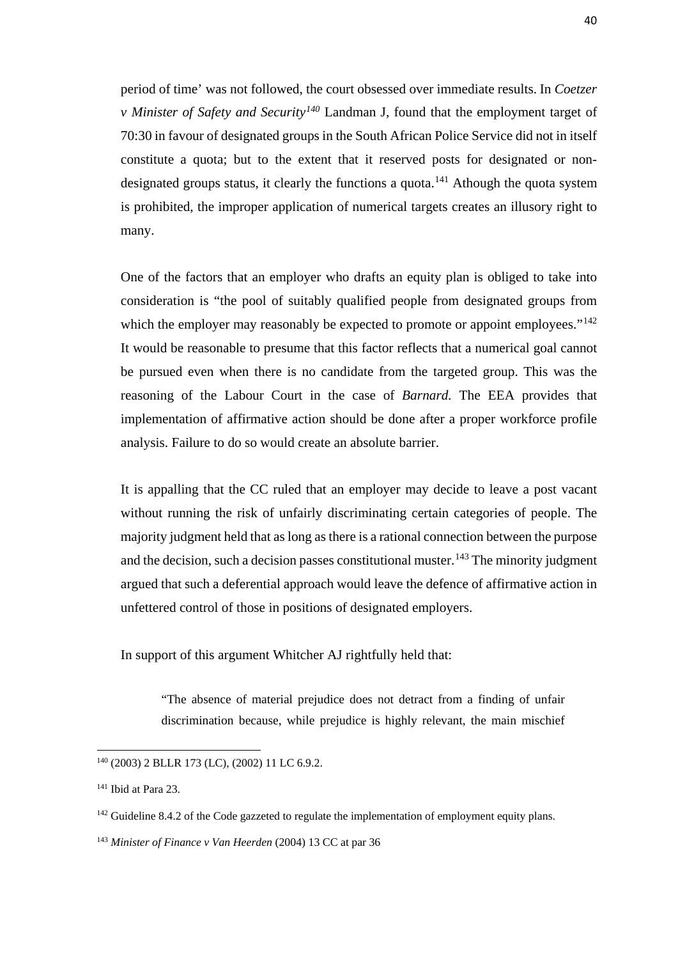period of time' was not followed, the court obsessed over immediate results. In *Coetzer v Minister of Safety and Security[140](#page-48-0)* Landman J, found that the employment target of 70:30 in favour of designated groups in the South African Police Service did not in itself constitute a quota; but to the extent that it reserved posts for designated or non-designated groups status, it clearly the functions a quota.<sup>[141](#page-48-1)</sup> Athough the quota system is prohibited, the improper application of numerical targets creates an illusory right to many.

One of the factors that an employer who drafts an equity plan is obliged to take into consideration is "the pool of suitably qualified people from designated groups from which the employer may reasonably be expected to promote or appoint employees."<sup>[142](#page-48-2)</sup> It would be reasonable to presume that this factor reflects that a numerical goal cannot be pursued even when there is no candidate from the targeted group. This was the reasoning of the Labour Court in the case of *Barnard.* The EEA provides that implementation of affirmative action should be done after a proper workforce profile analysis. Failure to do so would create an absolute barrier.

It is appalling that the CC ruled that an employer may decide to leave a post vacant without running the risk of unfairly discriminating certain categories of people. The majority judgment held that as long as there is a rational connection between the purpose and the decision, such a decision passes constitutional muster.<sup>[143](#page-48-3)</sup> The minority judgment argued that such a deferential approach would leave the defence of affirmative action in unfettered control of those in positions of designated employers.

#### In support of this argument Whitcher AJ rightfully held that:

"The absence of material prejudice does not detract from a finding of unfair discrimination because, while prejudice is highly relevant, the main mischief

 $\overline{a}$ 

<span id="page-48-0"></span><sup>140</sup> (2003) 2 BLLR 173 (LC), (2002) 11 LC 6.9.2.

<span id="page-48-1"></span><sup>141</sup> Ibid at Para 23.

<span id="page-48-2"></span><sup>&</sup>lt;sup>142</sup> Guideline 8.4.2 of the Code gazzeted to regulate the implementation of employment equity plans.

<span id="page-48-3"></span><sup>143</sup> *Minister of Finance v Van Heerden* (2004) 13 CC at par 36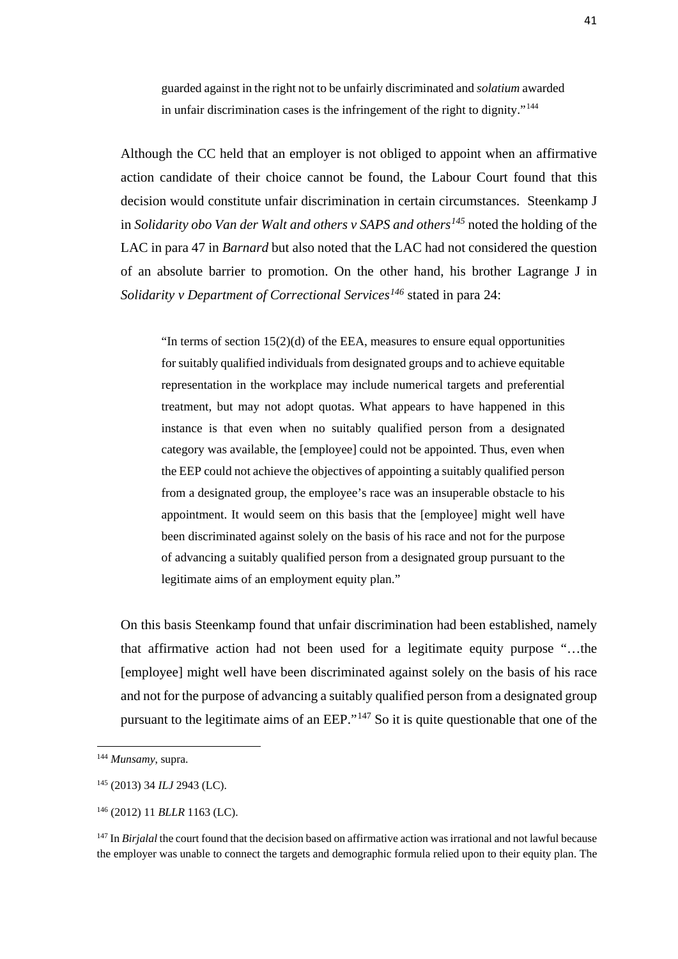guarded against in the right not to be unfairly discriminated and *solatium* awarded in unfair discrimination cases is the infringement of the right to dignity."[144](#page-49-0)

Although the CC held that an employer is not obliged to appoint when an affirmative action candidate of their choice cannot be found, the Labour Court found that this decision would constitute unfair discrimination in certain circumstances. Steenkamp J in *Solidarity obo Van der Walt and others v SAPS and others[145](#page-49-1)* noted the holding of the LAC in para 47 in *Barnard* but also noted that the LAC had not considered the question of an absolute barrier to promotion. On the other hand, his brother Lagrange J in *Solidarity v Department of Correctional Services[146](#page-49-2)* stated in para 24:

"In terms of section  $15(2)(d)$  of the EEA, measures to ensure equal opportunities for suitably qualified individuals from designated groups and to achieve equitable representation in the workplace may include numerical targets and preferential treatment, but may not adopt quotas. What appears to have happened in this instance is that even when no suitably qualified person from a designated category was available, the [employee] could not be appointed. Thus, even when the EEP could not achieve the objectives of appointing a suitably qualified person from a designated group, the employee's race was an insuperable obstacle to his appointment. It would seem on this basis that the [employee] might well have been discriminated against solely on the basis of his race and not for the purpose of advancing a suitably qualified person from a designated group pursuant to the legitimate aims of an employment equity plan."

On this basis Steenkamp found that unfair discrimination had been established, namely that affirmative action had not been used for a legitimate equity purpose "…the [employee] might well have been discriminated against solely on the basis of his race and not for the purpose of advancing a suitably qualified person from a designated group pursuant to the legitimate aims of an EEP."[147](#page-49-3) So it is quite questionable that one of the

<span id="page-49-0"></span><sup>144</sup> *Munsamy*, supra.

<span id="page-49-1"></span><sup>145</sup> (2013) 34 *ILJ* 2943 (LC).

<span id="page-49-2"></span><sup>146</sup> (2012) 11 *BLLR* 1163 (LC).

<span id="page-49-3"></span><sup>147</sup> In *Birjalal* the court found that the decision based on affirmative action was irrational and not lawful because the employer was unable to connect the targets and demographic formula relied upon to their equity plan. The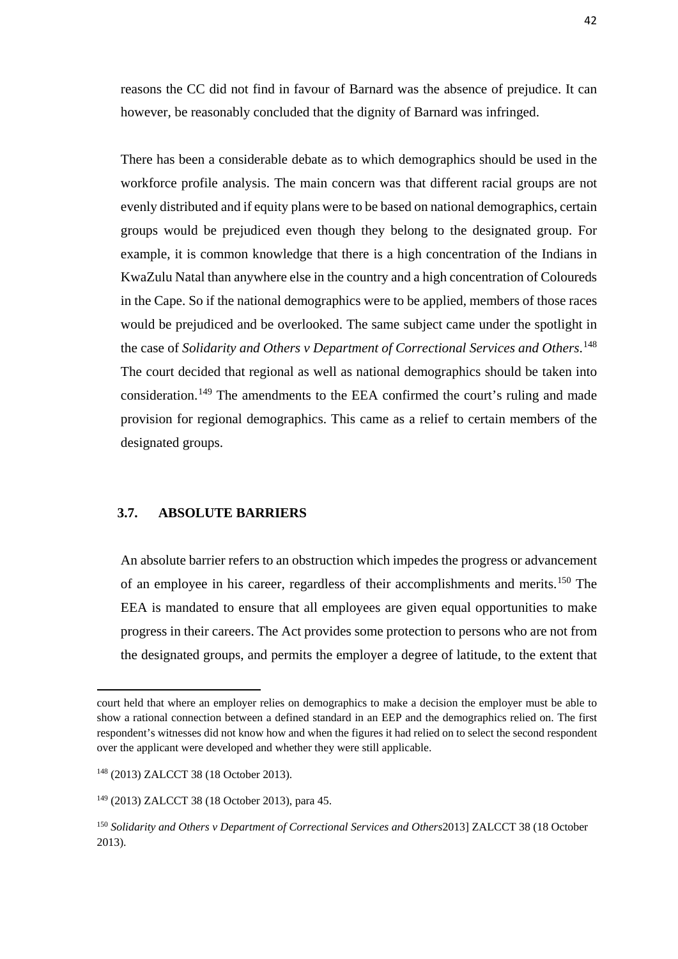reasons the CC did not find in favour of Barnard was the absence of prejudice. It can however, be reasonably concluded that the dignity of Barnard was infringed.

There has been a considerable debate as to which demographics should be used in the workforce profile analysis. The main concern was that different racial groups are not evenly distributed and if equity plans were to be based on national demographics, certain groups would be prejudiced even though they belong to the designated group. For example, it is common knowledge that there is a high concentration of the Indians in KwaZulu Natal than anywhere else in the country and a high concentration of Coloureds in the Cape. So if the national demographics were to be applied, members of those races would be prejudiced and be overlooked. The same subject came under the spotlight in the case of *Solidarity and Others v Department of Correctional Services and Others*. [148](#page-50-0) The court decided that regional as well as national demographics should be taken into consideration.[149](#page-50-1) The amendments to the EEA confirmed the court's ruling and made provision for regional demographics. This came as a relief to certain members of the designated groups.

#### **3.7. ABSOLUTE BARRIERS**

An absolute barrier refers to an obstruction which impedes the progress or advancement of an employee in his career, regardless of their accomplishments and merits.<sup>[150](#page-50-2)</sup> The EEA is mandated to ensure that all employees are given equal opportunities to make progress in their careers. The Act provides some protection to persons who are not from the designated groups, and permits the employer a degree of latitude, to the extent that

 $\overline{a}$ 

court held that where an employer relies on demographics to make a decision the employer must be able to show a rational connection between a defined standard in an EEP and the demographics relied on. The first respondent's witnesses did not know how and when the figures it had relied on to select the second respondent over the applicant were developed and whether they were still applicable.

<span id="page-50-0"></span><sup>148</sup> (2013) ZALCCT 38 (18 October 2013).

<span id="page-50-1"></span><sup>149</sup> (2013) ZALCCT 38 (18 October 2013), para 45.

<span id="page-50-2"></span><sup>150</sup> *Solidarity and Others v Department of Correctional Services and Others*2013] ZALCCT 38 (18 October 2013).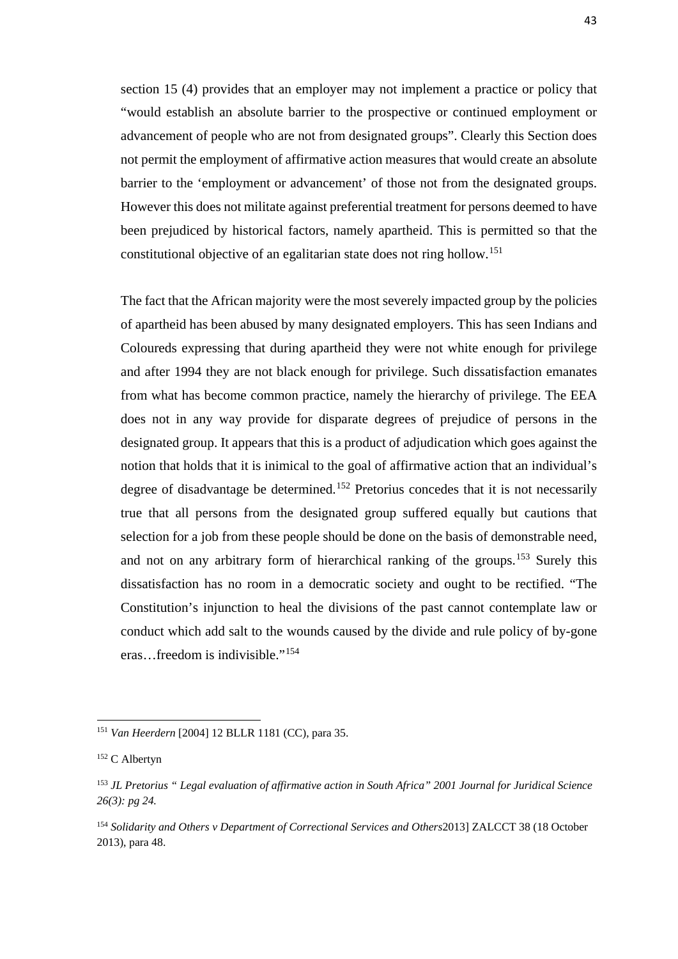section 15 (4) provides that an employer may not implement a practice or policy that "would establish an absolute barrier to the prospective or continued employment or advancement of people who are not from designated groups". Clearly this Section does not permit the employment of affirmative action measures that would create an absolute barrier to the 'employment or advancement' of those not from the designated groups. However this does not militate against preferential treatment for persons deemed to have been prejudiced by historical factors, namely apartheid. This is permitted so that the constitutional objective of an egalitarian state does not ring hollow.[151](#page-51-0)

The fact that the African majority were the most severely impacted group by the policies of apartheid has been abused by many designated employers. This has seen Indians and Coloureds expressing that during apartheid they were not white enough for privilege and after 1994 they are not black enough for privilege. Such dissatisfaction emanates from what has become common practice, namely the hierarchy of privilege. The EEA does not in any way provide for disparate degrees of prejudice of persons in the designated group. It appears that this is a product of adjudication which goes against the notion that holds that it is inimical to the goal of affirmative action that an individual's degree of disadvantage be determined.<sup>[152](#page-51-1)</sup> Pretorius concedes that it is not necessarily true that all persons from the designated group suffered equally but cautions that selection for a job from these people should be done on the basis of demonstrable need, and not on any arbitrary form of hierarchical ranking of the groups.[153](#page-51-2) Surely this dissatisfaction has no room in a democratic society and ought to be rectified. "The Constitution's injunction to heal the divisions of the past cannot contemplate law or conduct which add salt to the wounds caused by the divide and rule policy of by-gone eras…freedom is indivisible."[154](#page-51-3)

<span id="page-51-0"></span><sup>151</sup> *Van Heerdern* [2004] 12 BLLR 1181 (CC), para 35.

<span id="page-51-1"></span><sup>152</sup> C Albertyn

<span id="page-51-2"></span><sup>153</sup> *JL Pretorius " Legal evaluation of affirmative action in South Africa" 2001 Journal for Juridical Science 26(3): pg 24.*

<span id="page-51-3"></span><sup>154</sup> *Solidarity and Others v Department of Correctional Services and Others*2013] ZALCCT 38 (18 October 2013), para 48.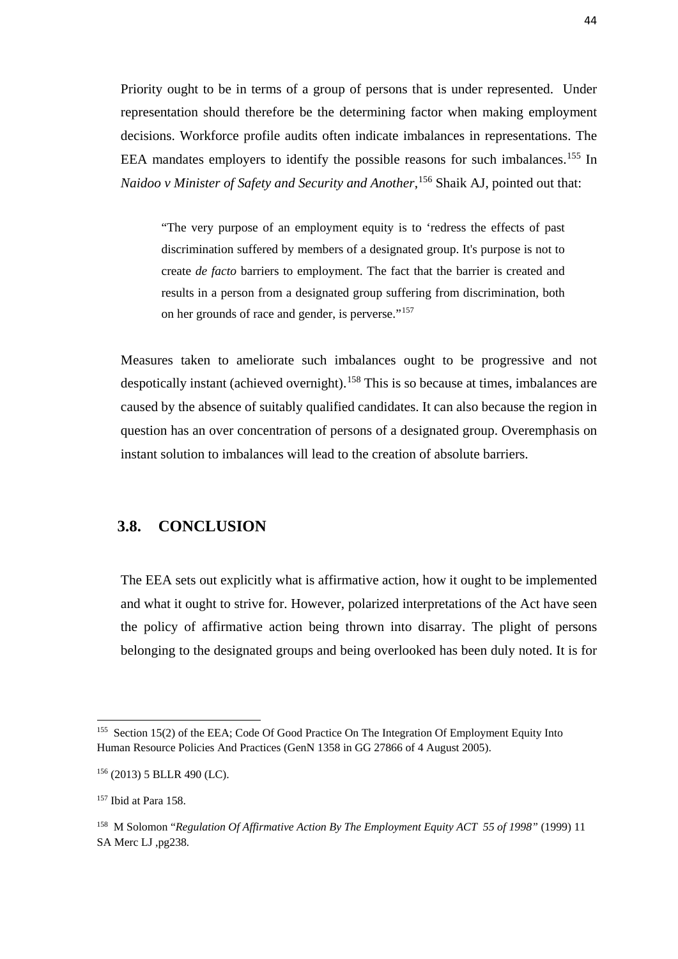Priority ought to be in terms of a group of persons that is under represented. Under representation should therefore be the determining factor when making employment decisions. Workforce profile audits often indicate imbalances in representations. The EEA mandates employers to identify the possible reasons for such imbalances.<sup>[155](#page-52-0)</sup> In *Naidoo v Minister of Safety and Security and Another*, [156](#page-52-1) Shaik AJ, pointed out that:

"The very purpose of an employment equity is to 'redress the effects of past discrimination suffered by members of a designated group. It's purpose is not to create *de facto* barriers to employment. The fact that the barrier is created and results in a person from a designated group suffering from discrimination, both on her grounds of race and gender, is perverse."[157](#page-52-2)

Measures taken to ameliorate such imbalances ought to be progressive and not despotically instant (achieved overnight).<sup>[158](#page-52-3)</sup> This is so because at times, imbalances are caused by the absence of suitably qualified candidates. It can also because the region in question has an over concentration of persons of a designated group. Overemphasis on instant solution to imbalances will lead to the creation of absolute barriers.

#### **3.8. CONCLUSION**

The EEA sets out explicitly what is affirmative action, how it ought to be implemented and what it ought to strive for. However, polarized interpretations of the Act have seen the policy of affirmative action being thrown into disarray. The plight of persons belonging to the designated groups and being overlooked has been duly noted. It is for

<span id="page-52-0"></span><sup>&</sup>lt;sup>155</sup> Section 15(2) of the EEA; Code Of Good Practice On The Integration Of Employment Equity Into Human Resource Policies And Practices (GenN 1358 in GG 27866 of 4 August 2005).

<span id="page-52-1"></span><sup>156</sup> (2013) 5 BLLR 490 (LC).

<span id="page-52-2"></span><sup>157</sup> Ibid at Para 158.

<span id="page-52-3"></span><sup>158</sup> M Solomon "*Regulation Of Affirmative Action By The Employment Equity ACT 55 of 1998"* (1999) 11 SA Merc LJ ,pg238*.*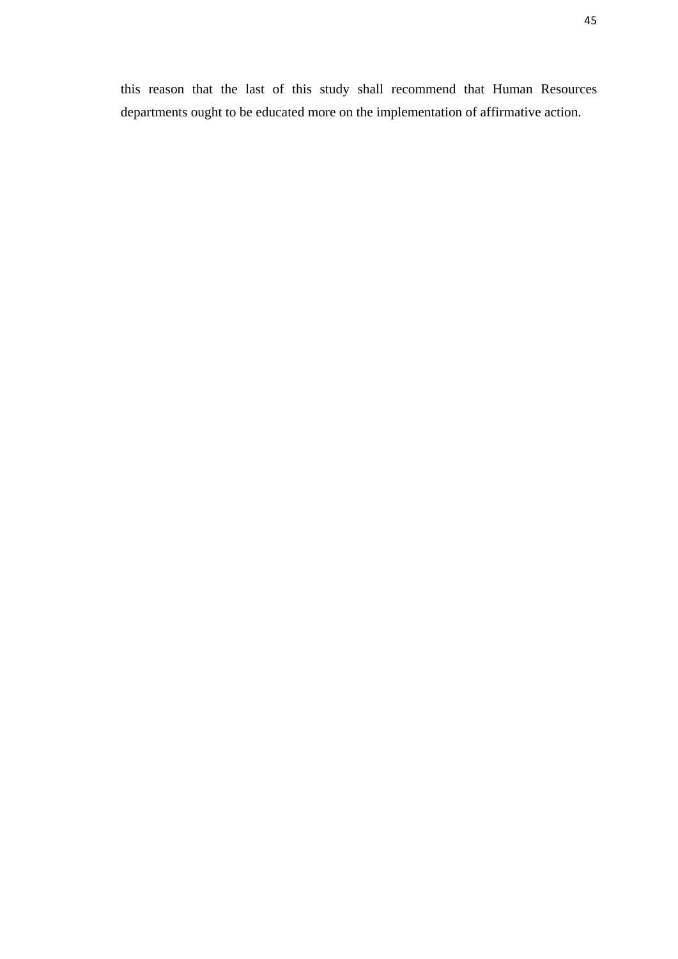this reason that the last of this study shall recommend that Human Resources departments ought to be educated more on the implementation of affirmative action.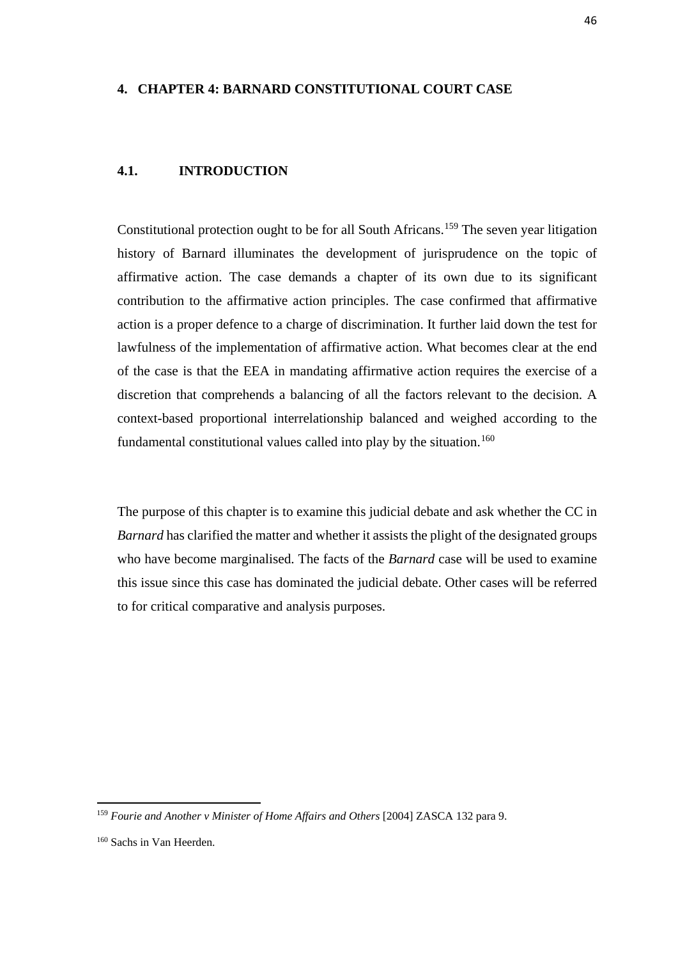#### **4. CHAPTER 4: BARNARD CONSTITUTIONAL COURT CASE**

#### **4.1. INTRODUCTION**

Constitutional protection ought to be for all South Africans.<sup>159</sup> The seven year litigation history of Barnard illuminates the development of jurisprudence on the topic of affirmative action. The case demands a chapter of its own due to its significant contribution to the affirmative action principles. The case confirmed that affirmative action is a proper defence to a charge of discrimination. It further laid down the test for lawfulness of the implementation of affirmative action. What becomes clear at the end of the case is that the EEA in mandating affirmative action requires the exercise of a discretion that comprehends a balancing of all the factors relevant to the decision. A context-based proportional interrelationship balanced and weighed according to the fundamental constitutional values called into play by the situation.<sup>[160](#page-54-1)</sup>

The purpose of this chapter is to examine this judicial debate and ask whether the CC in *Barnard* has clarified the matter and whether it assists the plight of the designated groups who have become marginalised. The facts of the *Barnard* case will be used to examine this issue since this case has dominated the judicial debate. Other cases will be referred to for critical comparative and analysis purposes.

<span id="page-54-0"></span><sup>&</sup>lt;sup>159</sup> Fourie and Another v Minister of Home Affairs and Others [2004] ZASCA 132 para 9.

<span id="page-54-1"></span><sup>160</sup> Sachs in Van Heerden.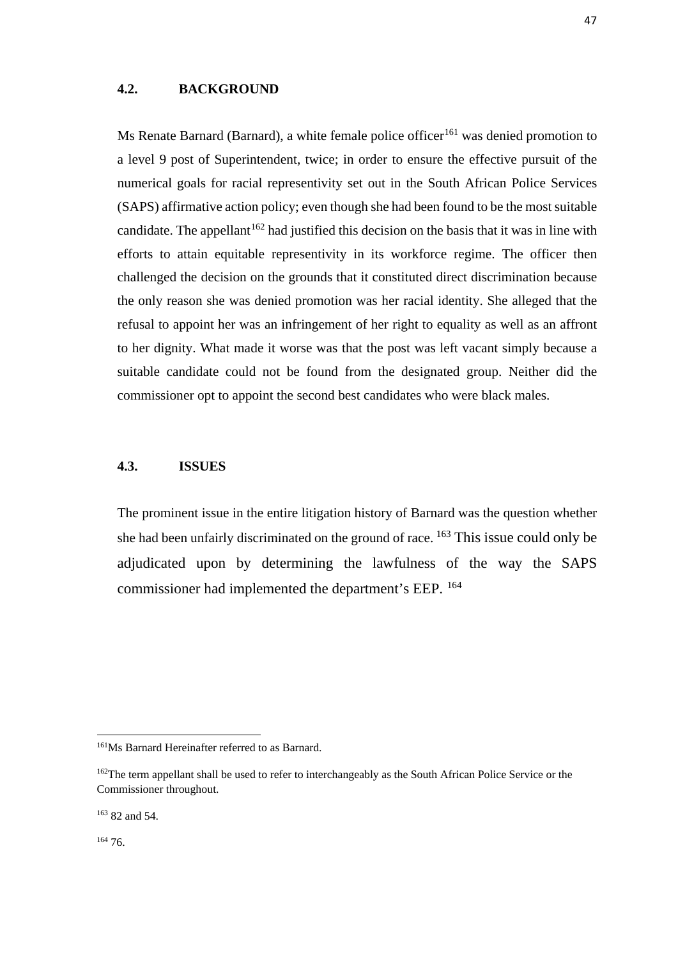#### **4.2. BACKGROUND**

Ms Renate Barnard (Barnard), a white female police officer<sup>161</sup> was denied promotion to a level 9 post of Superintendent, twice; in order to ensure the effective pursuit of the numerical goals for racial representivity set out in the South African Police Services (SAPS) affirmative action policy; even though she had been found to be the most suitable candidate. The appellant  $162$  had justified this decision on the basis that it was in line with efforts to attain equitable representivity in its workforce regime. The officer then challenged the decision on the grounds that it constituted direct discrimination because the only reason she was denied promotion was her racial identity. She alleged that the refusal to appoint her was an infringement of her right to equality as well as an affront to her dignity. What made it worse was that the post was left vacant simply because a suitable candidate could not be found from the designated group. Neither did the commissioner opt to appoint the second best candidates who were black males.

#### **4.3. ISSUES**

The prominent issue in the entire litigation history of Barnard was the question whether she had been unfairly discriminated on the ground of race. [163](#page-55-2) This issue could only be adjudicated upon by determining the lawfulness of the way the SAPS commissioner had implemented the department's EEP. [164](#page-55-3)

<span id="page-55-0"></span><sup>&</sup>lt;sup>161</sup>Ms Barnard Hereinafter referred to as Barnard.

<span id="page-55-1"></span><sup>&</sup>lt;sup>162</sup>The term appellant shall be used to refer to interchangeably as the South African Police Service or the Commissioner throughout.

<span id="page-55-2"></span><sup>163</sup> 82 and 54.

<span id="page-55-3"></span> $164,76.$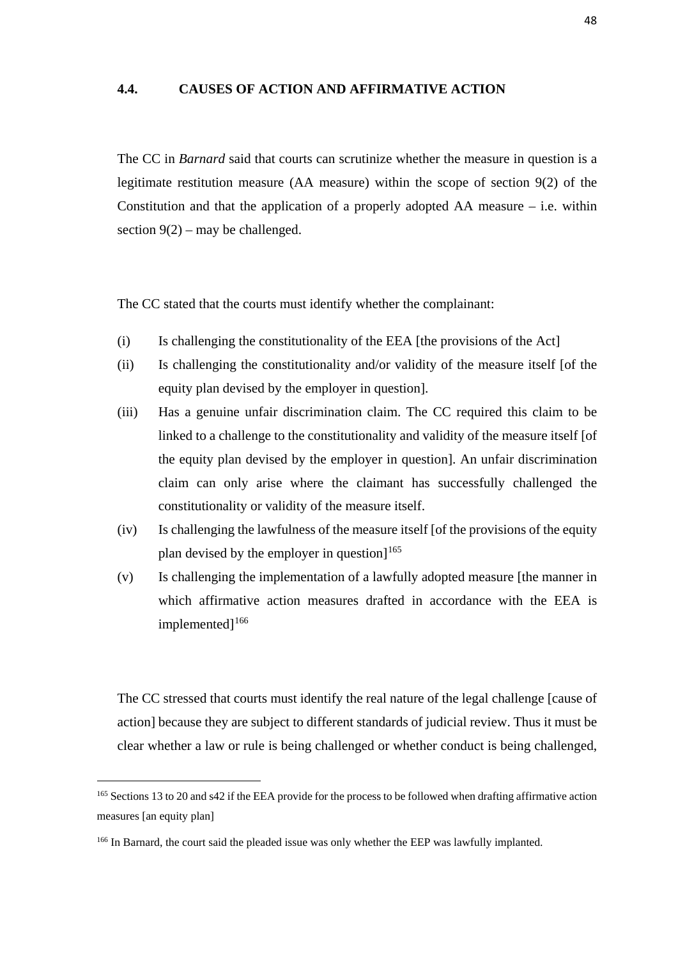#### **4.4. CAUSES OF ACTION AND AFFIRMATIVE ACTION**

The CC in *Barnard* said that courts can scrutinize whether the measure in question is a legitimate restitution measure (AA measure) within the scope of section 9(2) of the Constitution and that the application of a properly adopted  $AA$  measure – i.e. within section  $9(2)$  – may be challenged.

The CC stated that the courts must identify whether the complainant:

- (i) Is challenging the constitutionality of the EEA [the provisions of the Act]
- (ii) Is challenging the constitutionality and/or validity of the measure itself [of the equity plan devised by the employer in question].
- (iii) Has a genuine unfair discrimination claim. The CC required this claim to be linked to a challenge to the constitutionality and validity of the measure itself [of the equity plan devised by the employer in question]. An unfair discrimination claim can only arise where the claimant has successfully challenged the constitutionality or validity of the measure itself.
- (iv) Is challenging the lawfulness of the measure itself [of the provisions of the equity plan devised by the employer in question $]^{165}$
- (v) Is challenging the implementation of a lawfully adopted measure [the manner in which affirmative action measures drafted in accordance with the EEA is implemented]<sup>[166](#page-56-1)</sup>

The CC stressed that courts must identify the real nature of the legal challenge [cause of action] because they are subject to different standards of judicial review. Thus it must be clear whether a law or rule is being challenged or whether conduct is being challenged,

<span id="page-56-0"></span><sup>&</sup>lt;sup>165</sup> Sections 13 to 20 and s42 if the EEA provide for the process to be followed when drafting affirmative action measures [an equity plan]

<span id="page-56-1"></span><sup>&</sup>lt;sup>166</sup> In Barnard, the court said the pleaded issue was only whether the EEP was lawfully implanted.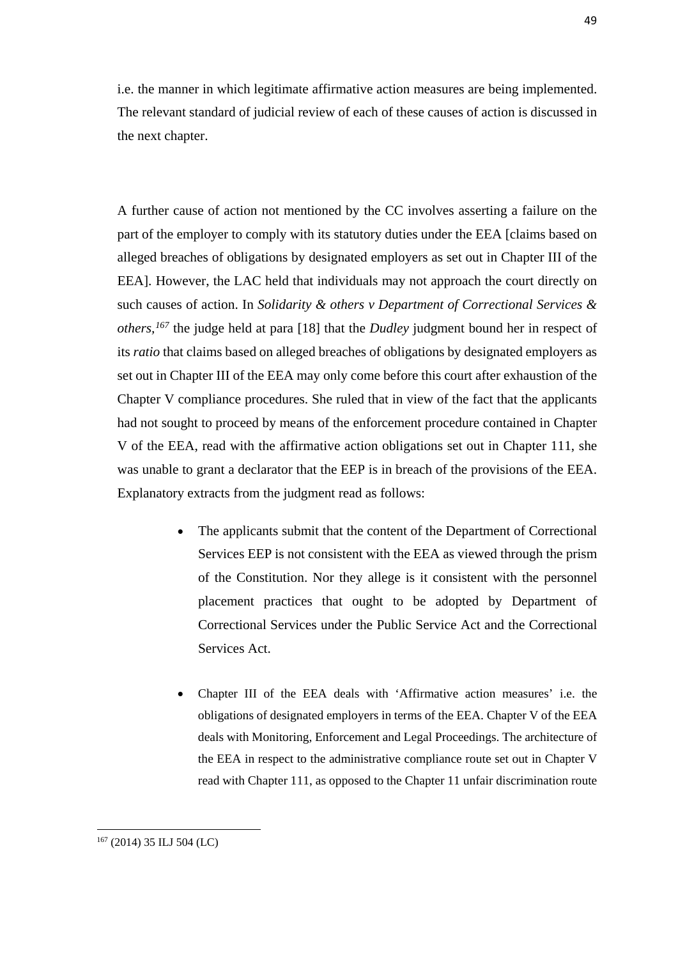i.e. the manner in which legitimate affirmative action measures are being implemented. The relevant standard of judicial review of each of these causes of action is discussed in the next chapter.

A further cause of action not mentioned by the CC involves asserting a failure on the part of the employer to comply with its statutory duties under the EEA [claims based on alleged breaches of obligations by designated employers as set out in Chapter III of the EEA]. However, the LAC held that individuals may not approach the court directly on such causes of action. In *Solidarity & others v Department of Correctional Services & others,[167](#page-57-0)* the judge held at para [18] that the *Dudley* judgment bound her in respect of its *ratio* that claims based on alleged breaches of obligations by designated employers as set out in Chapter III of the EEA may only come before this court after exhaustion of the Chapter V compliance procedures. She ruled that in view of the fact that the applicants had not sought to proceed by means of the enforcement procedure contained in Chapter V of the EEA, read with the affirmative action obligations set out in Chapter 111, she was unable to grant a declarator that the EEP is in breach of the provisions of the EEA. Explanatory extracts from the judgment read as follows:

- The applicants submit that the content of the Department of Correctional Services EEP is not consistent with the EEA as viewed through the prism of the Constitution. Nor they allege is it consistent with the personnel placement practices that ought to be adopted by Department of Correctional Services under the Public Service Act and the Correctional Services Act.
- Chapter III of the EEA deals with 'Affirmative action measures' i.e. the obligations of designated employers in terms of the EEA. Chapter V of the EEA deals with Monitoring, Enforcement and Legal Proceedings. The architecture of the EEA in respect to the administrative compliance route set out in Chapter V read with Chapter 111, as opposed to the Chapter 11 unfair discrimination route

<span id="page-57-0"></span> $167$  (2014) 35 ILJ 504 (LC)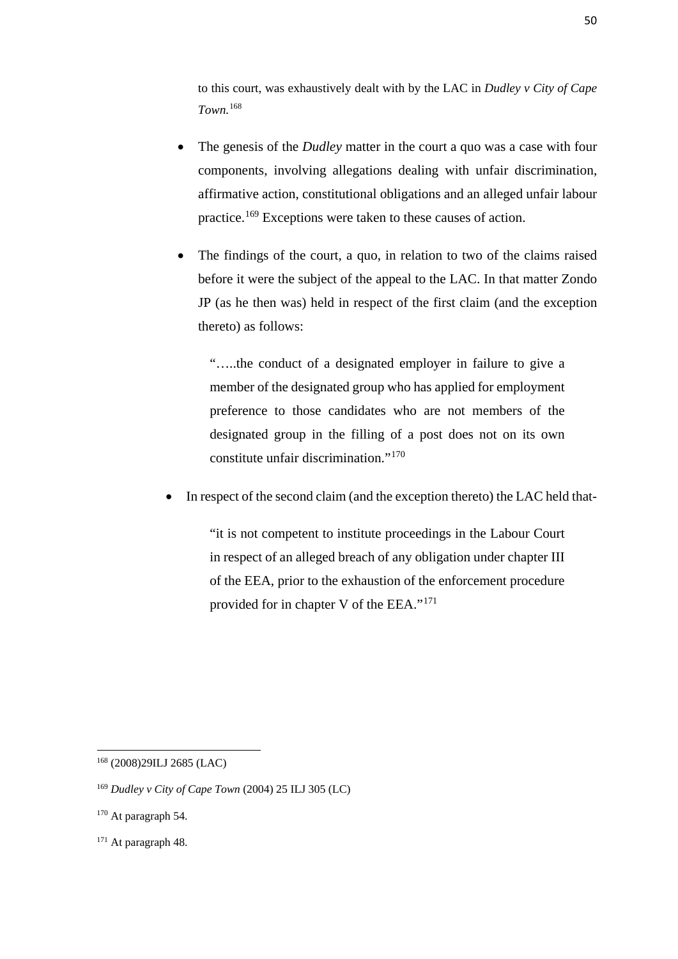to this court, was exhaustively dealt with by the LAC in *Dudley v City of Cape Town.*[168](#page-58-0)

- The genesis of the *Dudley* matter in the court a quo was a case with four components, involving allegations dealing with unfair discrimination, affirmative action, constitutional obligations and an alleged unfair labour practice.[169](#page-58-1) Exceptions were taken to these causes of action.
- The findings of the court, a quo, in relation to two of the claims raised before it were the subject of the appeal to the LAC. In that matter Zondo JP (as he then was) held in respect of the first claim (and the exception thereto) as follows:

"…..the conduct of a designated employer in failure to give a member of the designated group who has applied for employment preference to those candidates who are not members of the designated group in the filling of a post does not on its own constitute unfair discrimination."[170](#page-58-2) 

In respect of the second claim (and the exception thereto) the LAC held that-

"it is not competent to institute proceedings in the Labour Court in respect of an alleged breach of any obligation under chapter III of the EEA, prior to the exhaustion of the enforcement procedure provided for in chapter V of the EEA."[171](#page-58-3)

 $\overline{a}$ 

<span id="page-58-0"></span><sup>168</sup> (2008)29ILJ 2685 (LAC)

<span id="page-58-1"></span><sup>169</sup> *Dudley v City of Cape Town* (2004) 25 ILJ 305 (LC)

<span id="page-58-2"></span><sup>&</sup>lt;sup>170</sup> At paragraph 54.

<span id="page-58-3"></span><sup>&</sup>lt;sup>171</sup> At paragraph 48.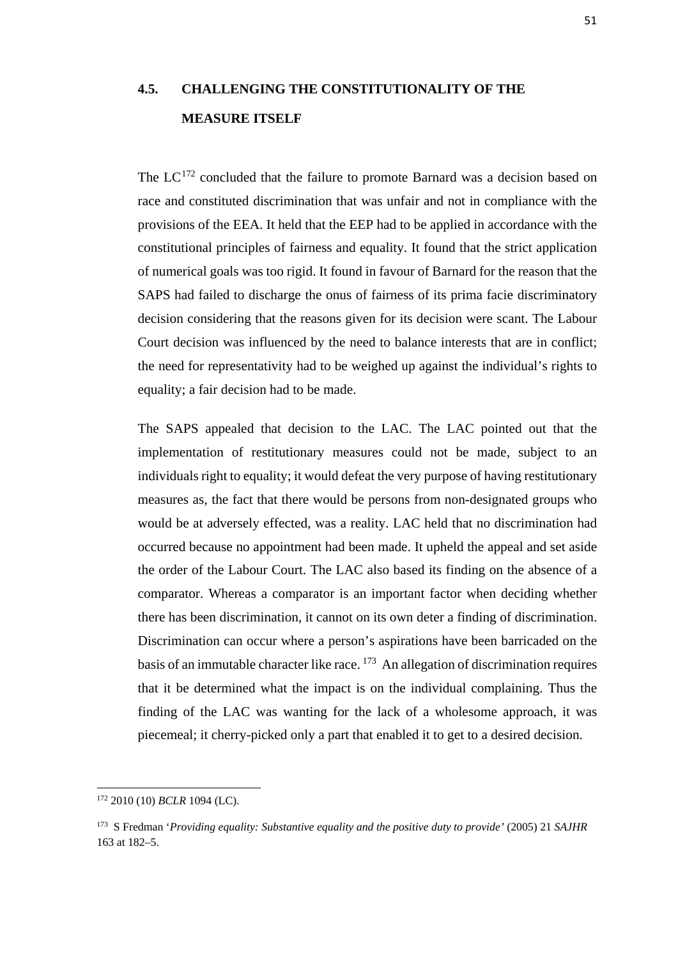# **4.5. CHALLENGING THE CONSTITUTIONALITY OF THE MEASURE ITSELF**

The  $LC^{172}$  $LC^{172}$  $LC^{172}$  concluded that the failure to promote Barnard was a decision based on race and constituted discrimination that was unfair and not in compliance with the provisions of the EEA. It held that the EEP had to be applied in accordance with the constitutional principles of fairness and equality. It found that the strict application of numerical goals was too rigid. It found in favour of Barnard for the reason that the SAPS had failed to discharge the onus of fairness of its prima facie discriminatory decision considering that the reasons given for its decision were scant. The Labour Court decision was influenced by the need to balance interests that are in conflict; the need for representativity had to be weighed up against the individual's rights to equality; a fair decision had to be made.

The SAPS appealed that decision to the LAC. The LAC pointed out that the implementation of restitutionary measures could not be made, subject to an individuals right to equality; it would defeat the very purpose of having restitutionary measures as, the fact that there would be persons from non-designated groups who would be at adversely effected, was a reality. LAC held that no discrimination had occurred because no appointment had been made. It upheld the appeal and set aside the order of the Labour Court. The LAC also based its finding on the absence of a comparator. Whereas a comparator is an important factor when deciding whether there has been discrimination, it cannot on its own deter a finding of discrimination. Discrimination can occur where a person's aspirations have been barricaded on the basis of an immutable character like race.  $173$  An allegation of discrimination requires that it be determined what the impact is on the individual complaining. Thus the finding of the LAC was wanting for the lack of a wholesome approach, it was piecemeal; it cherry-picked only a part that enabled it to get to a desired decision.

<span id="page-59-0"></span><sup>172</sup> 2010 (10) *BCLR* 1094 (LC).

<span id="page-59-1"></span><sup>173</sup> S Fredman '*Providing equality: Substantive equality and the positive duty to provide'* (2005) 21 *SAJHR*  163 at 182–5.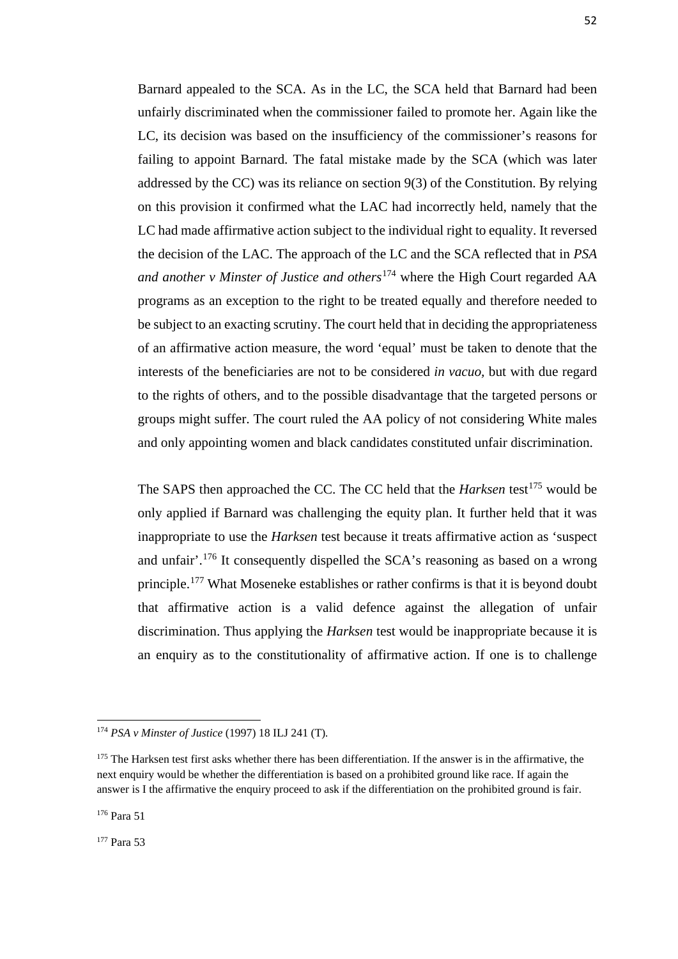Barnard appealed to the SCA. As in the LC, the SCA held that Barnard had been unfairly discriminated when the commissioner failed to promote her. Again like the LC, its decision was based on the insufficiency of the commissioner's reasons for failing to appoint Barnard. The fatal mistake made by the SCA (which was later addressed by the CC) was its reliance on section 9(3) of the Constitution. By relying on this provision it confirmed what the LAC had incorrectly held, namely that the LC had made affirmative action subject to the individual right to equality. It reversed the decision of the LAC. The approach of the LC and the SCA reflected that in *PSA and another v Minster of Justice and others*[174](#page-60-0) where the High Court regarded AA programs as an exception to the right to be treated equally and therefore needed to be subject to an exacting scrutiny. The court held that in deciding the appropriateness of an affirmative action measure, the word 'equal' must be taken to denote that the interests of the beneficiaries are not to be considered *in vacuo,* but with due regard to the rights of others, and to the possible disadvantage that the targeted persons or groups might suffer. The court ruled the AA policy of not considering White males and only appointing women and black candidates constituted unfair discrimination.

The SAPS then approached the CC. The CC held that the *Harksen* test<sup>[175](#page-60-1)</sup> would be only applied if Barnard was challenging the equity plan. It further held that it was inappropriate to use the *Harksen* test because it treats affirmative action as 'suspect and unfair'.[176](#page-60-2) It consequently dispelled the SCA's reasoning as based on a wrong principle.[177](#page-60-3) What Moseneke establishes or rather confirms is that it is beyond doubt that affirmative action is a valid defence against the allegation of unfair discrimination. Thus applying the *Harksen* test would be inappropriate because it is an enquiry as to the constitutionality of affirmative action. If one is to challenge

**.** 

<span id="page-60-3"></span><sup>177</sup> Para 53

<span id="page-60-0"></span><sup>174</sup> *PSA v Minster of Justice* (1997) 18 ILJ 241 (T)*.*

<span id="page-60-1"></span><sup>&</sup>lt;sup>175</sup> The Harksen test first asks whether there has been differentiation. If the answer is in the affirmative, the next enquiry would be whether the differentiation is based on a prohibited ground like race. If again the answer is I the affirmative the enquiry proceed to ask if the differentiation on the prohibited ground is fair.

<span id="page-60-2"></span><sup>176</sup> Para 51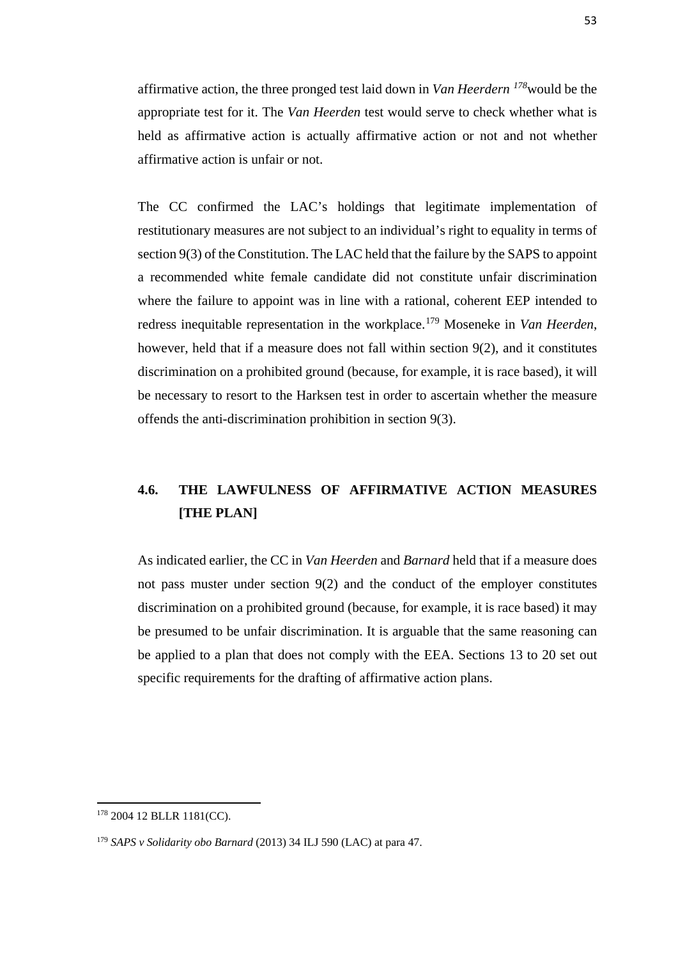affirmative action, the three pronged test laid down in *Van Heerdern [178](#page-61-0)*would be the appropriate test for it. The *Van Heerden* test would serve to check whether what is held as affirmative action is actually affirmative action or not and not whether affirmative action is unfair or not.

The CC confirmed the LAC's holdings that legitimate implementation of restitutionary measures are not subject to an individual's right to equality in terms of section 9(3) of the Constitution. The LAC held that the failure by the SAPS to appoint a recommended white female candidate did not constitute unfair discrimination where the failure to appoint was in line with a rational, coherent EEP intended to redress inequitable representation in the workplace.[179](#page-61-1) Moseneke in *Van Heerden*, however, held that if a measure does not fall within section 9(2), and it constitutes discrimination on a prohibited ground (because, for example, it is race based), it will be necessary to resort to the Harksen test in order to ascertain whether the measure offends the anti-discrimination prohibition in section 9(3).

## **4.6. THE LAWFULNESS OF AFFIRMATIVE ACTION MEASURES [THE PLAN]**

As indicated earlier, the CC in *Van Heerden* and *Barnard* held that if a measure does not pass muster under section 9(2) and the conduct of the employer constitutes discrimination on a prohibited ground (because, for example, it is race based) it may be presumed to be unfair discrimination. It is arguable that the same reasoning can be applied to a plan that does not comply with the EEA. Sections 13 to 20 set out specific requirements for the drafting of affirmative action plans.

<span id="page-61-0"></span><sup>178</sup> 2004 12 BLLR 1181(CC).

<span id="page-61-1"></span><sup>179</sup> *SAPS v Solidarity obo Barnard* (2013) 34 ILJ 590 (LAC) at para 47.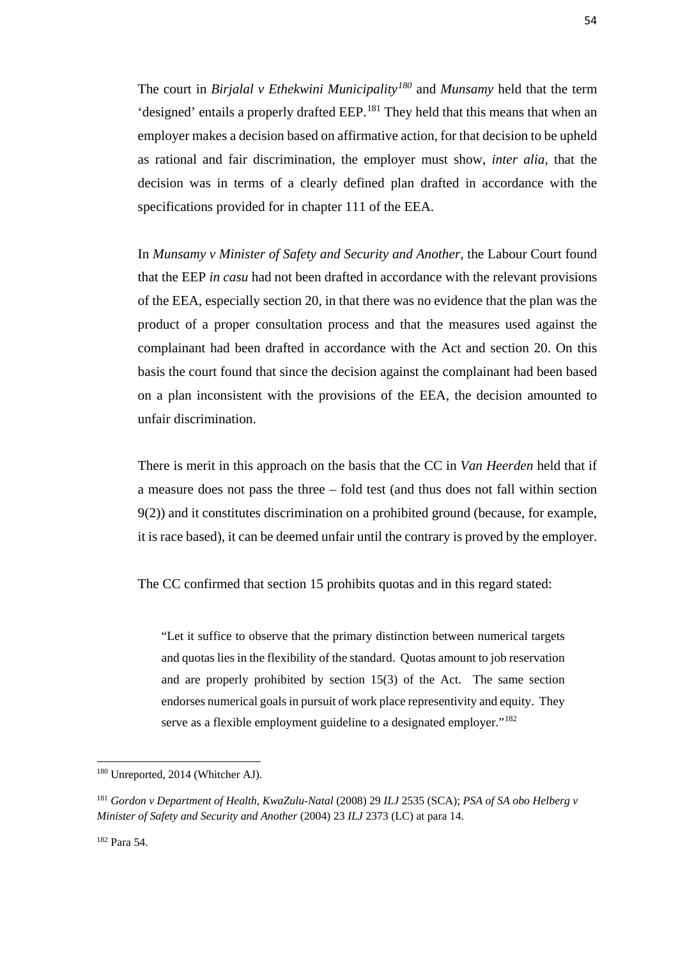The court in *Birjalal v Ethekwini Municipality[180](#page-62-0)* and *Munsamy* held that the term 'designed' entails a properly drafted EEP. [181](#page-62-1) They held that this means that when an employer makes a decision based on affirmative action, for that decision to be upheld as rational and fair discrimination, the employer must show, *inter alia,* that the decision was in terms of a clearly defined plan drafted in accordance with the specifications provided for in chapter 111 of the EEA.

In *Munsamy v Minister of Safety and Security and Another,* the Labour Court found that the EEP *in casu* had not been drafted in accordance with the relevant provisions of the EEA, especially section 20, in that there was no evidence that the plan was the product of a proper consultation process and that the measures used against the complainant had been drafted in accordance with the Act and section 20. On this basis the court found that since the decision against the complainant had been based on a plan inconsistent with the provisions of the EEA, the decision amounted to unfair discrimination.

There is merit in this approach on the basis that the CC in *Van Heerden* held that if a measure does not pass the three – fold test (and thus does not fall within section 9(2)) and it constitutes discrimination on a prohibited ground (because, for example, it is race based), it can be deemed unfair until the contrary is proved by the employer.

The CC confirmed that section 15 prohibits quotas and in this regard stated:

"Let it suffice to observe that the primary distinction between numerical targets and quotas lies in the flexibility of the standard. Quotas amount to job reservation and are properly prohibited by section 15(3) of the Act. The same section endorses numerical goals in pursuit of work place representivity and equity. They serve as a flexible employment guideline to a designated employer."<sup>[182](#page-62-2)</sup>

<span id="page-62-2"></span><sup>182</sup> Para 54.

<span id="page-62-0"></span><sup>180</sup> Unreported, 2014 (Whitcher AJ).

<span id="page-62-1"></span><sup>181</sup> *Gordon v Department of Health, KwaZulu-Natal* (2008) 29 *ILJ* 2535 (SCA); *PSA of SA obo Helberg v Minister of Safety and Security and Another* (2004) 23 *ILJ* 2373 (LC) at para 14.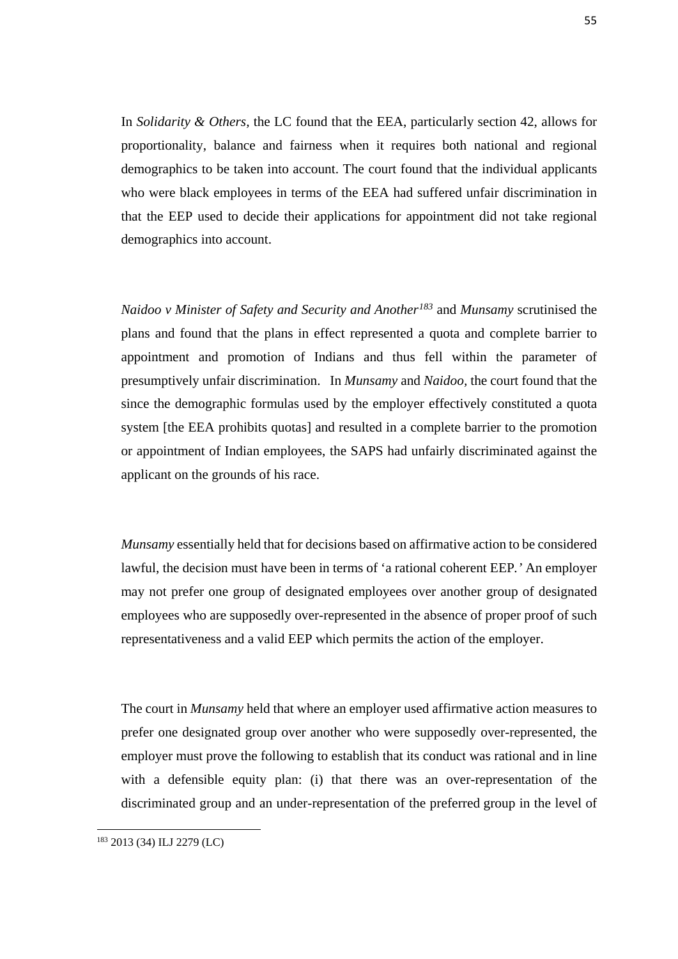In *Solidarity & Others,* the LC found that the EEA, particularly section 42, allows for proportionality, balance and fairness when it requires both national and regional demographics to be taken into account. The court found that the individual applicants who were black employees in terms of the EEA had suffered unfair discrimination in that the EEP used to decide their applications for appointment did not take regional demographics into account.

*Naidoo v Minister of Safety and Security and Another[183](#page-63-0)* and *Munsamy* scrutinised the plans and found that the plans in effect represented a quota and complete barrier to appointment and promotion of Indians and thus fell within the parameter of presumptively unfair discrimination. In *Munsamy* and *Naidoo,* the court found that the since the demographic formulas used by the employer effectively constituted a quota system [the EEA prohibits quotas] and resulted in a complete barrier to the promotion or appointment of Indian employees, the SAPS had unfairly discriminated against the applicant on the grounds of his race.

*Munsamy* essentially held that for decisions based on affirmative action to be considered lawful, the decision must have been in terms of 'a rational coherent EEP*.'* An employer may not prefer one group of designated employees over another group of designated employees who are supposedly over-represented in the absence of proper proof of such representativeness and a valid EEP which permits the action of the employer.

The court in *Munsamy* held that where an employer used affirmative action measures to prefer one designated group over another who were supposedly over-represented, the employer must prove the following to establish that its conduct was rational and in line with a defensible equity plan: (i) that there was an over-representation of the discriminated group and an under-representation of the preferred group in the level of

<span id="page-63-0"></span><sup>183</sup> 2013 (34) ILJ 2279 (LC)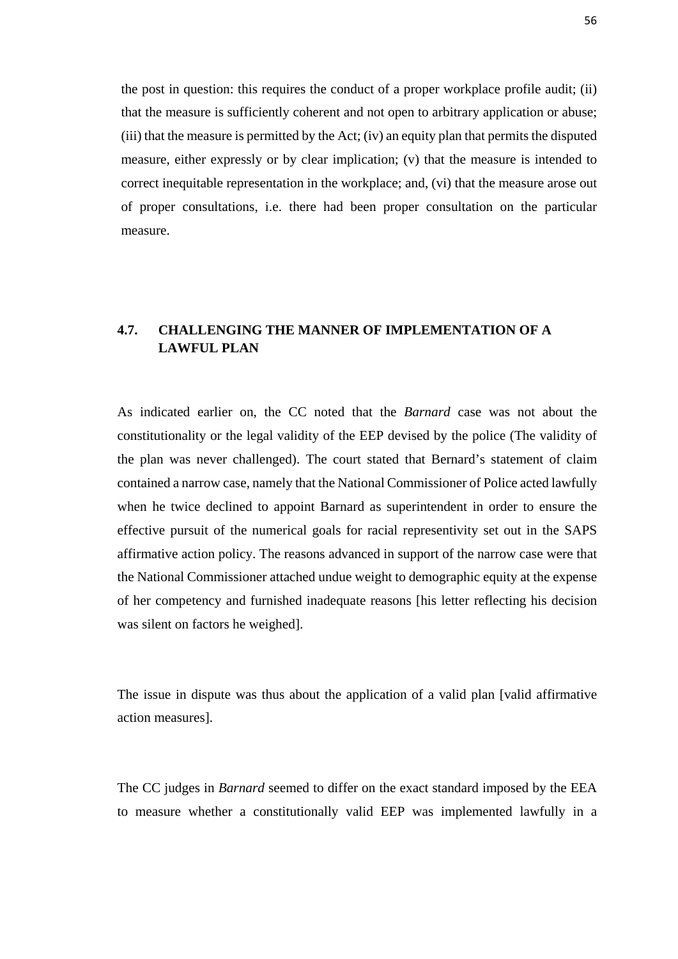the post in question: this requires the conduct of a proper workplace profile audit; (ii) that the measure is sufficiently coherent and not open to arbitrary application or abuse; (iii) that the measure is permitted by the Act; (iv) an equity plan that permits the disputed measure, either expressly or by clear implication; (v) that the measure is intended to correct inequitable representation in the workplace; and, (vi) that the measure arose out of proper consultations, i.e. there had been proper consultation on the particular measure.

## **4.7. CHALLENGING THE MANNER OF IMPLEMENTATION OF A LAWFUL PLAN**

As indicated earlier on, the CC noted that the *Barnard* case was not about the constitutionality or the legal validity of the EEP devised by the police (The validity of the plan was never challenged). The court stated that Bernard's statement of claim contained a narrow case, namely that the National Commissioner of Police acted lawfully when he twice declined to appoint Barnard as superintendent in order to ensure the effective pursuit of the numerical goals for racial representivity set out in the SAPS affirmative action policy. The reasons advanced in support of the narrow case were that the National Commissioner attached undue weight to demographic equity at the expense of her competency and furnished inadequate reasons [his letter reflecting his decision was silent on factors he weighed].

The issue in dispute was thus about the application of a valid plan [valid affirmative action measures].

The CC judges in *Barnard* seemed to differ on the exact standard imposed by the EEA to measure whether a constitutionally valid EEP was implemented lawfully in a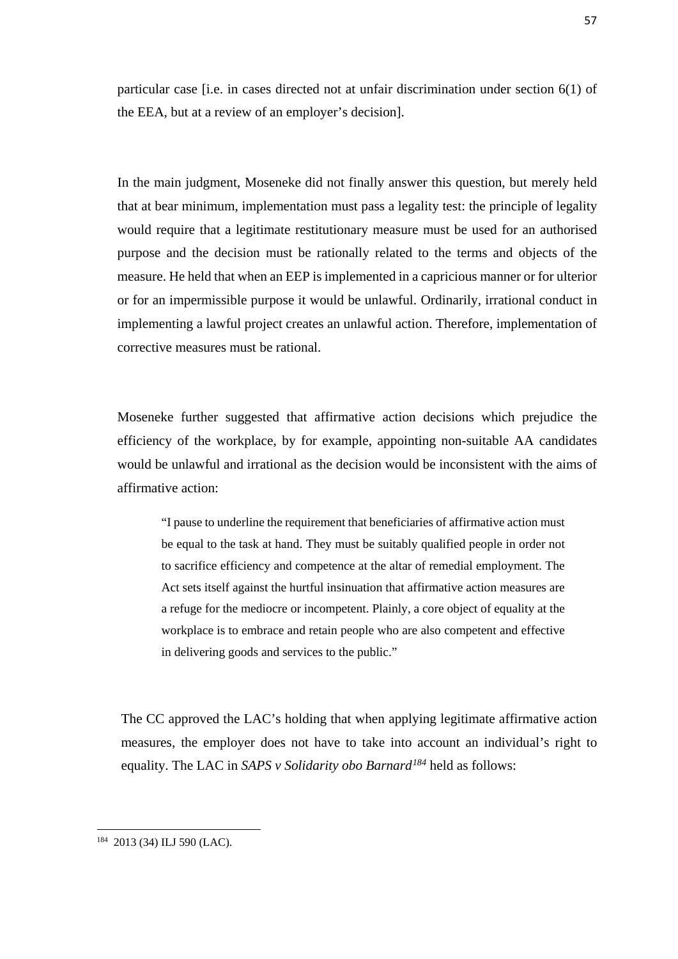particular case [i.e. in cases directed not at unfair discrimination under section 6(1) of the EEA, but at a review of an employer's decision].

In the main judgment, Moseneke did not finally answer this question, but merely held that at bear minimum, implementation must pass a legality test: the principle of legality would require that a legitimate restitutionary measure must be used for an authorised purpose and the decision must be rationally related to the terms and objects of the measure. He held that when an EEP is implemented in a capricious manner or for ulterior or for an impermissible purpose it would be unlawful. Ordinarily, irrational conduct in implementing a lawful project creates an unlawful action. Therefore, implementation of corrective measures must be rational.

Moseneke further suggested that affirmative action decisions which prejudice the efficiency of the workplace, by for example, appointing non-suitable AA candidates would be unlawful and irrational as the decision would be inconsistent with the aims of affirmative action:

"I pause to underline the requirement that beneficiaries of affirmative action must be equal to the task at hand. They must be suitably qualified people in order not to sacrifice efficiency and competence at the altar of remedial employment. The Act sets itself against the hurtful insinuation that affirmative action measures are a refuge for the mediocre or incompetent. Plainly, a core object of equality at the workplace is to embrace and retain people who are also competent and effective in delivering goods and services to the public."

The CC approved the LAC's holding that when applying legitimate affirmative action measures, the employer does not have to take into account an individual's right to equality. The LAC in *SAPS v Solidarity obo Barnard[184](#page-65-0)* held as follows:

<span id="page-65-0"></span><sup>184</sup> 2013 (34) ILJ 590 (LAC).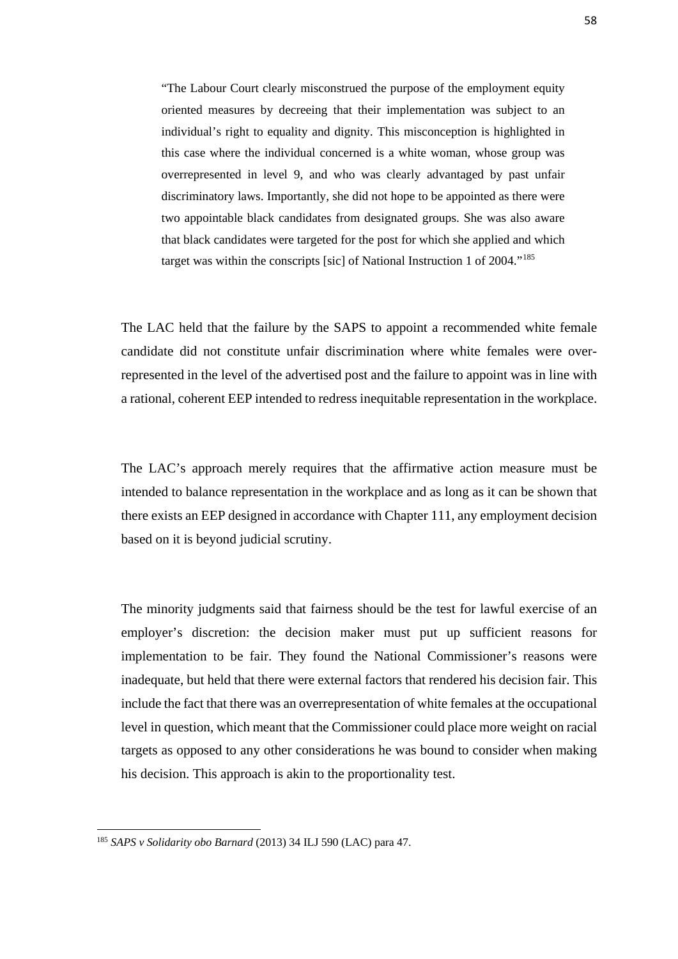"The Labour Court clearly misconstrued the purpose of the employment equity oriented measures by decreeing that their implementation was subject to an individual's right to equality and dignity. This misconception is highlighted in this case where the individual concerned is a white woman, whose group was overrepresented in level 9, and who was clearly advantaged by past unfair discriminatory laws. Importantly, she did not hope to be appointed as there were two appointable black candidates from designated groups. She was also aware that black candidates were targeted for the post for which she applied and which target was within the conscripts [sic] of National Instruction 1 of 2004."[185](#page-66-0)

The LAC held that the failure by the SAPS to appoint a recommended white female candidate did not constitute unfair discrimination where white females were overrepresented in the level of the advertised post and the failure to appoint was in line with a rational, coherent EEP intended to redress inequitable representation in the workplace.

The LAC's approach merely requires that the affirmative action measure must be intended to balance representation in the workplace and as long as it can be shown that there exists an EEP designed in accordance with Chapter 111, any employment decision based on it is beyond judicial scrutiny.

The minority judgments said that fairness should be the test for lawful exercise of an employer's discretion: the decision maker must put up sufficient reasons for implementation to be fair. They found the National Commissioner's reasons were inadequate, but held that there were external factors that rendered his decision fair. This include the fact that there was an overrepresentation of white females at the occupational level in question, which meant that the Commissioner could place more weight on racial targets as opposed to any other considerations he was bound to consider when making his decision. This approach is akin to the proportionality test.

<span id="page-66-0"></span><sup>185</sup> *SAPS v Solidarity obo Barnard* (2013) 34 ILJ 590 (LAC) para 47.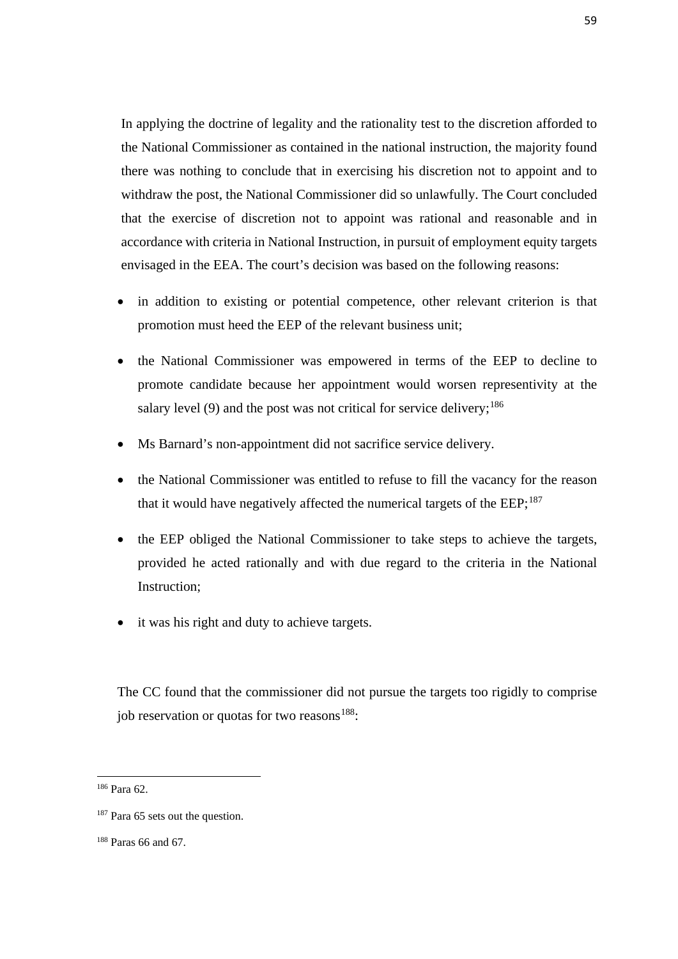In applying the doctrine of legality and the rationality test to the discretion afforded to the National Commissioner as contained in the national instruction, the majority found there was nothing to conclude that in exercising his discretion not to appoint and to withdraw the post, the National Commissioner did so unlawfully. The Court concluded that the exercise of discretion not to appoint was rational and reasonable and in accordance with criteria in National Instruction, in pursuit of employment equity targets envisaged in the EEA. The court's decision was based on the following reasons:

- in addition to existing or potential competence, other relevant criterion is that promotion must heed the EEP of the relevant business unit;
- the National Commissioner was empowered in terms of the EEP to decline to promote candidate because her appointment would worsen representivity at the salary level (9) and the post was not critical for service delivery;<sup>[186](#page-67-0)</sup>
- Ms Barnard's non-appointment did not sacrifice service delivery.
- the National Commissioner was entitled to refuse to fill the vacancy for the reason that it would have negatively affected the numerical targets of the EEP;<sup>187</sup>
- the EEP obliged the National Commissioner to take steps to achieve the targets, provided he acted rationally and with due regard to the criteria in the National Instruction;
- it was his right and duty to achieve targets.

The CC found that the commissioner did not pursue the targets too rigidly to comprise job reservation or quotas for two reasons<sup>188</sup>:

<span id="page-67-0"></span><sup>186</sup> Para 62.

<span id="page-67-1"></span><sup>&</sup>lt;sup>187</sup> Para 65 sets out the question.

<span id="page-67-2"></span><sup>188</sup> Paras 66 and 67.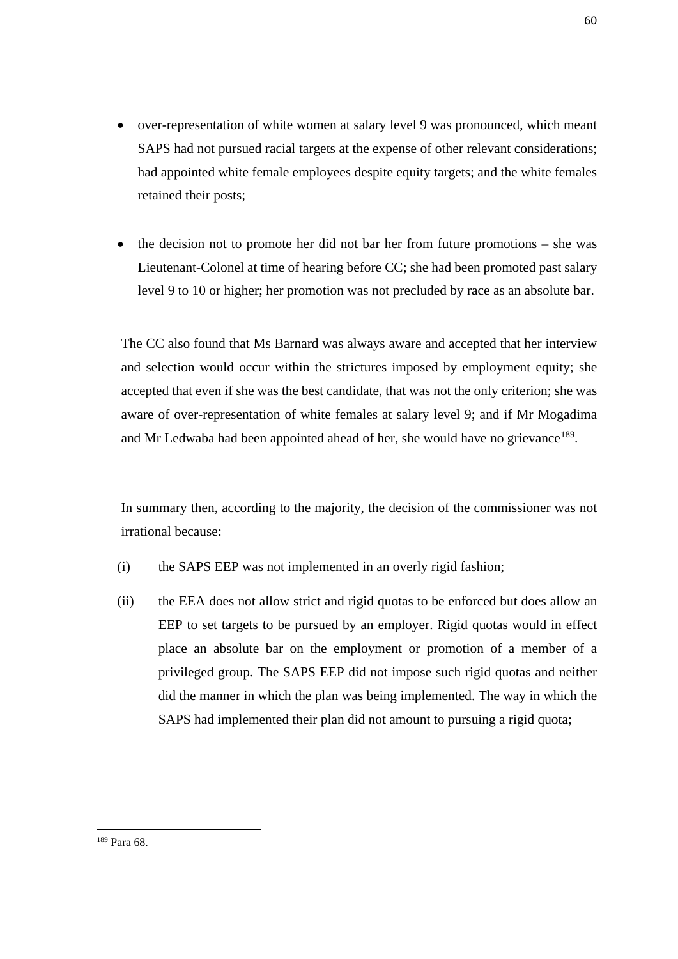- over-representation of white women at salary level 9 was pronounced, which meant SAPS had not pursued racial targets at the expense of other relevant considerations; had appointed white female employees despite equity targets; and the white females retained their posts;
- the decision not to promote her did not bar her from future promotions she was Lieutenant-Colonel at time of hearing before CC; she had been promoted past salary level 9 to 10 or higher; her promotion was not precluded by race as an absolute bar.

The CC also found that Ms Barnard was always aware and accepted that her interview and selection would occur within the strictures imposed by employment equity; she accepted that even if she was the best candidate, that was not the only criterion; she was aware of over-representation of white females at salary level 9; and if Mr Mogadima and Mr Ledwaba had been appointed ahead of her, she would have no grievance<sup>189</sup>.

In summary then, according to the majority, the decision of the commissioner was not irrational because:

- (i) the SAPS EEP was not implemented in an overly rigid fashion;
- (ii) the EEA does not allow strict and rigid quotas to be enforced but does allow an EEP to set targets to be pursued by an employer. Rigid quotas would in effect place an absolute bar on the employment or promotion of a member of a privileged group. The SAPS EEP did not impose such rigid quotas and neither did the manner in which the plan was being implemented. The way in which the SAPS had implemented their plan did not amount to pursuing a rigid quota;

<span id="page-68-0"></span><sup>189</sup> Para 68.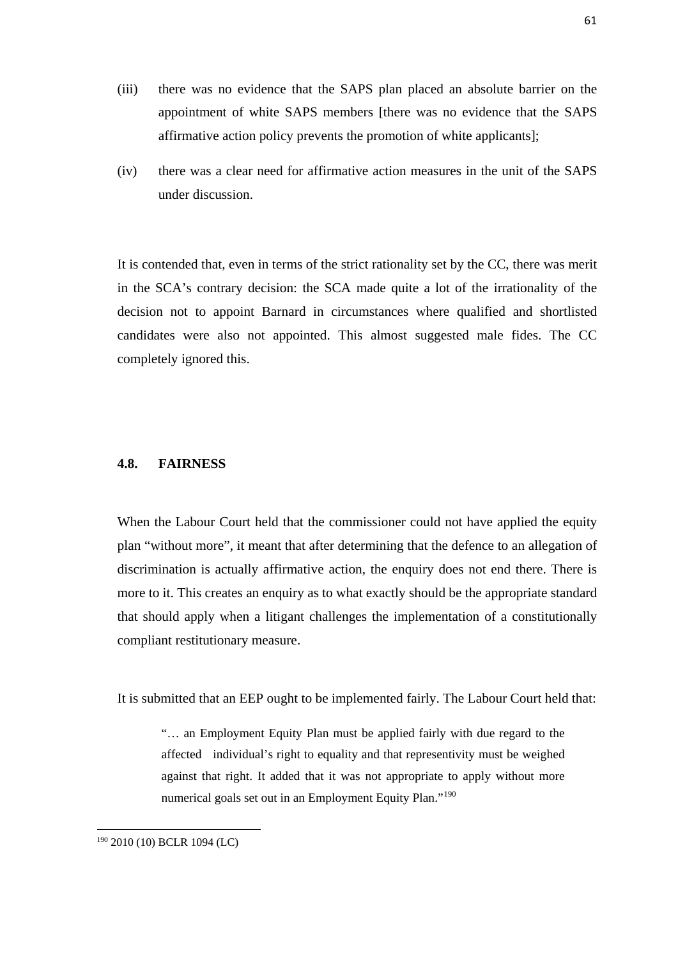- (iii) there was no evidence that the SAPS plan placed an absolute barrier on the appointment of white SAPS members [there was no evidence that the SAPS affirmative action policy prevents the promotion of white applicants];
- (iv) there was a clear need for affirmative action measures in the unit of the SAPS under discussion.

It is contended that, even in terms of the strict rationality set by the CC, there was merit in the SCA's contrary decision: the SCA made quite a lot of the irrationality of the decision not to appoint Barnard in circumstances where qualified and shortlisted candidates were also not appointed. This almost suggested male fides. The CC completely ignored this.

#### **4.8. FAIRNESS**

When the Labour Court held that the commissioner could not have applied the equity plan "without more", it meant that after determining that the defence to an allegation of discrimination is actually affirmative action, the enquiry does not end there. There is more to it. This creates an enquiry as to what exactly should be the appropriate standard that should apply when a litigant challenges the implementation of a constitutionally compliant restitutionary measure.

It is submitted that an EEP ought to be implemented fairly. The Labour Court held that:

"… an Employment Equity Plan must be applied fairly with due regard to the affected individual's right to equality and that representivity must be weighed against that right. It added that it was not appropriate to apply without more numerical goals set out in an Employment Equity Plan."<sup>190</sup>

<span id="page-69-0"></span><sup>190</sup> 2010 (10) BCLR 1094 (LC)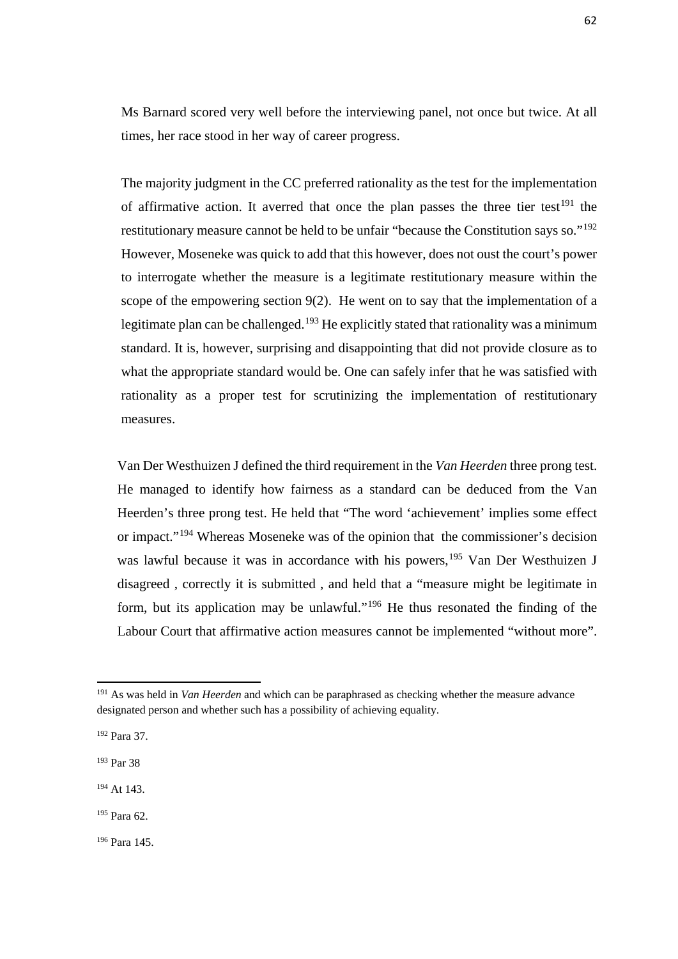Ms Barnard scored very well before the interviewing panel, not once but twice. At all times, her race stood in her way of career progress.

The majority judgment in the CC preferred rationality as the test for the implementation of affirmative action. It averred that once the plan passes the three tier test<sup>[191](#page-70-0)</sup> the restitutionary measure cannot be held to be unfair "because the Constitution says so."[192](#page-70-1) However, Moseneke was quick to add that this however, does not oust the court's power to interrogate whether the measure is a legitimate restitutionary measure within the scope of the empowering section 9(2). He went on to say that the implementation of a legitimate plan can be challenged.<sup>[193](#page-70-2)</sup> He explicitly stated that rationality was a minimum standard. It is, however, surprising and disappointing that did not provide closure as to what the appropriate standard would be. One can safely infer that he was satisfied with rationality as a proper test for scrutinizing the implementation of restitutionary measures.

Van Der Westhuizen J defined the third requirement in the *Van Heerden* three prong test. He managed to identify how fairness as a standard can be deduced from the Van Heerden's three prong test. He held that "The word 'achievement' implies some effect or impact."[194](#page-70-3) Whereas Moseneke was of the opinion that the commissioner's decision was lawful because it was in accordance with his powers,<sup>[195](#page-70-4)</sup> Van Der Westhuizen J disagreed , correctly it is submitted , and held that a "measure might be legitimate in form, but its application may be unlawful."[196](#page-70-5) He thus resonated the finding of the Labour Court that affirmative action measures cannot be implemented "without more".

<span id="page-70-0"></span><sup>191</sup> As was held in *Van Heerden* and which can be paraphrased as checking whether the measure advance designated person and whether such has a possibility of achieving equality.

<span id="page-70-1"></span><sup>192</sup> Para 37.

<span id="page-70-2"></span><sup>193</sup> Par 38

<span id="page-70-3"></span><sup>194</sup> At 143.

<span id="page-70-4"></span><sup>195</sup> Para 62.

<span id="page-70-5"></span><sup>196</sup> Para 145.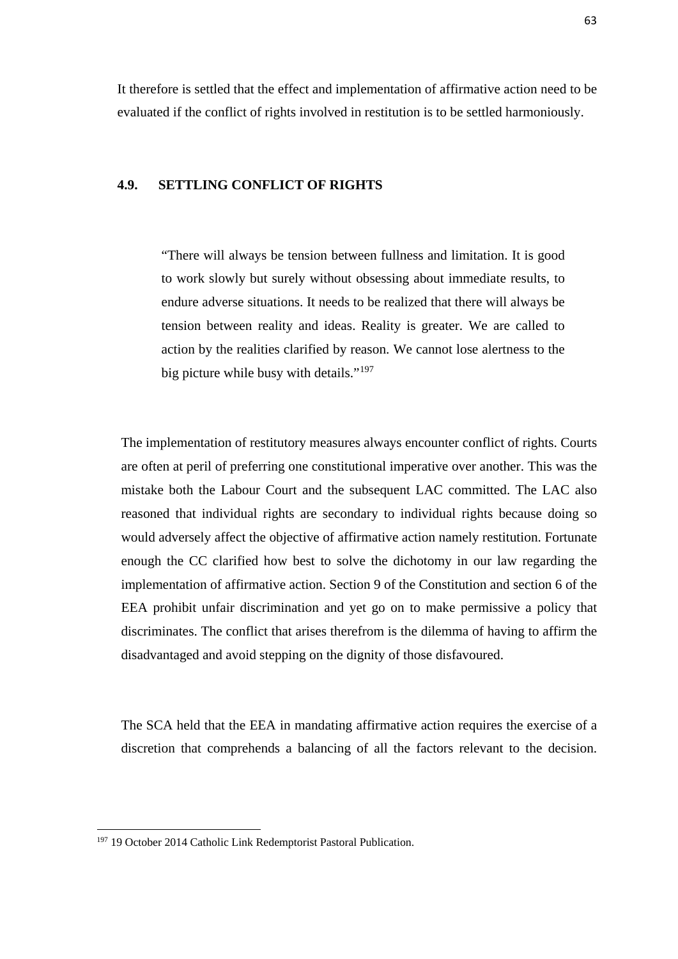It therefore is settled that the effect and implementation of affirmative action need to be evaluated if the conflict of rights involved in restitution is to be settled harmoniously.

#### **4.9. SETTLING CONFLICT OF RIGHTS**

"There will always be tension between fullness and limitation. It is good to work slowly but surely without obsessing about immediate results, to endure adverse situations. It needs to be realized that there will always be tension between reality and ideas. Reality is greater. We are called to action by the realities clarified by reason. We cannot lose alertness to the big picture while busy with details."<sup>[197](#page-71-0)</sup>

The implementation of restitutory measures always encounter conflict of rights. Courts are often at peril of preferring one constitutional imperative over another. This was the mistake both the Labour Court and the subsequent LAC committed. The LAC also reasoned that individual rights are secondary to individual rights because doing so would adversely affect the objective of affirmative action namely restitution. Fortunate enough the CC clarified how best to solve the dichotomy in our law regarding the implementation of affirmative action. Section 9 of the Constitution and section 6 of the EEA prohibit unfair discrimination and yet go on to make permissive a policy that discriminates. The conflict that arises therefrom is the dilemma of having to affirm the disadvantaged and avoid stepping on the dignity of those disfavoured.

The SCA held that the EEA in mandating affirmative action requires the exercise of a discretion that comprehends a balancing of all the factors relevant to the decision.

<span id="page-71-0"></span><sup>&</sup>lt;sup>197</sup> 19 October 2014 Catholic Link Redemptorist Pastoral Publication.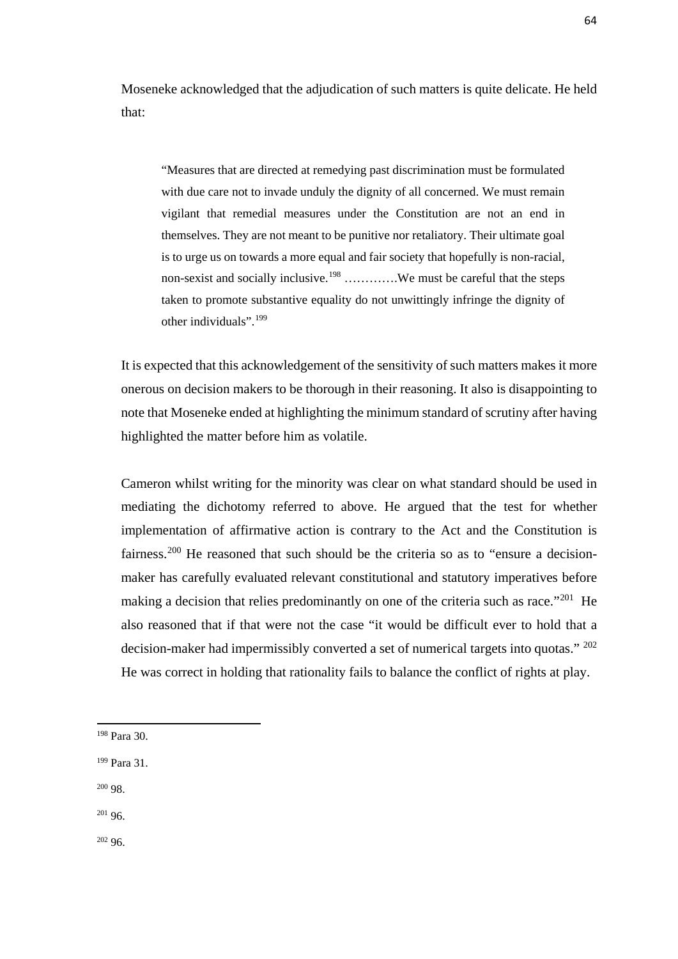Moseneke acknowledged that the adjudication of such matters is quite delicate. He held that:

"Measures that are directed at remedying past discrimination must be formulated with due care not to invade unduly the dignity of all concerned. We must remain vigilant that remedial measures under the Constitution are not an end in themselves. They are not meant to be punitive nor retaliatory. Their ultimate goal is to urge us on towards a more equal and fair society that hopefully is non-racial, non-sexist and socially inclusive.<sup>[198](#page-72-0)</sup> ………….We must be careful that the steps taken to promote substantive equality do not unwittingly infringe the dignity of other individuals".[199](#page-72-1)

It is expected that this acknowledgement of the sensitivity of such matters makes it more onerous on decision makers to be thorough in their reasoning. It also is disappointing to note that Moseneke ended at highlighting the minimum standard of scrutiny after having highlighted the matter before him as volatile.

Cameron whilst writing for the minority was clear on what standard should be used in mediating the dichotomy referred to above. He argued that the test for whether implementation of affirmative action is contrary to the Act and the Constitution is fairness.<sup>[200](#page-72-2)</sup> He reasoned that such should be the criteria so as to "ensure a decisionmaker has carefully evaluated relevant constitutional and statutory imperatives before making a decision that relies predominantly on one of the criteria such as race."<sup>[201](#page-72-3)</sup> He also reasoned that if that were not the case "it would be difficult ever to hold that a decision-maker had impermissibly converted a set of numerical targets into quotas." [202](#page-72-4) He was correct in holding that rationality fails to balance the conflict of rights at play.

<span id="page-72-2"></span><sup>200</sup> 98.

 $\overline{\phantom{a}}$ 

<span id="page-72-3"></span> $201\,96.$ 

<span id="page-72-4"></span> $20296$ 

<span id="page-72-0"></span><sup>198</sup> Para 30.

<span id="page-72-1"></span><sup>199</sup> Para 31.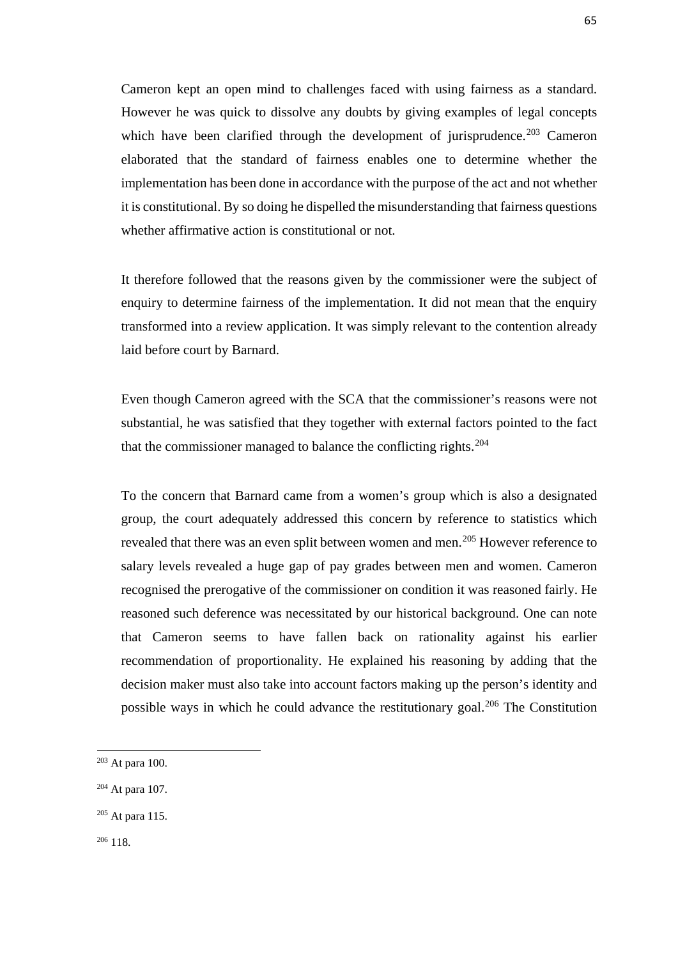Cameron kept an open mind to challenges faced with using fairness as a standard. However he was quick to dissolve any doubts by giving examples of legal concepts which have been clarified through the development of jurisprudence.<sup>[203](#page-73-0)</sup> Cameron elaborated that the standard of fairness enables one to determine whether the implementation has been done in accordance with the purpose of the act and not whether it is constitutional. By so doing he dispelled the misunderstanding that fairness questions whether affirmative action is constitutional or not.

It therefore followed that the reasons given by the commissioner were the subject of enquiry to determine fairness of the implementation. It did not mean that the enquiry transformed into a review application. It was simply relevant to the contention already laid before court by Barnard.

Even though Cameron agreed with the SCA that the commissioner's reasons were not substantial, he was satisfied that they together with external factors pointed to the fact that the commissioner managed to balance the conflicting rights.[204](#page-73-1)

To the concern that Barnard came from a women's group which is also a designated group, the court adequately addressed this concern by reference to statistics which revealed that there was an even split between women and men.<sup>[205](#page-73-2)</sup> However reference to salary levels revealed a huge gap of pay grades between men and women. Cameron recognised the prerogative of the commissioner on condition it was reasoned fairly. He reasoned such deference was necessitated by our historical background. One can note that Cameron seems to have fallen back on rationality against his earlier recommendation of proportionality. He explained his reasoning by adding that the decision maker must also take into account factors making up the person's identity and possible ways in which he could advance the restitutionary goal.<sup>[206](#page-73-3)</sup> The Constitution

 $\overline{\phantom{a}}$ 

<span id="page-73-0"></span> $203$  At para 100.

<span id="page-73-1"></span><sup>204</sup> At para 107.

<span id="page-73-2"></span> $205$  At para 115.

<span id="page-73-3"></span><sup>206</sup> 118.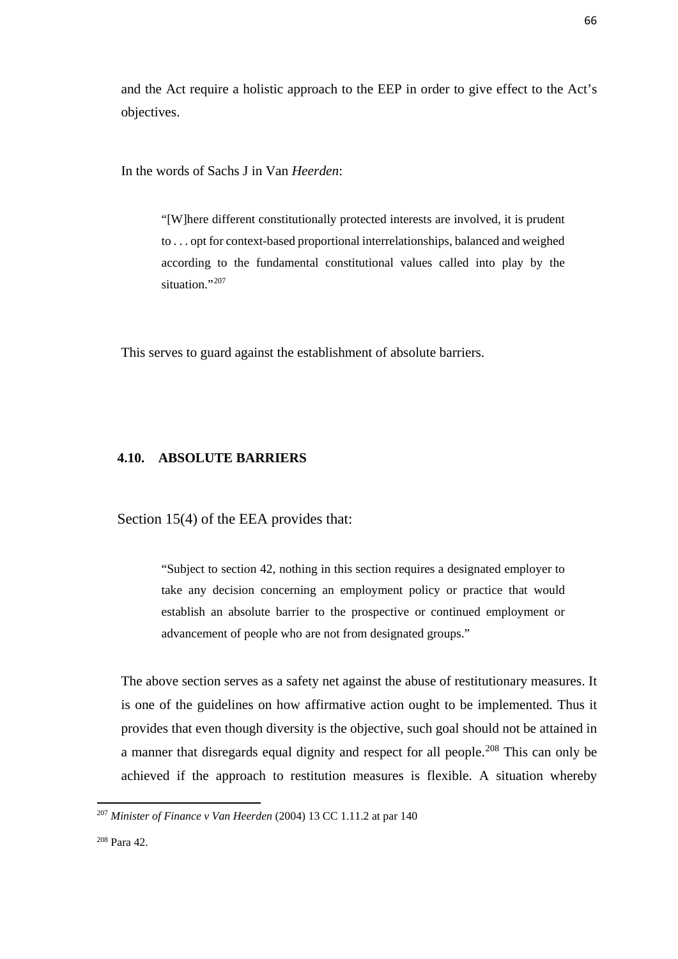and the Act require a holistic approach to the EEP in order to give effect to the Act's objectives.

In the words of Sachs J in Van *Heerden*:

"[W]here different constitutionally protected interests are involved, it is prudent to . . . opt for context-based proportional interrelationships, balanced and weighed according to the fundamental constitutional values called into play by the situation."<sup>[207](#page-74-0)</sup>

This serves to guard against the establishment of absolute barriers.

### **4.10. ABSOLUTE BARRIERS**

Section 15(4) of the EEA provides that:

"Subject to section 42, nothing in this section requires a designated employer to take any decision concerning an employment policy or practice that would establish an absolute barrier to the prospective or continued employment or advancement of people who are not from designated groups."

The above section serves as a safety net against the abuse of restitutionary measures. It is one of the guidelines on how affirmative action ought to be implemented. Thus it provides that even though diversity is the objective, such goal should not be attained in a manner that disregards equal dignity and respect for all people.[208](#page-74-1) This can only be achieved if the approach to restitution measures is flexible. A situation whereby

<span id="page-74-0"></span><sup>207</sup> *Minister of Finance v Van Heerden* (2004) 13 CC 1.11.2 at par 140

<span id="page-74-1"></span><sup>208</sup> Para 42.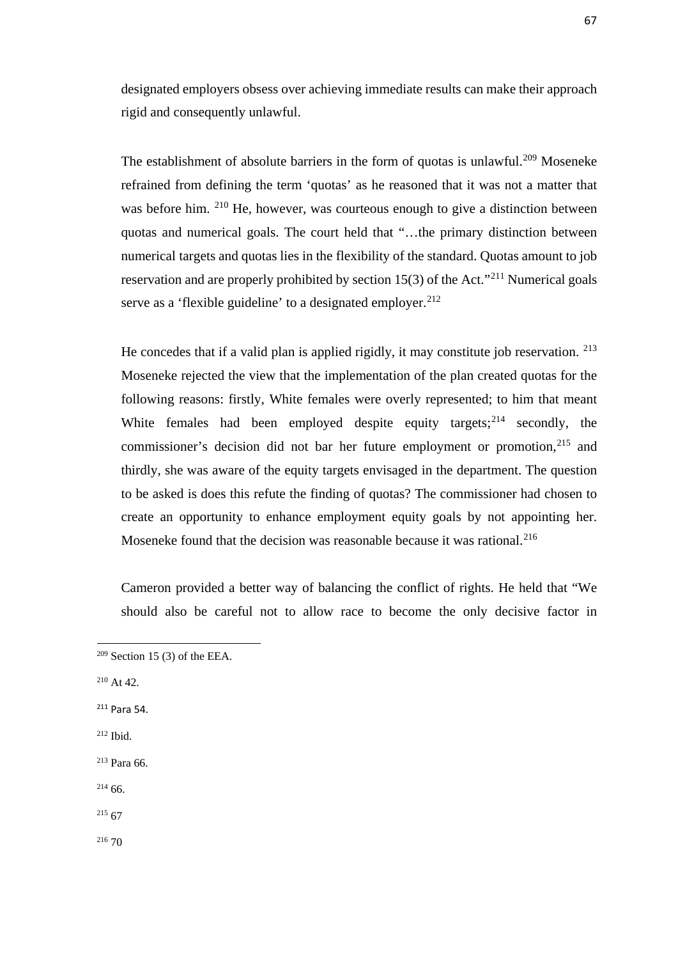designated employers obsess over achieving immediate results can make their approach rigid and consequently unlawful.

The establishment of absolute barriers in the form of quotas is unlawful.<sup>[209](#page-75-0)</sup> Moseneke refrained from defining the term 'quotas' as he reasoned that it was not a matter that was before him. <sup>[210](#page-75-1)</sup> He, however, was courteous enough to give a distinction between quotas and numerical goals. The court held that "…the primary distinction between numerical targets and quotas lies in the flexibility of the standard. Quotas amount to job reservation and are properly prohibited by section 15(3) of the Act."[211](#page-75-2) Numerical goals serve as a 'flexible guideline' to a designated employer.<sup>[212](#page-75-3)</sup>

He concedes that if a valid plan is applied rigidly, it may constitute job reservation. <sup>[213](#page-75-4)</sup> Moseneke rejected the view that the implementation of the plan created quotas for the following reasons: firstly, White females were overly represented; to him that meant White females had been employed despite equity targets;<sup>214</sup> secondly, the commissioner's decision did not bar her future employment or promotion,<sup>[215](#page-75-6)</sup> and thirdly, she was aware of the equity targets envisaged in the department. The question to be asked is does this refute the finding of quotas? The commissioner had chosen to create an opportunity to enhance employment equity goals by not appointing her. Moseneke found that the decision was reasonable because it was rational.<sup>[216](#page-75-7)</sup>

Cameron provided a better way of balancing the conflict of rights. He held that "We should also be careful not to allow race to become the only decisive factor in

<span id="page-75-1"></span><sup>210</sup> At 42.

 $\overline{\phantom{a}}$ 

<span id="page-75-2"></span><sup>211</sup> Para 54.

<span id="page-75-3"></span><sup>212</sup> Ibid.

<span id="page-75-4"></span><sup>213</sup> Para 66.

<span id="page-75-5"></span> $214\,66.$ 

<span id="page-75-6"></span> $215\,67$ 

<span id="page-75-7"></span> $^{216}$  70

<span id="page-75-0"></span> $209$  Section 15 (3) of the EEA.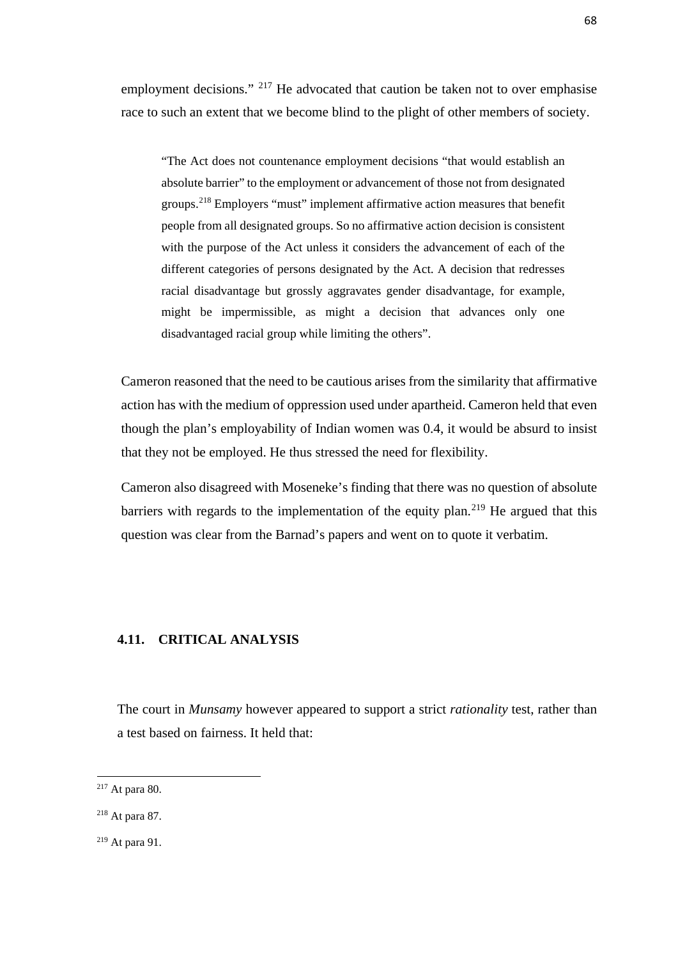employment decisions." <sup>[217](#page-76-0)</sup> He advocated that caution be taken not to over emphasise race to such an extent that we become blind to the plight of other members of society.

"The Act does not countenance employment decisions "that would establish an absolute barrier" to the employment or advancement of those not from designated groups.[218](#page-76-1) Employers "must" implement affirmative action measures that benefit people from all designated groups. So no affirmative action decision is consistent with the purpose of the Act unless it considers the advancement of each of the different categories of persons designated by the Act. A decision that redresses racial disadvantage but grossly aggravates gender disadvantage, for example, might be impermissible, as might a decision that advances only one disadvantaged racial group while limiting the others".

Cameron reasoned that the need to be cautious arises from the similarity that affirmative action has with the medium of oppression used under apartheid. Cameron held that even though the plan's employability of Indian women was 0.4, it would be absurd to insist that they not be employed. He thus stressed the need for flexibility.

Cameron also disagreed with Moseneke's finding that there was no question of absolute barriers with regards to the implementation of the equity plan.<sup>[219](#page-76-2)</sup> He argued that this question was clear from the Barnad's papers and went on to quote it verbatim.

### **4.11. CRITICAL ANALYSIS**

The court in *Munsamy* however appeared to support a strict *rationality* test, rather than a test based on fairness. It held that:

<span id="page-76-0"></span> $217$  At para 80.

<span id="page-76-1"></span><sup>218</sup> At para 87.

<span id="page-76-2"></span><sup>219</sup> At para 91.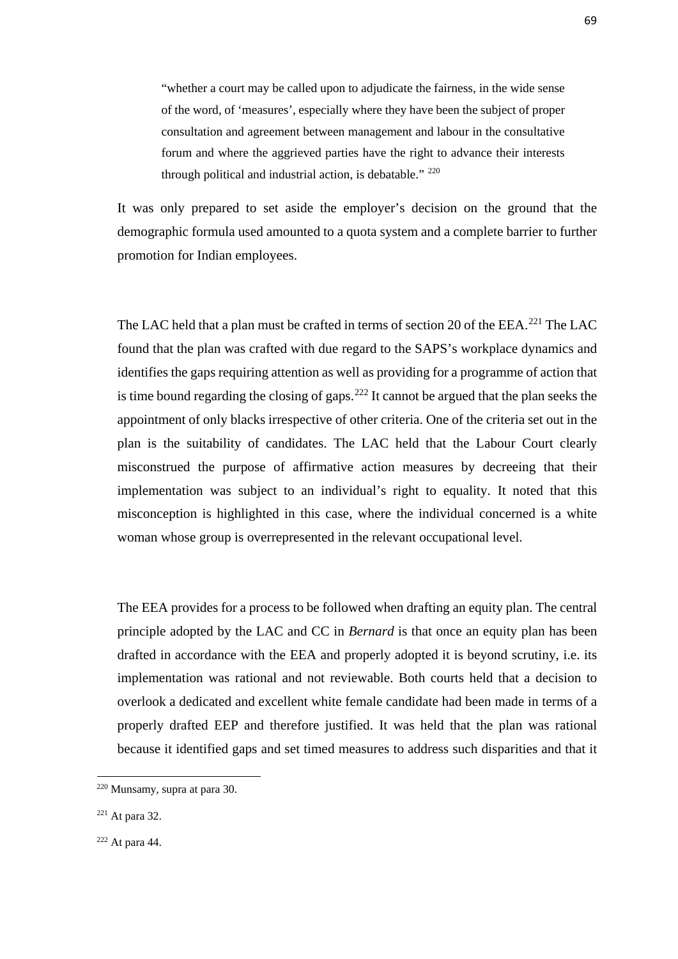"whether a court may be called upon to adjudicate the fairness, in the wide sense of the word, of 'measures', especially where they have been the subject of proper consultation and agreement between management and labour in the consultative forum and where the aggrieved parties have the right to advance their interests through political and industrial action, is debatable." <sup>[220](#page-77-0)</sup>

It was only prepared to set aside the employer's decision on the ground that the demographic formula used amounted to a quota system and a complete barrier to further promotion for Indian employees.

The LAC held that a plan must be crafted in terms of section 20 of the EEA.<sup>[221](#page-77-1)</sup> The LAC found that the plan was crafted with due regard to the SAPS's workplace dynamics and identifies the gaps requiring attention as well as providing for a programme of action that is time bound regarding the closing of gaps. $222$  It cannot be argued that the plan seeks the appointment of only blacks irrespective of other criteria. One of the criteria set out in the plan is the suitability of candidates. The LAC held that the Labour Court clearly misconstrued the purpose of affirmative action measures by decreeing that their implementation was subject to an individual's right to equality. It noted that this misconception is highlighted in this case, where the individual concerned is a white woman whose group is overrepresented in the relevant occupational level.

The EEA provides for a process to be followed when drafting an equity plan. The central principle adopted by the LAC and CC in *Bernard* is that once an equity plan has been drafted in accordance with the EEA and properly adopted it is beyond scrutiny, i.e. its implementation was rational and not reviewable. Both courts held that a decision to overlook a dedicated and excellent white female candidate had been made in terms of a properly drafted EEP and therefore justified. It was held that the plan was rational because it identified gaps and set timed measures to address such disparities and that it

<span id="page-77-0"></span><sup>220</sup> Munsamy, supra at para 30.

<span id="page-77-1"></span> $221$  At para 32.

<span id="page-77-2"></span> $222$  At para 44.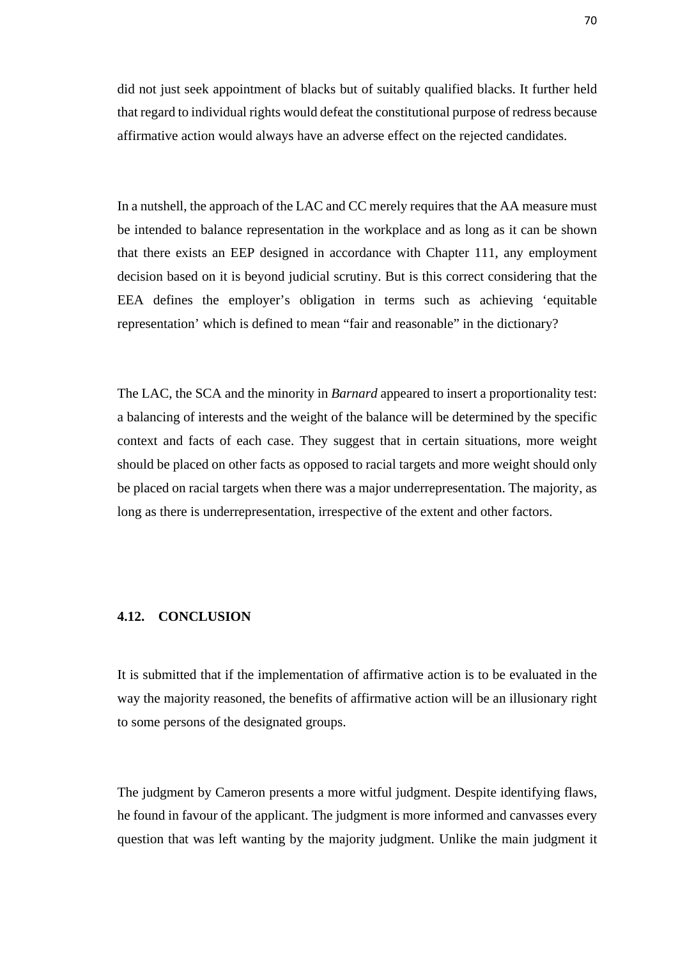did not just seek appointment of blacks but of suitably qualified blacks. It further held that regard to individual rights would defeat the constitutional purpose of redress because affirmative action would always have an adverse effect on the rejected candidates.

In a nutshell, the approach of the LAC and CC merely requires that the AA measure must be intended to balance representation in the workplace and as long as it can be shown that there exists an EEP designed in accordance with Chapter 111, any employment decision based on it is beyond judicial scrutiny. But is this correct considering that the EEA defines the employer's obligation in terms such as achieving 'equitable representation' which is defined to mean "fair and reasonable" in the dictionary?

The LAC, the SCA and the minority in *Barnard* appeared to insert a proportionality test: a balancing of interests and the weight of the balance will be determined by the specific context and facts of each case. They suggest that in certain situations, more weight should be placed on other facts as opposed to racial targets and more weight should only be placed on racial targets when there was a major underrepresentation. The majority, as long as there is underrepresentation, irrespective of the extent and other factors.

## **4.12. CONCLUSION**

It is submitted that if the implementation of affirmative action is to be evaluated in the way the majority reasoned, the benefits of affirmative action will be an illusionary right to some persons of the designated groups.

The judgment by Cameron presents a more witful judgment. Despite identifying flaws, he found in favour of the applicant. The judgment is more informed and canvasses every question that was left wanting by the majority judgment. Unlike the main judgment it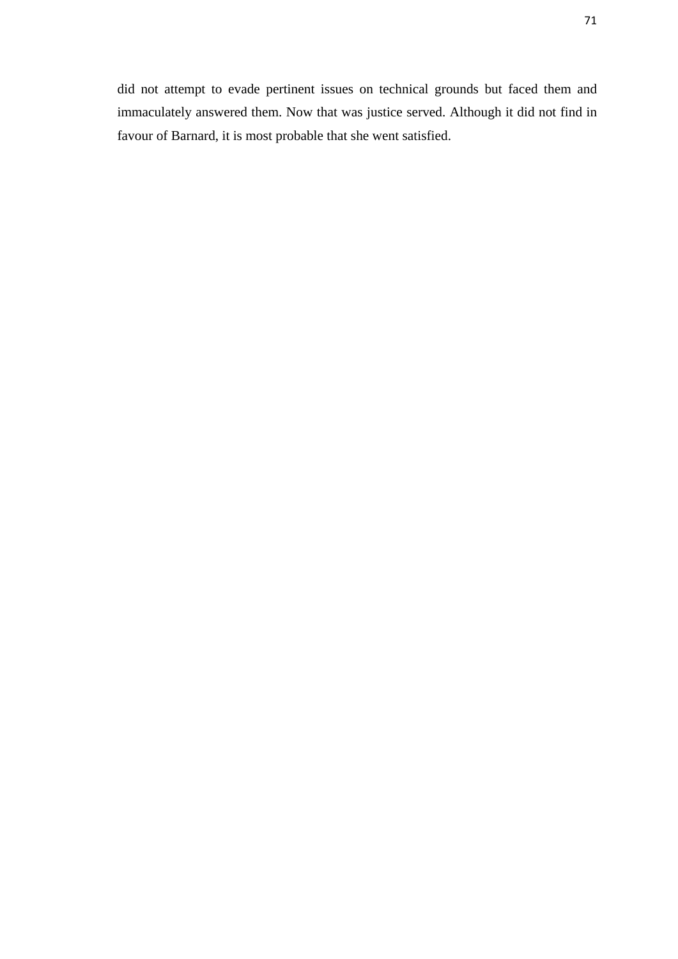did not attempt to evade pertinent issues on technical grounds but faced them and immaculately answered them. Now that was justice served. Although it did not find in favour of Barnard, it is most probable that she went satisfied.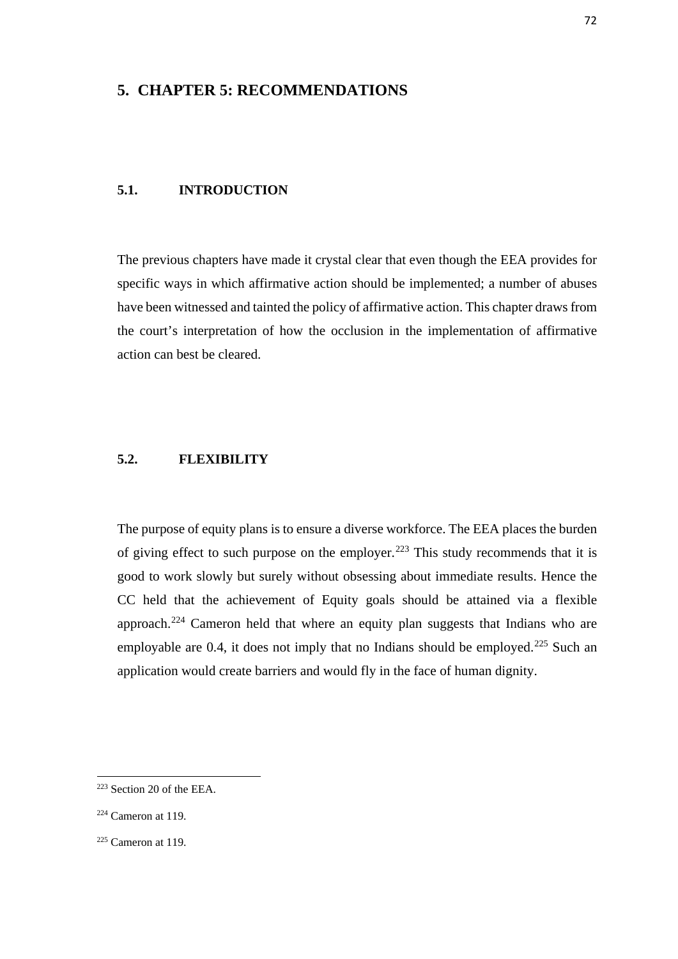# **5. CHAPTER 5: RECOMMENDATIONS**

### **5.1. INTRODUCTION**

The previous chapters have made it crystal clear that even though the EEA provides for specific ways in which affirmative action should be implemented; a number of abuses have been witnessed and tainted the policy of affirmative action. This chapter draws from the court's interpretation of how the occlusion in the implementation of affirmative action can best be cleared.

## **5.2. FLEXIBILITY**

The purpose of equity plans is to ensure a diverse workforce. The EEA places the burden of giving effect to such purpose on the employer.<sup>[223](#page-80-0)</sup> This study recommends that it is good to work slowly but surely without obsessing about immediate results. Hence the CC held that the achievement of Equity goals should be attained via a flexible approach.[224](#page-80-1) Cameron held that where an equity plan suggests that Indians who are employable are 0.4, it does not imply that no Indians should be employed.<sup>225</sup> Such an application would create barriers and would fly in the face of human dignity.

<span id="page-80-0"></span><sup>223</sup> Section 20 of the EEA.

<span id="page-80-1"></span> $224$  Cameron at 119.

<span id="page-80-2"></span> $225$  Cameron at 119.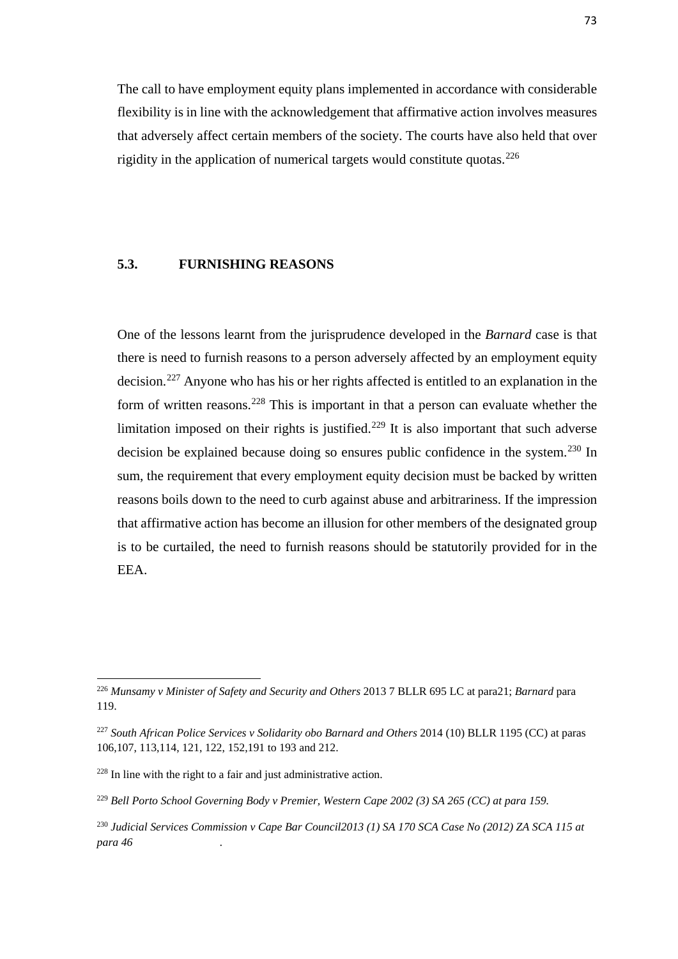The call to have employment equity plans implemented in accordance with considerable flexibility is in line with the acknowledgement that affirmative action involves measures that adversely affect certain members of the society. The courts have also held that over rigidity in the application of numerical targets would constitute quotas.<sup>[226](#page-81-0)</sup>

## **5.3. FURNISHING REASONS**

One of the lessons learnt from the jurisprudence developed in the *Barnard* case is that there is need to furnish reasons to a person adversely affected by an employment equity decision.<sup>[227](#page-81-1)</sup> Anyone who has his or her rights affected is entitled to an explanation in the form of written reasons.<sup>[228](#page-81-2)</sup> This is important in that a person can evaluate whether the limitation imposed on their rights is justified.<sup>[229](#page-81-3)</sup> It is also important that such adverse decision be explained because doing so ensures public confidence in the system.<sup>[230](#page-81-4)</sup> In sum, the requirement that every employment equity decision must be backed by written reasons boils down to the need to curb against abuse and arbitrariness. If the impression that affirmative action has become an illusion for other members of the designated group is to be curtailed, the need to furnish reasons should be statutorily provided for in the EEA.

**.** 

<span id="page-81-0"></span><sup>226</sup> *Munsamy v Minister of Safety and Security and Others* 2013 7 BLLR 695 LC at para21; *Barnard* para 119.

<span id="page-81-1"></span><sup>227</sup> *South African Police Services v Solidarity obo Barnard and Others* 2014 (10) BLLR 1195 (CC) at paras 106,107, 113,114, 121, 122, 152,191 to 193 and 212.

<span id="page-81-2"></span><sup>228</sup> In line with the right to a fair and just administrative action.

<span id="page-81-3"></span><sup>229</sup> *Bell Porto School Governing Body v Premier, Western Cape 2002 (3) SA 265 (CC) at para 159.*

<span id="page-81-4"></span><sup>230</sup> *Judicial Services Commission v Cape Bar Council2013 (1) SA 170 SCA Case No (2012) ZA SCA 115 at para 46 .*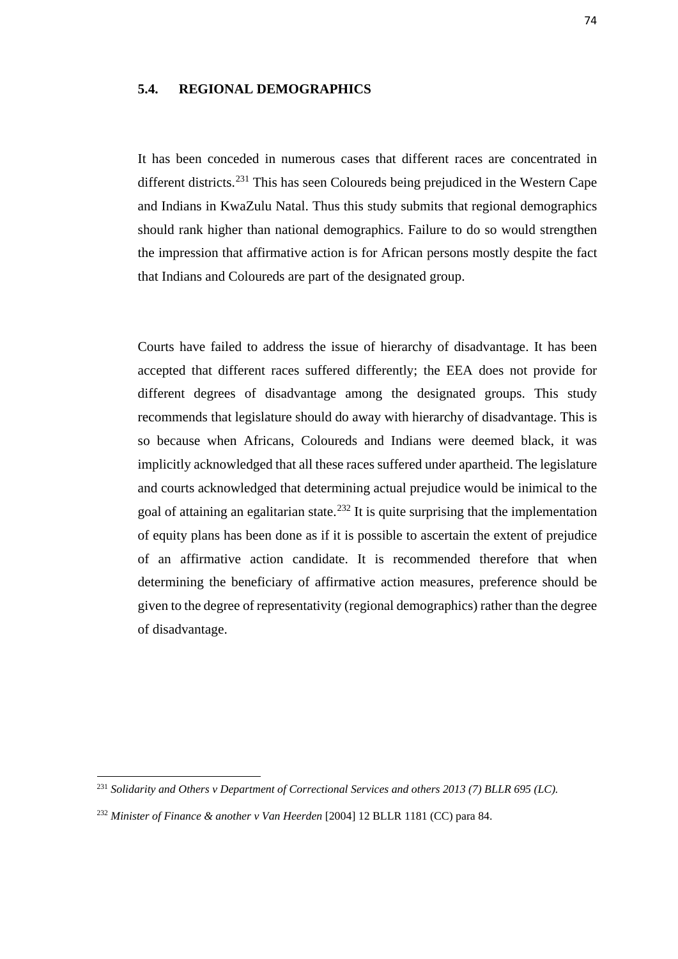## **5.4. REGIONAL DEMOGRAPHICS**

It has been conceded in numerous cases that different races are concentrated in different districts.[231](#page-82-0) This has seen Coloureds being prejudiced in the Western Cape and Indians in KwaZulu Natal. Thus this study submits that regional demographics should rank higher than national demographics. Failure to do so would strengthen the impression that affirmative action is for African persons mostly despite the fact that Indians and Coloureds are part of the designated group.

Courts have failed to address the issue of hierarchy of disadvantage. It has been accepted that different races suffered differently; the EEA does not provide for different degrees of disadvantage among the designated groups. This study recommends that legislature should do away with hierarchy of disadvantage. This is so because when Africans, Coloureds and Indians were deemed black, it was implicitly acknowledged that all these races suffered under apartheid. The legislature and courts acknowledged that determining actual prejudice would be inimical to the goal of attaining an egalitarian state.<sup>[232](#page-82-1)</sup> It is quite surprising that the implementation of equity plans has been done as if it is possible to ascertain the extent of prejudice of an affirmative action candidate. It is recommended therefore that when determining the beneficiary of affirmative action measures, preference should be given to the degree of representativity (regional demographics) rather than the degree of disadvantage.

<span id="page-82-0"></span><sup>231</sup> *Solidarity and Others v Department of Correctional Services and others 2013 (7) BLLR 695 (LC).* 

<span id="page-82-1"></span><sup>232</sup> *Minister of Finance & another v Van Heerden* [2004] 12 BLLR 1181 (CC) para 84.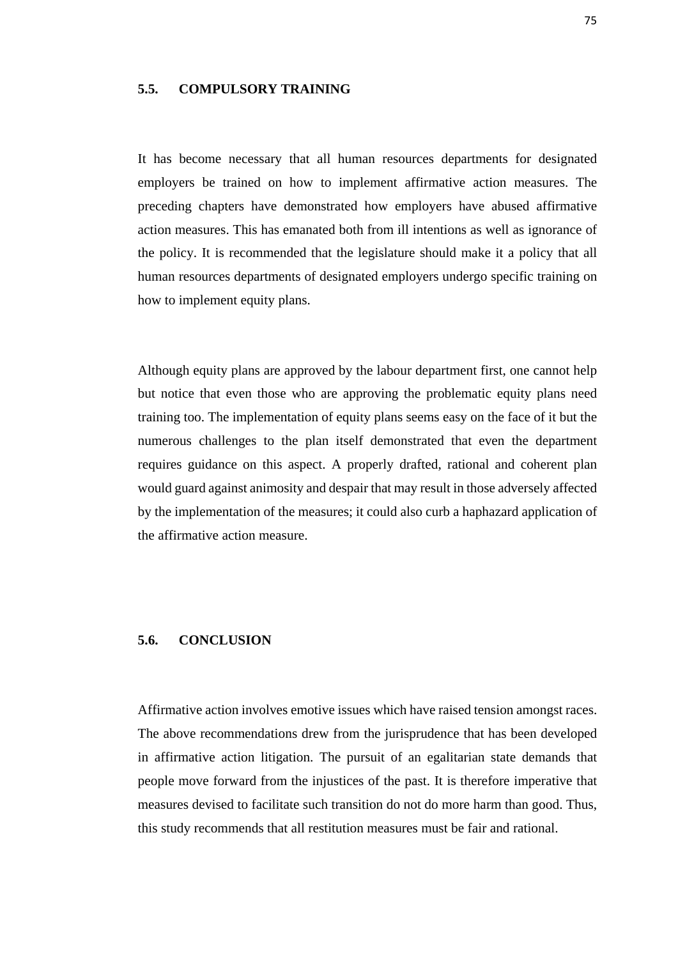## **5.5. COMPULSORY TRAINING**

It has become necessary that all human resources departments for designated employers be trained on how to implement affirmative action measures. The preceding chapters have demonstrated how employers have abused affirmative action measures. This has emanated both from ill intentions as well as ignorance of the policy. It is recommended that the legislature should make it a policy that all human resources departments of designated employers undergo specific training on how to implement equity plans.

Although equity plans are approved by the labour department first, one cannot help but notice that even those who are approving the problematic equity plans need training too. The implementation of equity plans seems easy on the face of it but the numerous challenges to the plan itself demonstrated that even the department requires guidance on this aspect. A properly drafted, rational and coherent plan would guard against animosity and despair that may result in those adversely affected by the implementation of the measures; it could also curb a haphazard application of the affirmative action measure.

### **5.6. CONCLUSION**

Affirmative action involves emotive issues which have raised tension amongst races. The above recommendations drew from the jurisprudence that has been developed in affirmative action litigation. The pursuit of an egalitarian state demands that people move forward from the injustices of the past. It is therefore imperative that measures devised to facilitate such transition do not do more harm than good. Thus, this study recommends that all restitution measures must be fair and rational.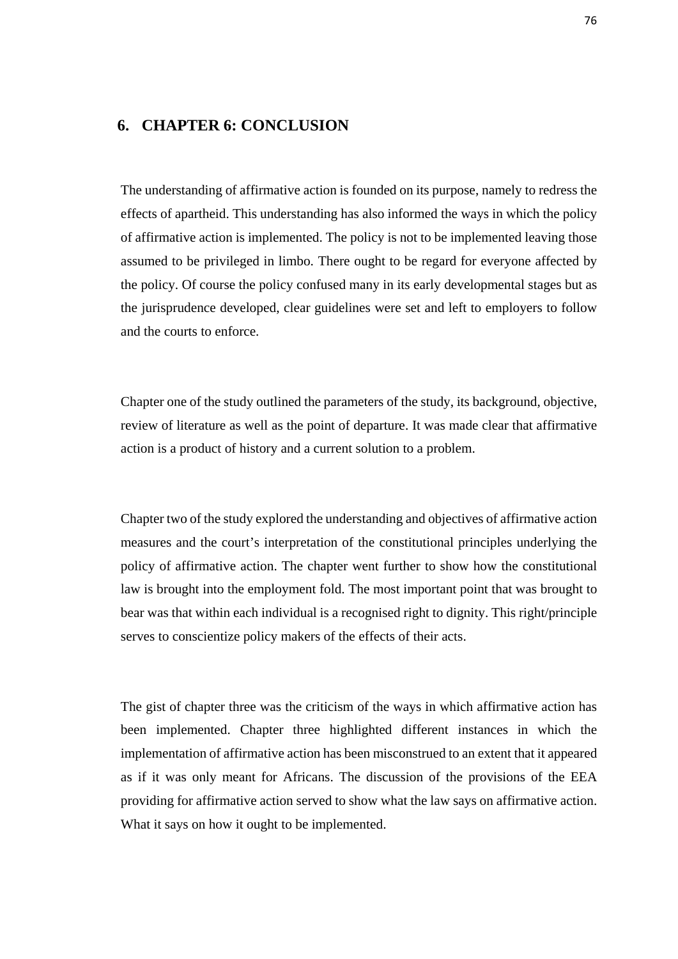# **6. CHAPTER 6: CONCLUSION**

The understanding of affirmative action is founded on its purpose, namely to redress the effects of apartheid. This understanding has also informed the ways in which the policy of affirmative action is implemented. The policy is not to be implemented leaving those assumed to be privileged in limbo. There ought to be regard for everyone affected by the policy. Of course the policy confused many in its early developmental stages but as the jurisprudence developed, clear guidelines were set and left to employers to follow and the courts to enforce.

Chapter one of the study outlined the parameters of the study, its background, objective, review of literature as well as the point of departure. It was made clear that affirmative action is a product of history and a current solution to a problem.

Chapter two of the study explored the understanding and objectives of affirmative action measures and the court's interpretation of the constitutional principles underlying the policy of affirmative action. The chapter went further to show how the constitutional law is brought into the employment fold. The most important point that was brought to bear was that within each individual is a recognised right to dignity. This right/principle serves to conscientize policy makers of the effects of their acts.

The gist of chapter three was the criticism of the ways in which affirmative action has been implemented. Chapter three highlighted different instances in which the implementation of affirmative action has been misconstrued to an extent that it appeared as if it was only meant for Africans. The discussion of the provisions of the EEA providing for affirmative action served to show what the law says on affirmative action. What it says on how it ought to be implemented.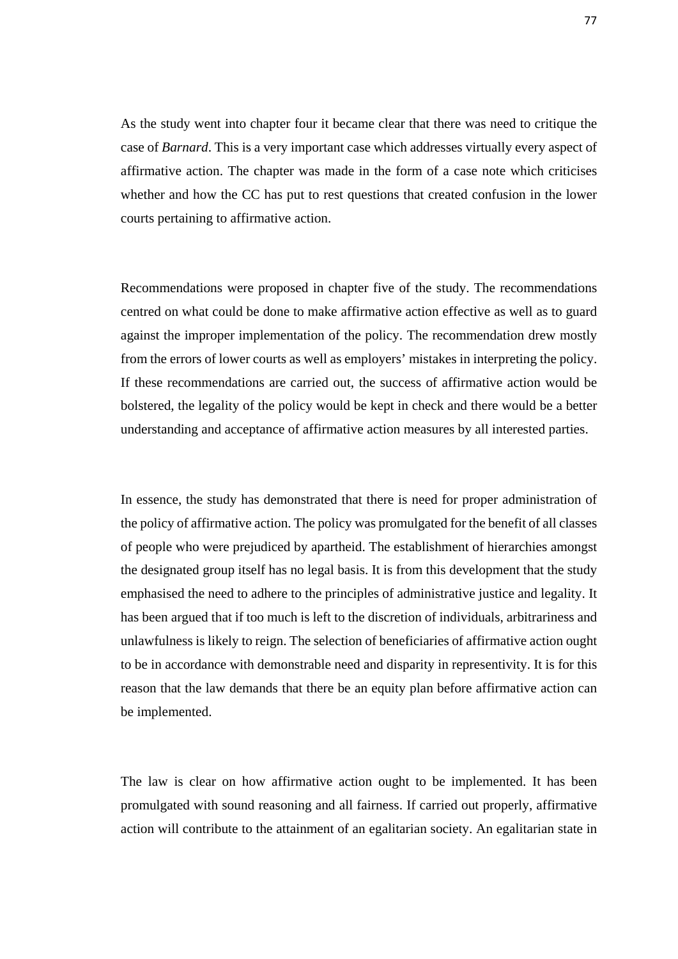As the study went into chapter four it became clear that there was need to critique the case of *Barnard*. This is a very important case which addresses virtually every aspect of affirmative action. The chapter was made in the form of a case note which criticises whether and how the CC has put to rest questions that created confusion in the lower courts pertaining to affirmative action.

Recommendations were proposed in chapter five of the study. The recommendations centred on what could be done to make affirmative action effective as well as to guard against the improper implementation of the policy. The recommendation drew mostly from the errors of lower courts as well as employers' mistakes in interpreting the policy. If these recommendations are carried out, the success of affirmative action would be bolstered, the legality of the policy would be kept in check and there would be a better understanding and acceptance of affirmative action measures by all interested parties.

In essence, the study has demonstrated that there is need for proper administration of the policy of affirmative action. The policy was promulgated for the benefit of all classes of people who were prejudiced by apartheid. The establishment of hierarchies amongst the designated group itself has no legal basis. It is from this development that the study emphasised the need to adhere to the principles of administrative justice and legality. It has been argued that if too much is left to the discretion of individuals, arbitrariness and unlawfulness is likely to reign. The selection of beneficiaries of affirmative action ought to be in accordance with demonstrable need and disparity in representivity. It is for this reason that the law demands that there be an equity plan before affirmative action can be implemented.

The law is clear on how affirmative action ought to be implemented. It has been promulgated with sound reasoning and all fairness. If carried out properly, affirmative action will contribute to the attainment of an egalitarian society. An egalitarian state in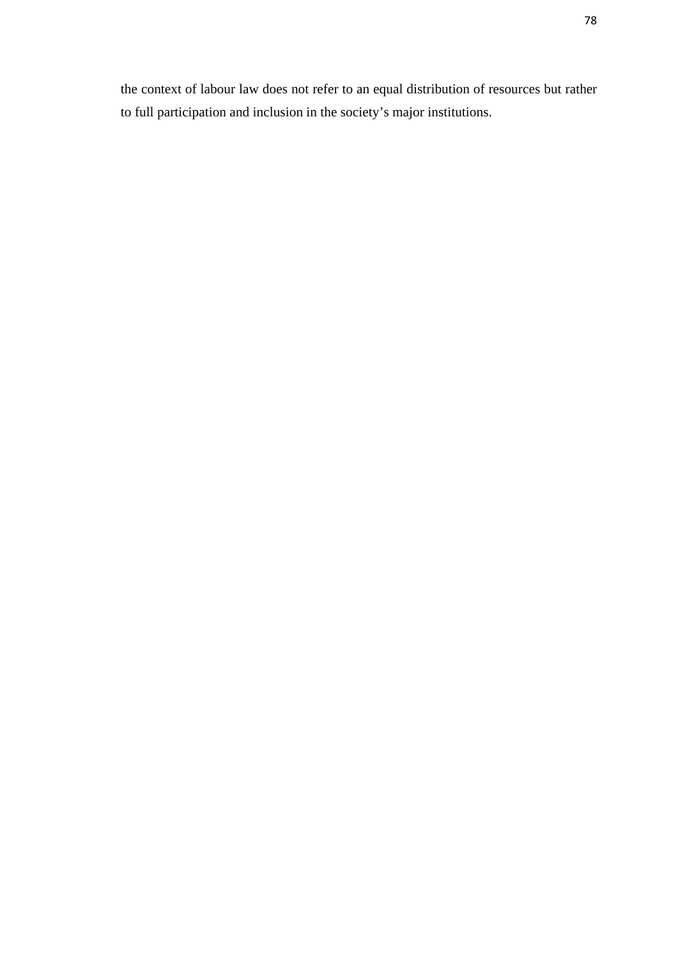the context of labour law does not refer to an equal distribution of resources but rather to full participation and inclusion in the society's major institutions.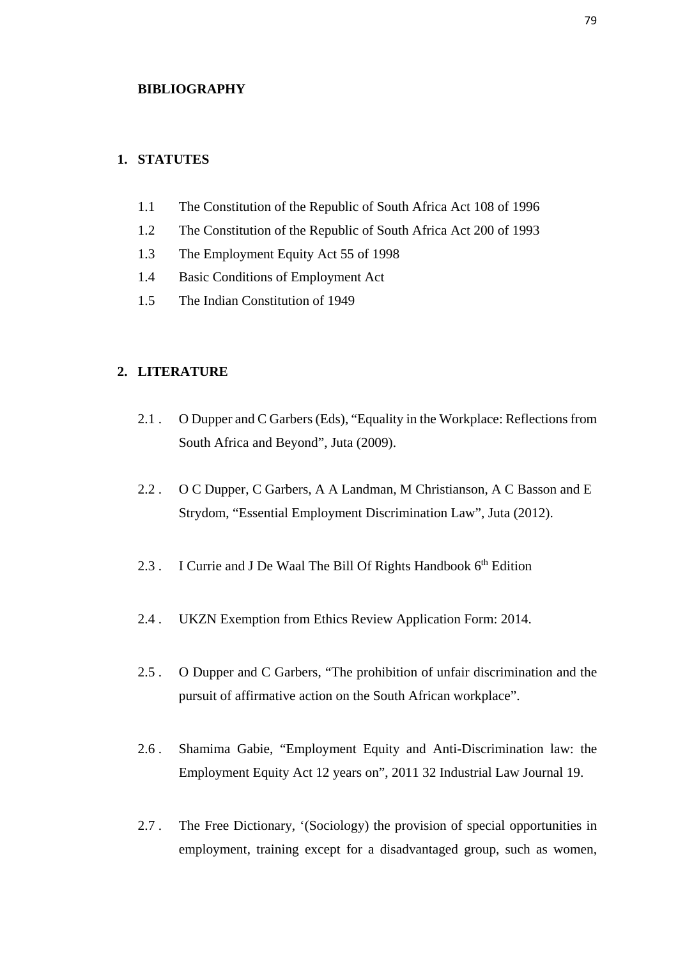#### **BIBLIOGRAPHY**

# **1. STATUTES**

- 1.1 The Constitution of the Republic of South Africa Act 108 of 1996
- 1.2 The Constitution of the Republic of South Africa Act 200 of 1993
- 1.3 The Employment Equity Act 55 of 1998
- 1.4 Basic Conditions of Employment Act
- 1.5 The Indian Constitution of 1949

# **2. LITERATURE**

- 2.1 . O Dupper and C Garbers (Eds), "Equality in the Workplace: Reflections from South Africa and Beyond", Juta (2009).
- 2.2 . O C Dupper, C Garbers, A A Landman, M Christianson, A C Basson and E Strydom, "Essential Employment Discrimination Law", Juta (2012).
- 2.3 . I Currie and J De Waal The Bill Of Rights Handbook 6<sup>th</sup> Edition
- 2.4 . UKZN Exemption from Ethics Review Application Form: 2014.
- 2.5 . O Dupper and C Garbers, "The prohibition of unfair discrimination and the pursuit of affirmative action on the South African workplace".
- 2.6 . Shamima Gabie, "Employment Equity and Anti-Discrimination law: the Employment Equity Act 12 years on", 2011 32 Industrial Law Journal 19.
- 2.7 . The Free Dictionary, '(Sociology) the provision of special opportunities in employment, training except for a disadvantaged group, such as women,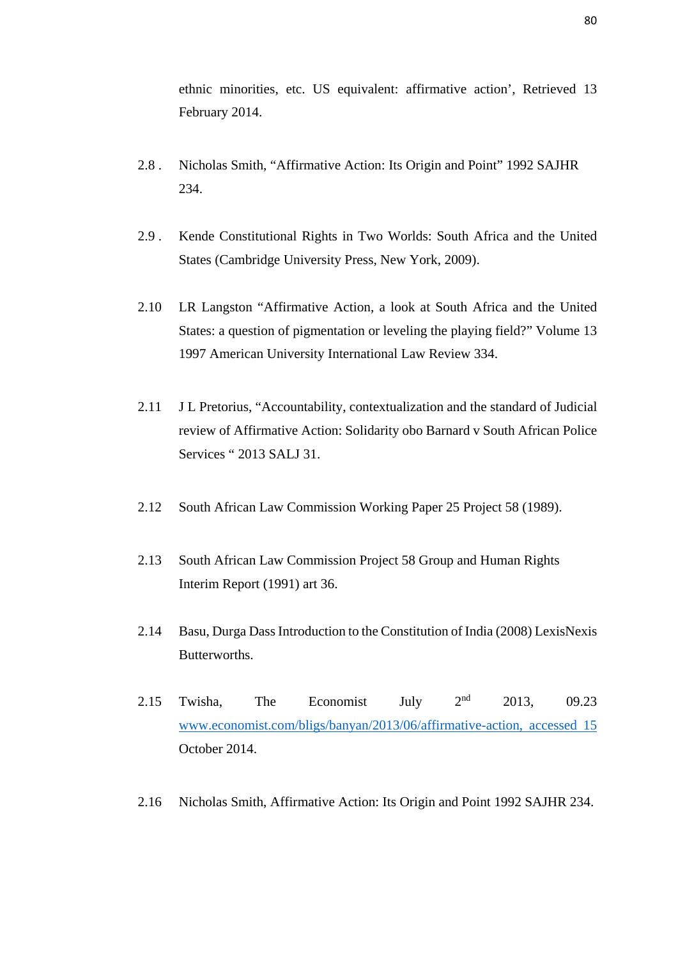ethnic minorities, etc. US equivalent: affirmative action', Retrieved 13 February 2014.

- 2.8 . Nicholas Smith, "Affirmative Action: Its Origin and Point" 1992 SAJHR 234.
- 2.9 . Kende Constitutional Rights in Two Worlds: South Africa and the United States (Cambridge University Press, New York, 2009).
- 2.10 LR Langston "Affirmative Action, a look at South Africa and the United States: a question of pigmentation or leveling the playing field?" Volume 13 1997 American University International Law Review 334.
- 2.11 J L Pretorius, "Accountability, contextualization and the standard of Judicial review of Affirmative Action: Solidarity obo Barnard v South African Police Services " 2013 SALJ 31.
- 2.12 South African Law Commission Working Paper 25 Project 58 (1989).
- 2.13 South African Law Commission Project 58 Group and Human Rights Interim Report (1991) art 36.
- 2.14 Basu, Durga Dass Introduction to the Constitution of India (2008) LexisNexis Butterworths.
- 2.15 Twisha, The Economist July  $2^{nd}$  2013, 09.23 [www.economist.com/bligs/banyan/2013/06/affirmative-action, accessed 15](http://www.economist.com/bligs/banyan/2013/06/affirmative-action,%20accessed%2015) October 2014.
- 2.16 Nicholas Smith, Affirmative Action: Its Origin and Point 1992 SAJHR 234.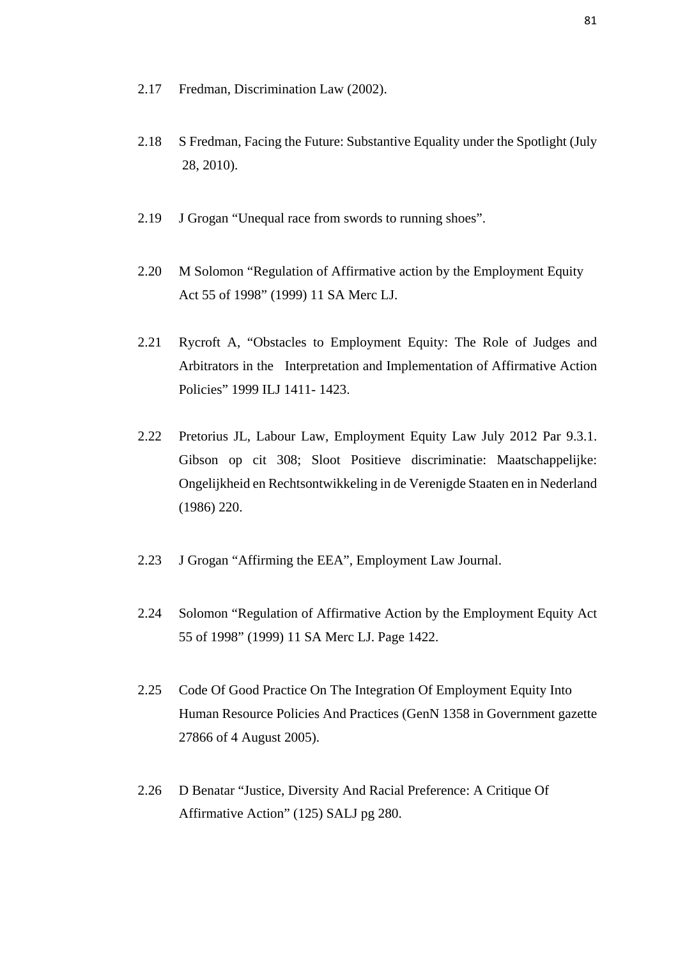- 2.17 Fredman, Discrimination Law (2002).
- 2.18 S Fredman, Facing the Future: Substantive Equality under the Spotlight (July 28, 2010).
- 2.19 J Grogan "Unequal race from swords to running shoes".
- 2.20 M Solomon "Regulation of Affirmative action by the Employment Equity Act 55 of 1998" (1999) 11 SA Merc LJ.
- 2.21 Rycroft A, "Obstacles to Employment Equity: The Role of Judges and Arbitrators in the Interpretation and Implementation of Affirmative Action Policies" 1999 ILJ 1411- 1423.
- 2.22 Pretorius JL, Labour Law, Employment Equity Law July 2012 Par 9.3.1. Gibson op cit 308; Sloot Positieve discriminatie: Maatschappelijke: Ongelijkheid en Rechtsontwikkeling in de Verenigde Staaten en in Nederland (1986) 220.
- 2.23 J Grogan "Affirming the EEA", Employment Law Journal.
- 2.24 Solomon "Regulation of Affirmative Action by the Employment Equity Act 55 of 1998" (1999) 11 SA Merc LJ. Page 1422.
- 2.25 Code Of Good Practice On The Integration Of Employment Equity Into Human Resource Policies And Practices (GenN 1358 in Government gazette 27866 of 4 August 2005).
- 2.26 D Benatar "Justice, Diversity And Racial Preference: A Critique Of Affirmative Action" (125) SALJ pg 280.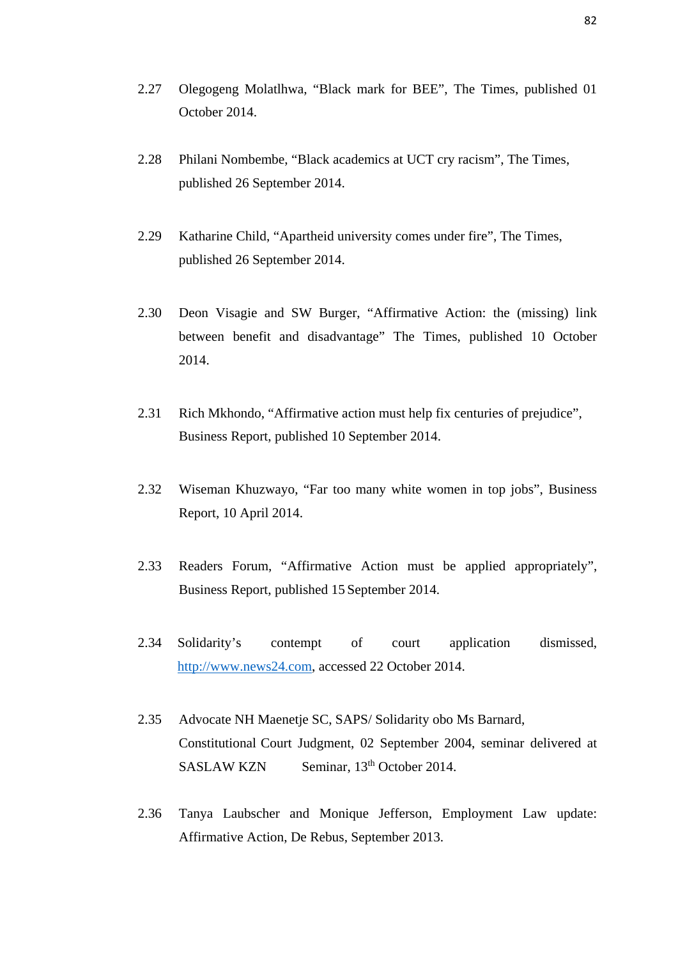- 2.27 Olegogeng Molatlhwa, "Black mark for BEE", The Times, published 01 October 2014.
- 2.28 Philani Nombembe, "Black academics at UCT cry racism", The Times, published 26 September 2014.
- 2.29 Katharine Child, "Apartheid university comes under fire", The Times, published 26 September 2014.
- 2.30 Deon Visagie and SW Burger, "Affirmative Action: the (missing) link between benefit and disadvantage" The Times, published 10 October 2014.
- 2.31 Rich Mkhondo, "Affirmative action must help fix centuries of prejudice", Business Report, published 10 September 2014.
- 2.32 Wiseman Khuzwayo, "Far too many white women in top jobs", Business Report, 10 April 2014.
- 2.33 Readers Forum, "Affirmative Action must be applied appropriately", Business Report, published 15 September 2014.
- 2.34 Solidarity's contempt of court application dismissed, [http://www.news24.com,](http://www.news24.com/) accessed 22 October 2014.
- 2.35 Advocate NH Maenetje SC, SAPS/ Solidarity obo Ms Barnard, Constitutional Court Judgment, 02 September 2004, seminar delivered at SASLAW KZN Seminar, 13<sup>th</sup> October 2014.
- 2.36 Tanya Laubscher and Monique Jefferson, Employment Law update: Affirmative Action, De Rebus, September 2013.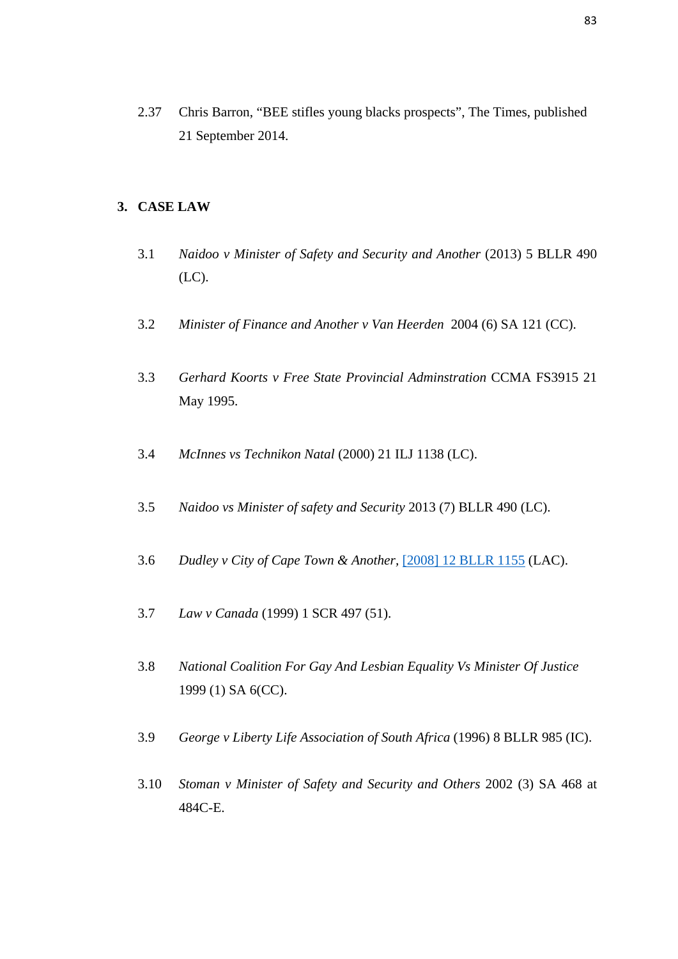2.37 Chris Barron, "BEE stifles young blacks prospects", The Times, published 21 September 2014.

## **3. CASE LAW**

- 3.1 *Naidoo v Minister of Safety and Security and Another* (2013) 5 BLLR 490 (LC).
- 3.2 *Minister of Finance and Another v Van Heerden* 2004 (6) SA 121 (CC).
- 3.3 *Gerhard Koorts v Free State Provincial Adminstration* CCMA FS3915 21 May 1995.
- 3.4 *McInnes vs Technikon Natal* (2000) 21 ILJ 1138 (LC).
- 3.5 *Naidoo vs Minister of safety and Security* 2013 (7) BLLR 490 (LC).
- 3.6 *Dudley v City of Cape Town & Another,* [\[2008\] 12 BLLR 1155](http://butterworths.ukzn.ac.za/nxt/gateway.dll/cc/c4ic/f4ic/lp16a/hbxfb/jbxfb#g0) (LAC).
- 3.7 *Law v Canada* (1999) 1 SCR 497 (51).
- 3.8 *National Coalition For Gay And Lesbian Equality Vs Minister Of Justice* 1999 (1) SA 6(CC).
- 3.9 *George v Liberty Life Association of South Africa* (1996) 8 BLLR 985 (IC).
- 3.10 *Stoman v Minister of Safety and Security and Others* 2002 (3) SA 468 at 484C-E.